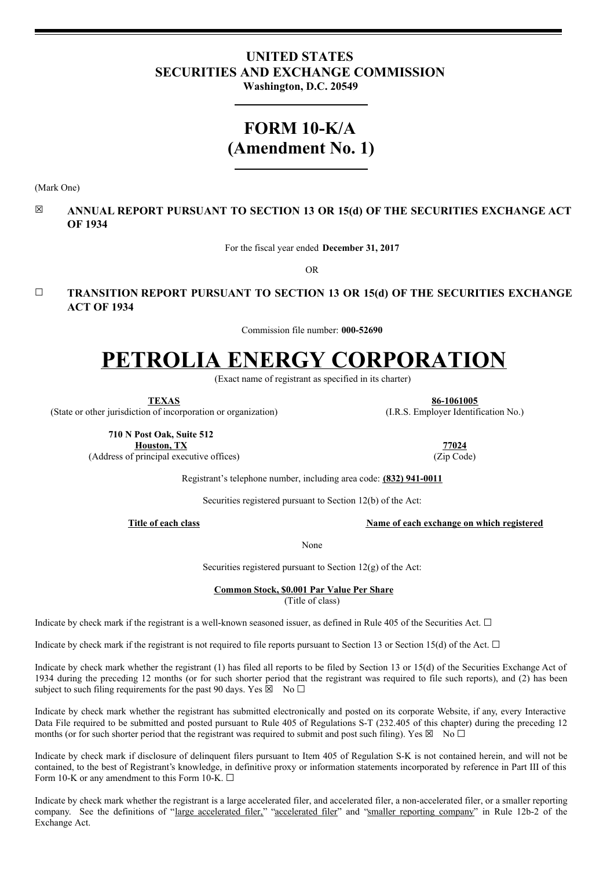# **UNITED STATES SECURITIES AND EXCHANGE COMMISSION**

**Washington, D.C. 20549**

# **FORM 10-K/A (Amendment No. 1)**

(Mark One)

# ☒ **ANNUAL REPORT PURSUANT TO SECTION 13 OR 15(d) OF THE SECURITIES EXCHANGE ACT OF 1934**

For the fiscal year ended **December 31, 2017**

OR

# **☐ TRANSITION REPORT PURSUANT TO SECTION 13 OR 15(d) OF THE SECURITIES EXCHANGE ACT OF 1934**

Commission file number: **000-52690**

# **PETROLIA ENERGY CORPORATION**

(Exact name of registrant as specified in its charter)

**TEXAS 86-1061005** (State or other jurisdiction of incorporation or organization) (I.R.S. Employer Identification No.)

**710 N Post Oak, Suite 512 Houston, TX 77024** (Address of principal executive offices) (Zip Code)

Registrant's telephone number, including area code: **(832) 941-0011**

Securities registered pursuant to Section 12(b) of the Act:

**Title of each class Name of each exchange on which registered**

None

Securities registered pursuant to Section  $12(g)$  of the Act:

**Common Stock, \$0.001 Par Value Per Share**

(Title of class)

Indicate by check mark if the registrant is a well-known seasoned issuer, as defined in Rule 405 of the Securities Act.  $\Box$ 

Indicate by check mark if the registrant is not required to file reports pursuant to Section 13 or Section 15(d) of the Act.  $\Box$ 

Indicate by check mark whether the registrant (1) has filed all reports to be filed by Section 13 or 15(d) of the Securities Exchange Act of 1934 during the preceding 12 months (or for such shorter period that the registrant was required to file such reports), and (2) has been subject to such filing requirements for the past 90 days. Yes  $\boxtimes$  No  $\Box$ 

Indicate by check mark whether the registrant has submitted electronically and posted on its corporate Website, if any, every Interactive Data File required to be submitted and posted pursuant to Rule 405 of Regulations S-T (232.405 of this chapter) during the preceding 12 months (or for such shorter period that the registrant was required to submit and post such filing). Yes  $\boxtimes \text{ No } \square$ 

Indicate by check mark if disclosure of delinquent filers pursuant to Item 405 of Regulation S-K is not contained herein, and will not be contained, to the best of Registrant's knowledge, in definitive proxy or information statements incorporated by reference in Part III of this Form 10-K or any amendment to this Form 10-K.  $\square$ 

Indicate by check mark whether the registrant is a large accelerated filer, and accelerated filer, a non-accelerated filer, or a smaller reporting company. See the definitions of "large accelerated filer," "accelerated filer" and "smaller reporting company" in Rule 12b-2 of the Exchange Act.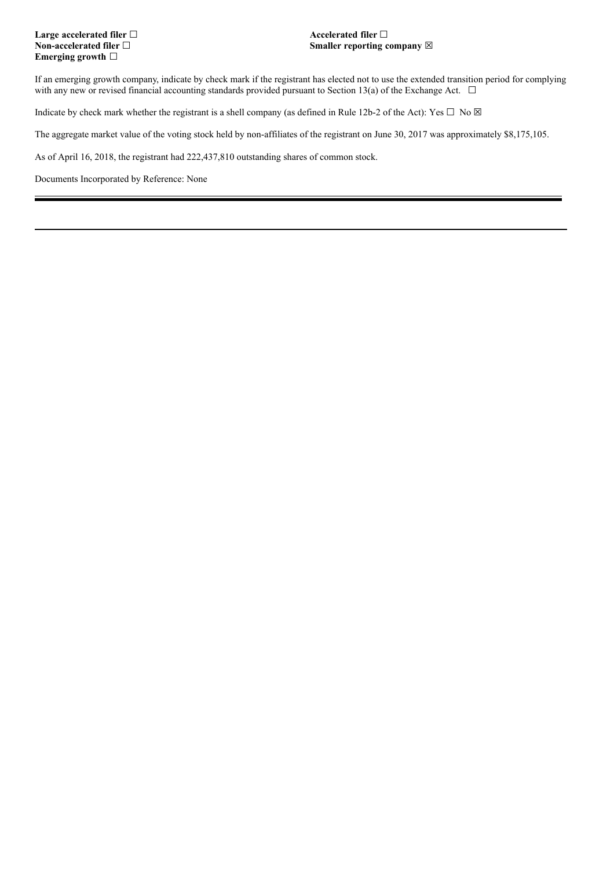# **Large accelerated filer ☐ Accelerated filer** ☐ **Emerging growth** ☐

# **Non-accelerated** filer □  **Smaller** reporting company ⊠

If an emerging growth company, indicate by check mark if the registrant has elected not to use the extended transition period for complying with any new or revised financial accounting standards provided pursuant to Section 13(a) of the Exchange Act.  $\Box$ 

Indicate by check mark whether the registrant is a shell company (as defined in Rule 12b-2 of the Act): Yes  $\Box$  No  $\boxtimes$ 

The aggregate market value of the voting stock held by non-affiliates of the registrant on June 30, 2017 was approximately \$8,175,105.

As of April 16, 2018, the registrant had 222,437,810 outstanding shares of common stock.

Documents Incorporated by Reference: None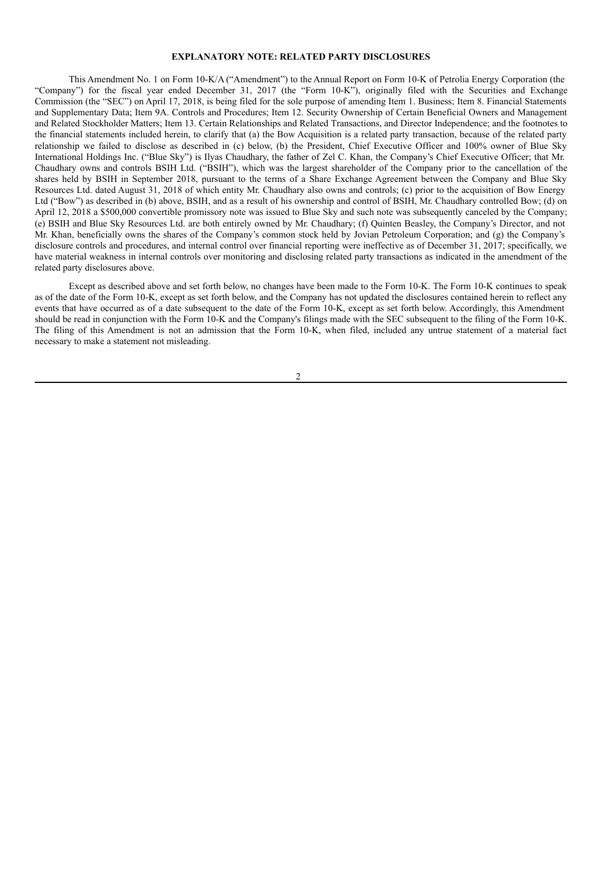#### **EXPLANATORY NOTE: RELATED PARTY DISCLOSURES**

This Amendment No. 1 on Form 10-K/A ("Amendment") to the Annual Report on Form 10-K of Petrolia Energy Corporation (the "Company") for the fiscal year ended December 31, 2017 (the "Form 10-K"), originally filed with the Securities and Exchange Commission (the "SEC") on April 17, 2018, is being filed for the sole purpose of amending Item 1. Business; Item 8. Financial Statements and Supplementary Data; Item 9A. Controls and Procedures; Item 12. Security Ownership of Certain Beneficial Owners and Management and Related Stockholder Matters; Item 13. Certain Relationships and Related Transactions, and Director Independence; and the footnotes to the financial statements included herein, to clarify that (a) the Bow Acquisition is a related party transaction, because of the related party relationship we failed to disclose as described in (c) below, (b) the President, Chief Executive Officer and 100% owner of Blue Sky International Holdings Inc. ("Blue Sky") is Ilyas Chaudhary, the father of Zel C. Khan, the Company's Chief Executive Officer; that Mr. Chaudhary owns and controls BSIH Ltd. ("BSIH"), which was the largest shareholder of the Company prior to the cancellation of the shares held by BSIH in September 2018, pursuant to the terms of a Share Exchange Agreement between the Company and Blue Sky Resources Ltd. dated August 31, 2018 of which entity Mr. Chaudhary also owns and controls; (c) prior to the acquisition of Bow Energy Ltd ("Bow") as described in (b) above, BSIH, and as a result of his ownership and control of BSIH, Mr. Chaudhary controlled Bow; (d) on April 12, 2018 a \$500,000 convertible promissory note was issued to Blue Sky and such note was subsequently canceled by the Company; (e) BSIH and Blue Sky Resources Ltd. are both entirely owned by Mr. Chaudhary; (f) Quinten Beasley, the Company's Director, and not Mr. Khan, beneficially owns the shares of the Company's common stock held by Jovian Petroleum Corporation; and (g) the Company's disclosure controls and procedures, and internal control over financial reporting were ineffective as of December 31, 2017; specifically, we have material weakness in internal controls over monitoring and disclosing related party transactions as indicated in the amendment of the related party disclosures above.

Except as described above and set forth below, no changes have been made to the Form 10-K. The Form 10-K continues to speak as of the date of the Form 10-K, except as set forth below, and the Company has not updated the disclosures contained herein to reflect any events that have occurred as of a date subsequent to the date of the Form 10-K, except as set forth below. Accordingly, this Amendment should be read in conjunction with the Form 10-K and the Company's filings made with the SEC subsequent to the filing of the Form 10-K. The filing of this Amendment is not an admission that the Form 10-K, when filed, included any untrue statement of a material fact necessary to make a statement not misleading.

 $\overline{2}$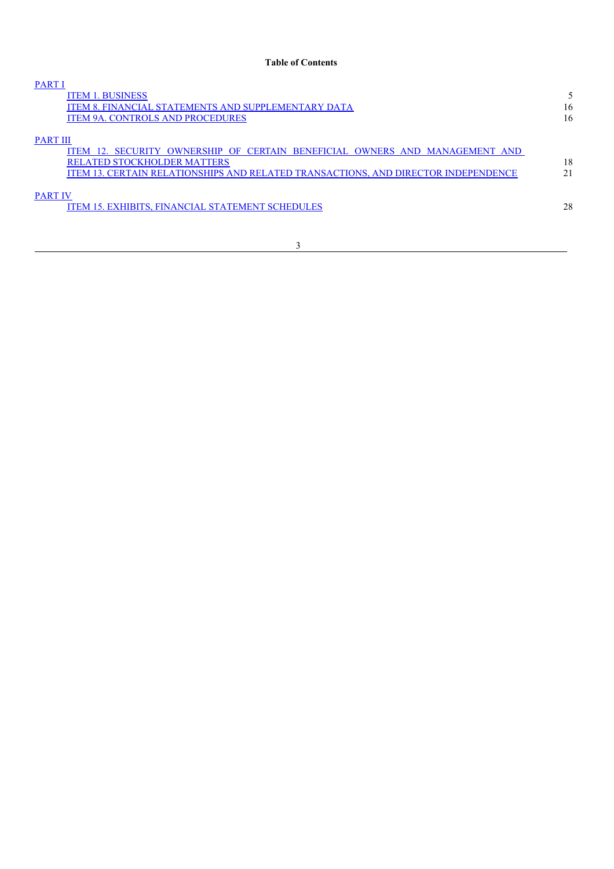| <b>PART I</b>                                                                      |     |
|------------------------------------------------------------------------------------|-----|
| <b>ITEM 1. BUSINESS</b>                                                            |     |
| <b>ITEM 8. FINANCIAL STATEMENTS AND SUPPLEMENTARY DATA</b>                         | 16  |
| <b>ITEM 9A. CONTROLS AND PROCEDURES</b>                                            | 16  |
|                                                                                    |     |
| <b>PART III</b>                                                                    |     |
| ITEM 12. SECURITY OWNERSHIP OF CERTAIN BENEFICIAL OWNERS AND MANAGEMENT AND        |     |
| <b>RELATED STOCKHOLDER MATTERS</b>                                                 | 18  |
| ITEM 13. CERTAIN RELATIONSHIPS AND RELATED TRANSACTIONS, AND DIRECTOR INDEPENDENCE | 2.1 |
|                                                                                    |     |
| <b>PART IV</b>                                                                     |     |
| <b>ITEM 15. EXHIBITS, FINANCIAL STATEMENT SCHEDULES</b>                            | 28  |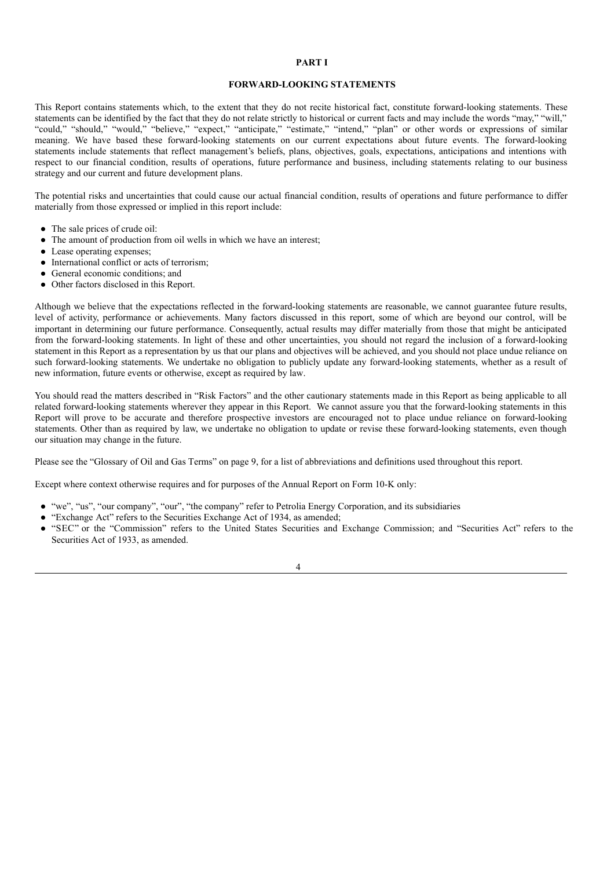# **PART I**

#### **FORWARD-LOOKING STATEMENTS**

This Report contains statements which, to the extent that they do not recite historical fact, constitute forward-looking statements. These statements can be identified by the fact that they do not relate strictly to historical or current facts and may include the words "may," "will," "could," "should," "would," "believe," "expect," "anticipate," "estimate," "intend," "plan" or other words or expressions of similar meaning. We have based these forward-looking statements on our current expectations about future events. The forward-looking statements include statements that reflect management's beliefs, plans, objectives, goals, expectations, anticipations and intentions with respect to our financial condition, results of operations, future performance and business, including statements relating to our business strategy and our current and future development plans.

The potential risks and uncertainties that could cause our actual financial condition, results of operations and future performance to differ materially from those expressed or implied in this report include:

- The sale prices of crude oil:
- The amount of production from oil wells in which we have an interest;
- Lease operating expenses;
- International conflict or acts of terrorism;
- General economic conditions: and
- Other factors disclosed in this Report.

Although we believe that the expectations reflected in the forward-looking statements are reasonable, we cannot guarantee future results, level of activity, performance or achievements. Many factors discussed in this report, some of which are beyond our control, will be important in determining our future performance. Consequently, actual results may differ materially from those that might be anticipated from the forward-looking statements. In light of these and other uncertainties, you should not regard the inclusion of a forward-looking statement in this Report as a representation by us that our plans and objectives will be achieved, and you should not place undue reliance on such forward-looking statements. We undertake no obligation to publicly update any forward-looking statements, whether as a result of new information, future events or otherwise, except as required by law.

You should read the matters described in "Risk Factors" and the other cautionary statements made in this Report as being applicable to all related forward-looking statements wherever they appear in this Report. We cannot assure you that the forward-looking statements in this Report will prove to be accurate and therefore prospective investors are encouraged not to place undue reliance on forward-looking statements. Other than as required by law, we undertake no obligation to update or revise these forward-looking statements, even though our situation may change in the future.

Please see the "Glossary of Oil and Gas Terms" on page 9, for a list of abbreviations and definitions used throughout this report.

Except where context otherwise requires and for purposes of the Annual Report on Form 10-K only:

- "we", "us", "our company", "our", "the company" refer to Petrolia Energy Corporation, and its subsidiaries
- "Exchange Act" refers to the Securities Exchange Act of 1934, as amended;
- "SEC" or the "Commission" refers to the United States Securities and Exchange Commission; and "Securities Act" refers to the Securities Act of 1933, as amended.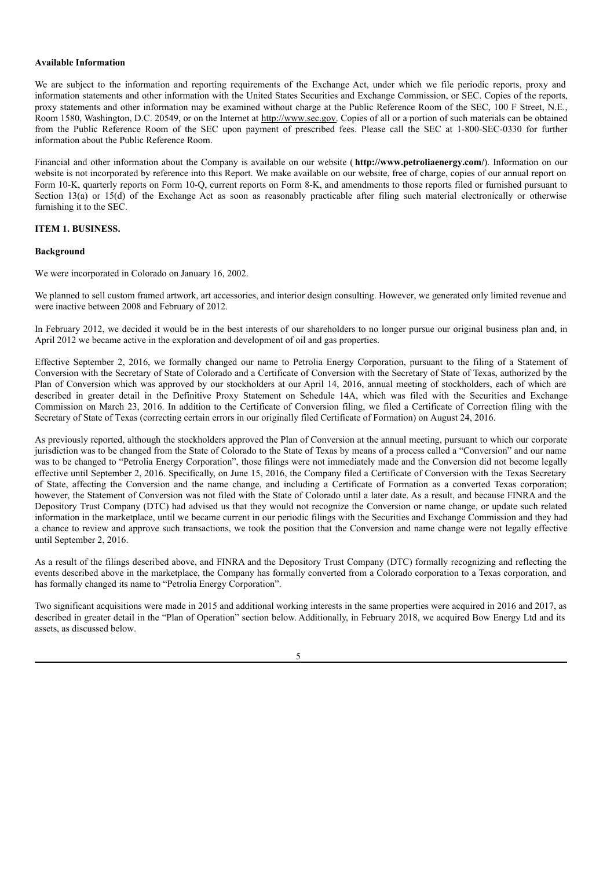#### **Available Information**

We are subject to the information and reporting requirements of the Exchange Act, under which we file periodic reports, proxy and information statements and other information with the United States Securities and Exchange Commission, or SEC. Copies of the reports, proxy statements and other information may be examined without charge at the Public Reference Room of the SEC, 100 F Street, N.E., Room 1580, Washington, D.C. 20549, or on the Internet at http://www.sec.gov. Copies of all or a portion of such materials can be obtained from the Public Reference Room of the SEC upon payment of prescribed fees. Please call the SEC at 1-800-SEC-0330 for further information about the Public Reference Room.

Financial and other information about the Company is available on our website ( **http://www.petroliaenergy.com/**). Information on our website is not incorporated by reference into this Report. We make available on our website, free of charge, copies of our annual report on Form 10-K, quarterly reports on Form 10-Q, current reports on Form 8-K, and amendments to those reports filed or furnished pursuant to Section 13(a) or 15(d) of the Exchange Act as soon as reasonably practicable after filing such material electronically or otherwise furnishing it to the SEC.

#### **ITEM 1. BUSINESS.**

#### **Background**

We were incorporated in Colorado on January 16, 2002.

We planned to sell custom framed artwork, art accessories, and interior design consulting. However, we generated only limited revenue and were inactive between 2008 and February of 2012.

In February 2012, we decided it would be in the best interests of our shareholders to no longer pursue our original business plan and, in April 2012 we became active in the exploration and development of oil and gas properties.

Effective September 2, 2016, we formally changed our name to Petrolia Energy Corporation, pursuant to the filing of a Statement of Conversion with the Secretary of State of Colorado and a Certificate of Conversion with the Secretary of State of Texas, authorized by the Plan of Conversion which was approved by our stockholders at our April 14, 2016, annual meeting of stockholders, each of which are described in greater detail in the Definitive Proxy Statement on Schedule 14A, which was filed with the Securities and Exchange Commission on March 23, 2016. In addition to the Certificate of Conversion filing, we filed a Certificate of Correction filing with the Secretary of State of Texas (correcting certain errors in our originally filed Certificate of Formation) on August 24, 2016.

As previously reported, although the stockholders approved the Plan of Conversion at the annual meeting, pursuant to which our corporate jurisdiction was to be changed from the State of Colorado to the State of Texas by means of a process called a "Conversion" and our name was to be changed to "Petrolia Energy Corporation", those filings were not immediately made and the Conversion did not become legally effective until September 2, 2016. Specifically, on June 15, 2016, the Company filed a Certificate of Conversion with the Texas Secretary of State, affecting the Conversion and the name change, and including a Certificate of Formation as a converted Texas corporation; however, the Statement of Conversion was not filed with the State of Colorado until a later date. As a result, and because FINRA and the Depository Trust Company (DTC) had advised us that they would not recognize the Conversion or name change, or update such related information in the marketplace, until we became current in our periodic filings with the Securities and Exchange Commission and they had a chance to review and approve such transactions, we took the position that the Conversion and name change were not legally effective until September 2, 2016.

As a result of the filings described above, and FINRA and the Depository Trust Company (DTC) formally recognizing and reflecting the events described above in the marketplace, the Company has formally converted from a Colorado corporation to a Texas corporation, and has formally changed its name to "Petrolia Energy Corporation".

Two significant acquisitions were made in 2015 and additional working interests in the same properties were acquired in 2016 and 2017, as described in greater detail in the "Plan of Operation" section below. Additionally, in February 2018, we acquired Bow Energy Ltd and its assets, as discussed below.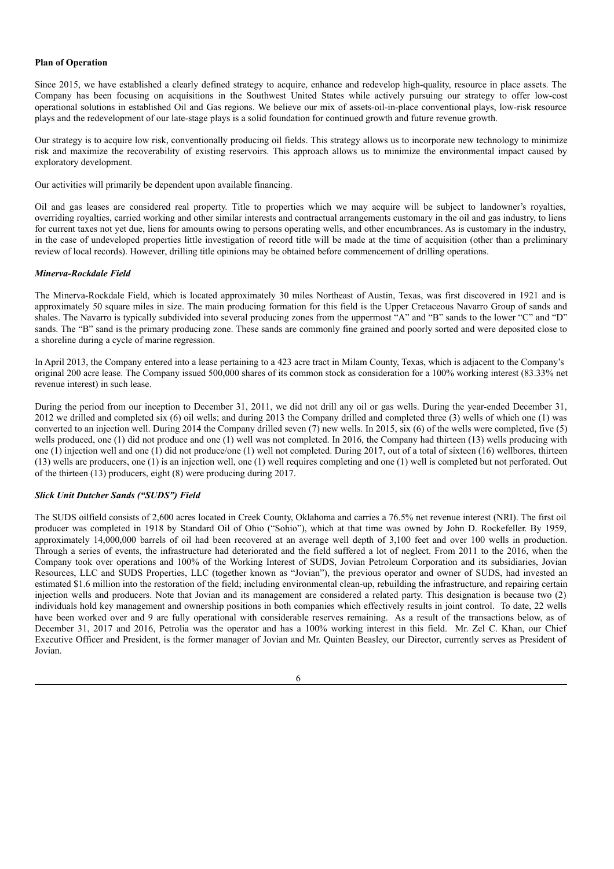#### **Plan of Operation**

Since 2015, we have established a clearly defined strategy to acquire, enhance and redevelop high-quality, resource in place assets. The Company has been focusing on acquisitions in the Southwest United States while actively pursuing our strategy to offer low-cost operational solutions in established Oil and Gas regions. We believe our mix of assets-oil-in-place conventional plays, low-risk resource plays and the redevelopment of our late-stage plays is a solid foundation for continued growth and future revenue growth.

Our strategy is to acquire low risk, conventionally producing oil fields. This strategy allows us to incorporate new technology to minimize risk and maximize the recoverability of existing reservoirs. This approach allows us to minimize the environmental impact caused by exploratory development.

Our activities will primarily be dependent upon available financing.

Oil and gas leases are considered real property. Title to properties which we may acquire will be subject to landowner's royalties, overriding royalties, carried working and other similar interests and contractual arrangements customary in the oil and gas industry, to liens for current taxes not yet due, liens for amounts owing to persons operating wells, and other encumbrances. As is customary in the industry, in the case of undeveloped properties little investigation of record title will be made at the time of acquisition (other than a preliminary review of local records). However, drilling title opinions may be obtained before commencement of drilling operations.

#### *Minerva-Rockdale Field*

The Minerva-Rockdale Field, which is located approximately 30 miles Northeast of Austin, Texas, was first discovered in 1921 and is approximately 50 square miles in size. The main producing formation for this field is the Upper Cretaceous Navarro Group of sands and shales. The Navarro is typically subdivided into several producing zones from the uppermost "A" and "B" sands to the lower "C" and "D" sands. The "B" sand is the primary producing zone. These sands are commonly fine grained and poorly sorted and were deposited close to a shoreline during a cycle of marine regression.

In April 2013, the Company entered into a lease pertaining to a 423 acre tract in Milam County, Texas, which is adjacent to the Company's original 200 acre lease. The Company issued 500,000 shares of its common stock as consideration for a 100% working interest (83.33% net revenue interest) in such lease.

During the period from our inception to December 31, 2011, we did not drill any oil or gas wells. During the year-ended December 31, 2012 we drilled and completed six (6) oil wells; and during 2013 the Company drilled and completed three (3) wells of which one (1) was converted to an injection well. During 2014 the Company drilled seven (7) new wells. In 2015, six (6) of the wells were completed, five (5) wells produced, one (1) did not produce and one (1) well was not completed. In 2016, the Company had thirteen (13) wells producing with one (1) injection well and one (1) did not produce/one (1) well not completed. During 2017, out of a total of sixteen (16) wellbores, thirteen (13) wells are producers, one (1) is an injection well, one (1) well requires completing and one (1) well is completed but not perforated. Out of the thirteen (13) producers, eight (8) were producing during 2017.

#### *Slick Unit Dutcher Sands ("SUDS") Field*

The SUDS oilfield consists of 2,600 acres located in Creek County, Oklahoma and carries a 76.5% net revenue interest (NRI). The first oil producer was completed in 1918 by Standard Oil of Ohio ("Sohio"), which at that time was owned by John D. Rockefeller. By 1959, approximately 14,000,000 barrels of oil had been recovered at an average well depth of 3,100 feet and over 100 wells in production. Through a series of events, the infrastructure had deteriorated and the field suffered a lot of neglect. From 2011 to the 2016, when the Company took over operations and 100% of the Working Interest of SUDS, Jovian Petroleum Corporation and its subsidiaries, Jovian Resources, LLC and SUDS Properties, LLC (together known as "Jovian"), the previous operator and owner of SUDS, had invested an estimated \$1.6 million into the restoration of the field; including environmental clean-up, rebuilding the infrastructure, and repairing certain injection wells and producers. Note that Jovian and its management are considered a related party. This designation is because two (2) individuals hold key management and ownership positions in both companies which effectively results in joint control. To date, 22 wells have been worked over and 9 are fully operational with considerable reserves remaining. As a result of the transactions below, as of December 31, 2017 and 2016, Petrolia was the operator and has a 100% working interest in this field. Mr. Zel C. Khan, our Chief Executive Officer and President, is the former manager of Jovian and Mr. Quinten Beasley, our Director, currently serves as President of Jovian.

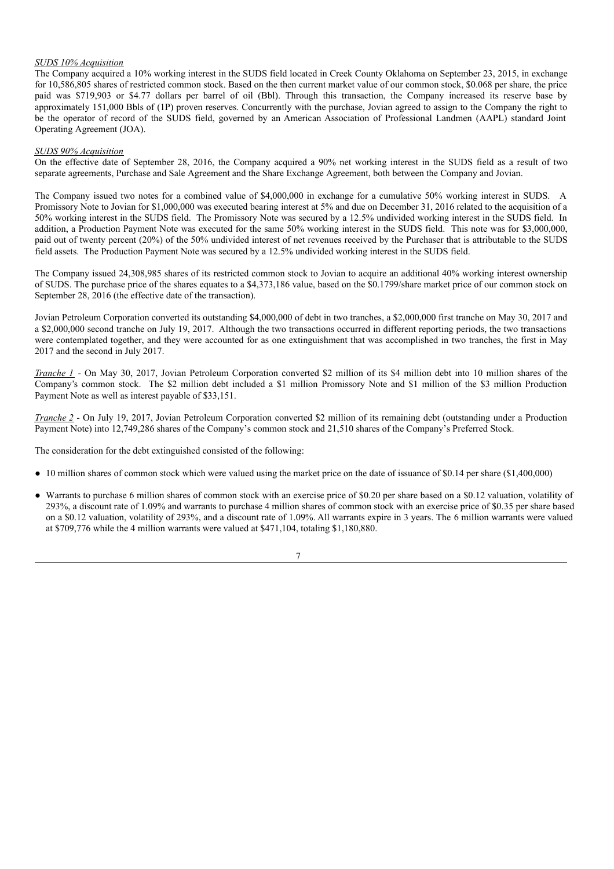#### *SUDS 10% Acquisition*

The Company acquired a 10% working interest in the SUDS field located in Creek County Oklahoma on September 23, 2015, in exchange for 10,586,805 shares of restricted common stock. Based on the then current market value of our common stock, \$0.068 per share, the price paid was \$719,903 or \$4.77 dollars per barrel of oil (Bbl). Through this transaction, the Company increased its reserve base by approximately 151,000 Bbls of (1P) proven reserves. Concurrently with the purchase, Jovian agreed to assign to the Company the right to be the operator of record of the SUDS field, governed by an American Association of Professional Landmen (AAPL) standard Joint Operating Agreement (JOA).

#### *SUDS 90% Acquisition*

On the effective date of September 28, 2016, the Company acquired a 90% net working interest in the SUDS field as a result of two separate agreements, Purchase and Sale Agreement and the Share Exchange Agreement, both between the Company and Jovian.

The Company issued two notes for a combined value of \$4,000,000 in exchange for a cumulative 50% working interest in SUDS. A Promissory Note to Jovian for \$1,000,000 was executed bearing interest at 5% and due on December 31, 2016 related to the acquisition of a 50% working interest in the SUDS field. The Promissory Note was secured by a 12.5% undivided working interest in the SUDS field. In addition, a Production Payment Note was executed for the same 50% working interest in the SUDS field. This note was for \$3,000,000, paid out of twenty percent (20%) of the 50% undivided interest of net revenues received by the Purchaser that is attributable to the SUDS field assets. The Production Payment Note was secured by a 12.5% undivided working interest in the SUDS field.

The Company issued 24,308,985 shares of its restricted common stock to Jovian to acquire an additional 40% working interest ownership of SUDS. The purchase price of the shares equates to a \$4,373,186 value, based on the \$0.1799/share market price of our common stock on September 28, 2016 (the effective date of the transaction).

Jovian Petroleum Corporation converted its outstanding \$4,000,000 of debt in two tranches, a \$2,000,000 first tranche on May 30, 2017 and a \$2,000,000 second tranche on July 19, 2017. Although the two transactions occurred in different reporting periods, the two transactions were contemplated together, and they were accounted for as one extinguishment that was accomplished in two tranches, the first in May 2017 and the second in July 2017.

*Tranche 1* - On May 30, 2017, Jovian Petroleum Corporation converted \$2 million of its \$4 million debt into 10 million shares of the Company's common stock. The \$2 million debt included a \$1 million Promissory Note and \$1 million of the \$3 million Production Payment Note as well as interest payable of \$33,151.

*Tranche 2* - On July 19, 2017, Jovian Petroleum Corporation converted \$2 million of its remaining debt (outstanding under a Production Payment Note) into 12,749,286 shares of the Company's common stock and 21,510 shares of the Company's Preferred Stock.

The consideration for the debt extinguished consisted of the following:

- 10 million shares of common stock which were valued using the market price on the date of issuance of \$0.14 per share (\$1,400,000)
- Warrants to purchase 6 million shares of common stock with an exercise price of \$0.20 per share based on a \$0.12 valuation, volatility of 293%, a discount rate of 1.09% and warrants to purchase 4 million shares of common stock with an exercise price of \$0.35 per share based on a \$0.12 valuation, volatility of 293%, and a discount rate of 1.09%. All warrants expire in 3 years. The 6 million warrants were valued at \$709,776 while the 4 million warrants were valued at \$471,104, totaling \$1,180,880.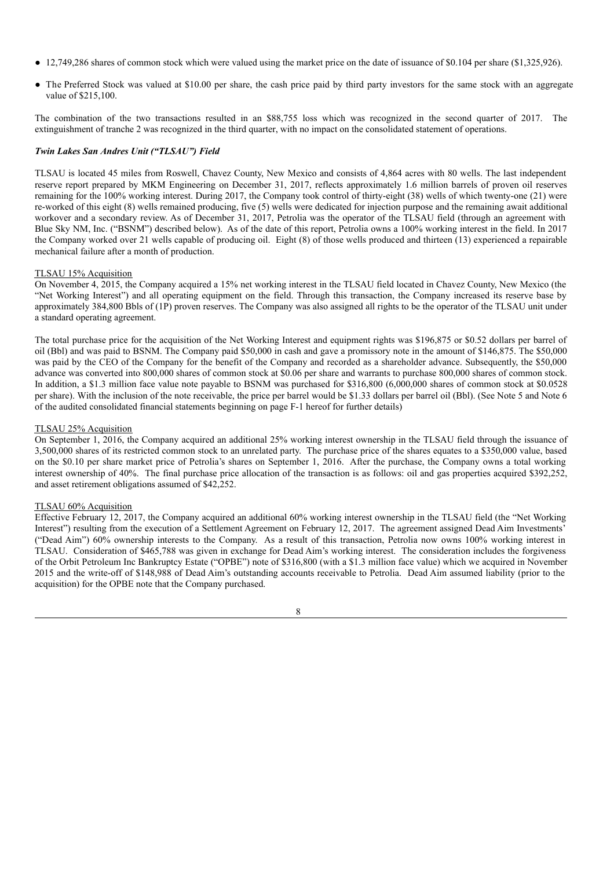- 12,749,286 shares of common stock which were valued using the market price on the date of issuance of \$0.104 per share (\$1,325,926).
- The Preferred Stock was valued at \$10.00 per share, the cash price paid by third party investors for the same stock with an aggregate value of \$215,100.

The combination of the two transactions resulted in an \$88,755 loss which was recognized in the second quarter of 2017. The extinguishment of tranche 2 was recognized in the third quarter, with no impact on the consolidated statement of operations.

#### *Twin Lakes San Andres Unit ("TLSAU") Field*

TLSAU is located 45 miles from Roswell, Chavez County, New Mexico and consists of 4,864 acres with 80 wells. The last independent reserve report prepared by MKM Engineering on December 31, 2017, reflects approximately 1.6 million barrels of proven oil reserves remaining for the 100% working interest. During 2017, the Company took control of thirty-eight (38) wells of which twenty-one (21) were re-worked of this eight (8) wells remained producing, five (5) wells were dedicated for injection purpose and the remaining await additional workover and a secondary review. As of December 31, 2017, Petrolia was the operator of the TLSAU field (through an agreement with Blue Sky NM, Inc. ("BSNM") described below). As of the date of this report, Petrolia owns a 100% working interest in the field. In 2017 the Company worked over 21 wells capable of producing oil. Eight (8) of those wells produced and thirteen (13) experienced a repairable mechanical failure after a month of production.

#### TLSAU 15% Acquisition

On November 4, 2015, the Company acquired a 15% net working interest in the TLSAU field located in Chavez County, New Mexico (the "Net Working Interest") and all operating equipment on the field. Through this transaction, the Company increased its reserve base by approximately 384,800 Bbls of (1P) proven reserves. The Company was also assigned all rights to be the operator of the TLSAU unit under a standard operating agreement.

The total purchase price for the acquisition of the Net Working Interest and equipment rights was \$196,875 or \$0.52 dollars per barrel of oil (Bbl) and was paid to BSNM. The Company paid \$50,000 in cash and gave a promissory note in the amount of \$146,875. The \$50,000 was paid by the CEO of the Company for the benefit of the Company and recorded as a shareholder advance. Subsequently, the \$50,000 advance was converted into 800,000 shares of common stock at \$0.06 per share and warrants to purchase 800,000 shares of common stock. In addition, a \$1.3 million face value note payable to BSNM was purchased for \$316,800 (6,000,000 shares of common stock at \$0.0528 per share). With the inclusion of the note receivable, the price per barrel would be \$1.33 dollars per barrel oil (Bbl). (See Note 5 and Note 6 of the audited consolidated financial statements beginning on page F-1 hereof for further details)

#### TLSAU 25% Acquisition

On September 1, 2016, the Company acquired an additional 25% working interest ownership in the TLSAU field through the issuance of 3,500,000 shares of its restricted common stock to an unrelated party. The purchase price of the shares equates to a \$350,000 value, based on the \$0.10 per share market price of Petrolia's shares on September 1, 2016. After the purchase, the Company owns a total working interest ownership of 40%. The final purchase price allocation of the transaction is as follows: oil and gas properties acquired \$392,252, and asset retirement obligations assumed of \$42,252.

#### TLSAU 60% Acquisition

Effective February 12, 2017, the Company acquired an additional 60% working interest ownership in the TLSAU field (the "Net Working Interest") resulting from the execution of a Settlement Agreement on February 12, 2017. The agreement assigned Dead Aim Investments' ("Dead Aim") 60% ownership interests to the Company. As a result of this transaction, Petrolia now owns 100% working interest in TLSAU. Consideration of \$465,788 was given in exchange for Dead Aim's working interest. The consideration includes the forgiveness of the Orbit Petroleum Inc Bankruptcy Estate ("OPBE") note of \$316,800 (with a \$1.3 million face value) which we acquired in November 2015 and the write-off of \$148,988 of Dead Aim's outstanding accounts receivable to Petrolia. Dead Aim assumed liability (prior to the acquisition) for the OPBE note that the Company purchased.

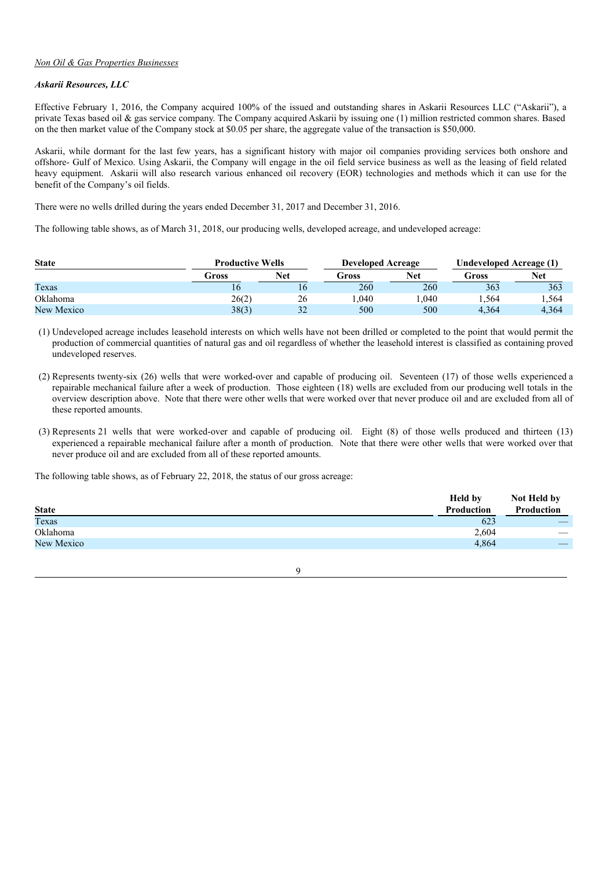## *Non Oil & Gas Properties Businesses*

#### *Askarii Resources, LLC*

Effective February 1, 2016, the Company acquired 100% of the issued and outstanding shares in Askarii Resources LLC ("Askarii"), a private Texas based oil & gas service company. The Company acquired Askarii by issuing one (1) million restricted common shares. Based on the then market value of the Company stock at \$0.05 per share, the aggregate value of the transaction is \$50,000.

Askarii, while dormant for the last few years, has a significant history with major oil companies providing services both onshore and offshore- Gulf of Mexico. Using Askarii, the Company will engage in the oil field service business as well as the leasing of field related heavy equipment. Askarii will also research various enhanced oil recovery (EOR) technologies and methods which it can use for the benefit of the Company's oil fields.

There were no wells drilled during the years ended December 31, 2017 and December 31, 2016.

The following table shows, as of March 31, 2018, our producing wells, developed acreage, and undeveloped acreage:

| <b>State</b> | <b>Productive Wells</b><br><b>Developed Acreage</b> |            |       |            |       | Undeveloped Acreage (1) |  |  |
|--------------|-----------------------------------------------------|------------|-------|------------|-------|-------------------------|--|--|
|              | Gross                                               | <b>Net</b> | Gross | <b>Net</b> | Gross | <b>Net</b>              |  |  |
| Texas        | 16                                                  | 16         | 260   | 260        | 363   | 363                     |  |  |
| Oklahoma     | 26(2)                                               | 26         | .040  | .040       | .564  | 1,564                   |  |  |
| New Mexico   | 38(3)                                               | 32         | 500   | 500        | 4.364 | 4.364                   |  |  |

(1) Undeveloped acreage includes leasehold interests on which wells have not been drilled or completed to the point that would permit the production of commercial quantities of natural gas and oil regardless of whether the leasehold interest is classified as containing proved undeveloped reserves.

(2) Represents twenty-six (26) wells that were worked-over and capable of producing oil. Seventeen (17) of those wells experienced a repairable mechanical failure after a week of production. Those eighteen (18) wells are excluded from our producing well totals in the overview description above. Note that there were other wells that were worked over that never produce oil and are excluded from all of these reported amounts.

(3) Represents 21 wells that were worked-over and capable of producing oil. Eight (8) of those wells produced and thirteen (13) experienced a repairable mechanical failure after a month of production. Note that there were other wells that were worked over that never produce oil and are excluded from all of these reported amounts.

The following table shows, as of February 22, 2018, the status of our gross acreage:

|              | <b>Held by</b> | Not Held by              |
|--------------|----------------|--------------------------|
| <b>State</b> | Production     | Production               |
| Texas        | 623            | $-$                      |
| Oklahoma     | 2,604          | $\overline{\phantom{a}}$ |
| New Mexico   | 4,864          | $-$                      |
|              |                |                          |

 $\overline{Q}$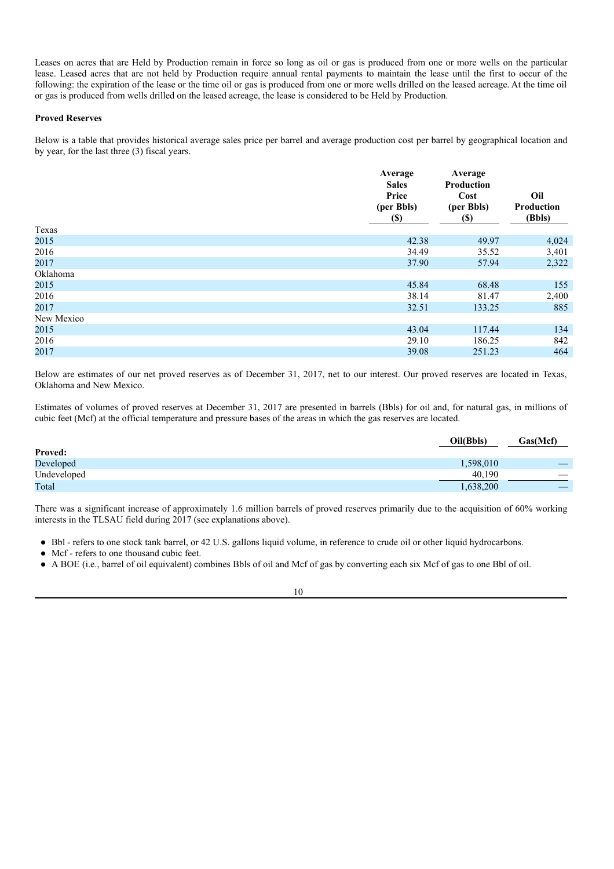Leases on acres that are Held by Production remain in force so long as oil or gas is produced from one or more wells on the particular lease. Leased acres that are not held by Production require annual rental payments to maintain the lease until the first to occur of the following: the expiration of the lease or the time oil or gas is produced from one or more wells drilled on the leased acreage. At the time oil or gas is produced from wells drilled on the leased acreage, the lease is considered to be Held by Production.

#### **Proved Reserves**

Below is a table that provides historical average sales price per barrel and average production cost per barrel by geographical location and by year, for the last three (3) fiscal years.

|            | Average<br><b>Sales</b><br>Price<br>(per Bbls)<br>$(\$)$ | Average<br>Production<br>Cost<br>(per Bbls)<br>$(\$)$ | Oil<br>Production<br>(Bbls) |
|------------|----------------------------------------------------------|-------------------------------------------------------|-----------------------------|
| Texas      |                                                          |                                                       |                             |
| 2015       | 42.38                                                    | 49.97                                                 | 4,024                       |
| 2016       | 34.49                                                    | 35.52                                                 | 3,401                       |
| 2017       | 37.90                                                    | 57.94                                                 | 2,322                       |
| Oklahoma   |                                                          |                                                       |                             |
| 2015       | 45.84                                                    | 68.48                                                 | 155                         |
| 2016       | 38.14                                                    | 81.47                                                 | 2,400                       |
| 2017       | 32.51                                                    | 133.25                                                | 885                         |
| New Mexico |                                                          |                                                       |                             |
| 2015       | 43.04                                                    | 117.44                                                | 134                         |
| 2016       | 29.10                                                    | 186.25                                                | 842                         |
| 2017       | 39.08                                                    | 251.23                                                | 464                         |

Below are estimates of our net proved reserves as of December 31, 2017, net to our interest. Our proved reserves are located in Texas, Oklahoma and New Mexico.

Estimates of volumes of proved reserves at December 31, 2017 are presented in barrels (Bbls) for oil and, for natural gas, in millions of cubic feet (Mcf) at the official temperature and pressure bases of the areas in which the gas reserves are located.

|                | Oil(Bbls) | Gas(Mcf) |
|----------------|-----------|----------|
| <b>Proved:</b> |           |          |
| Developed      | 1,598,010 |          |
| Undeveloped    | 40.190    |          |
| Total          | 1,638,200 | $-$      |

There was a significant increase of approximately 1.6 million barrels of proved reserves primarily due to the acquisition of 60% working interests in the TLSAU field during 2017 (see explanations above).

- Bbl refers to one stock tank barrel, or 42 U.S. gallons liquid volume, in reference to crude oil or other liquid hydrocarbons.
- Mcf refers to one thousand cubic feet.
- A BOE (i.e., barrel of oil equivalent) combines Bbls of oil and Mcf of gas by converting each six Mcf of gas to one Bbl of oil.

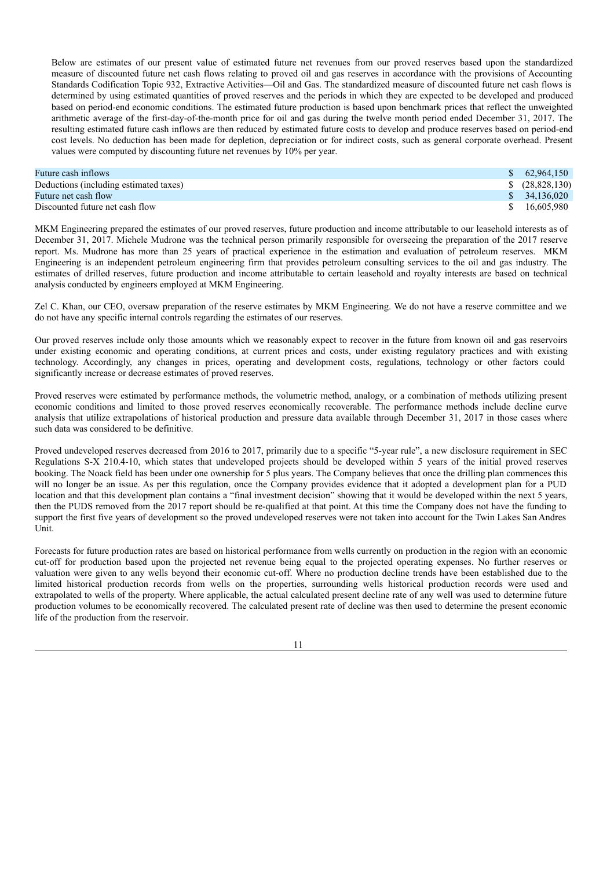Below are estimates of our present value of estimated future net revenues from our proved reserves based upon the standardized measure of discounted future net cash flows relating to proved oil and gas reserves in accordance with the provisions of Accounting Standards Codification Topic 932, Extractive Activities—Oil and Gas. The standardized measure of discounted future net cash flows is determined by using estimated quantities of proved reserves and the periods in which they are expected to be developed and produced based on period-end economic conditions. The estimated future production is based upon benchmark prices that reflect the unweighted arithmetic average of the first-day-of-the-month price for oil and gas during the twelve month period ended December 31, 2017. The resulting estimated future cash inflows are then reduced by estimated future costs to develop and produce reserves based on period-end cost levels. No deduction has been made for depletion, depreciation or for indirect costs, such as general corporate overhead. Present values were computed by discounting future net revenues by 10% per year.

| Future cash inflows                    |              | \$62.964.150       |
|----------------------------------------|--------------|--------------------|
| Deductions (including estimated taxes) |              | $$^{(28,828,130)}$ |
| Future net cash flow                   |              | \$34,136,020       |
| Discounted future net cash flow        | <sup>S</sup> | 16.605.980         |

MKM Engineering prepared the estimates of our proved reserves, future production and income attributable to our leasehold interests as of December 31, 2017. Michele Mudrone was the technical person primarily responsible for overseeing the preparation of the 2017 reserve report. Ms. Mudrone has more than 25 years of practical experience in the estimation and evaluation of petroleum reserves. MKM Engineering is an independent petroleum engineering firm that provides petroleum consulting services to the oil and gas industry. The estimates of drilled reserves, future production and income attributable to certain leasehold and royalty interests are based on technical analysis conducted by engineers employed at MKM Engineering.

Zel C. Khan, our CEO, oversaw preparation of the reserve estimates by MKM Engineering. We do not have a reserve committee and we do not have any specific internal controls regarding the estimates of our reserves.

Our proved reserves include only those amounts which we reasonably expect to recover in the future from known oil and gas reservoirs under existing economic and operating conditions, at current prices and costs, under existing regulatory practices and with existing technology. Accordingly, any changes in prices, operating and development costs, regulations, technology or other factors could significantly increase or decrease estimates of proved reserves.

Proved reserves were estimated by performance methods, the volumetric method, analogy, or a combination of methods utilizing present economic conditions and limited to those proved reserves economically recoverable. The performance methods include decline curve analysis that utilize extrapolations of historical production and pressure data available through December 31, 2017 in those cases where such data was considered to be definitive.

Proved undeveloped reserves decreased from 2016 to 2017, primarily due to a specific "5-year rule", a new disclosure requirement in SEC Regulations S-X 210.4-10, which states that undeveloped projects should be developed within 5 years of the initial proved reserves booking. The Noack field has been under one ownership for 5 plus years. The Company believes that once the drilling plan commences this will no longer be an issue. As per this regulation, once the Company provides evidence that it adopted a development plan for a PUD location and that this development plan contains a "final investment decision" showing that it would be developed within the next 5 years, then the PUDS removed from the 2017 report should be re-qualified at that point. At this time the Company does not have the funding to support the first five years of development so the proved undeveloped reserves were not taken into account for the Twin Lakes San Andres Unit.

Forecasts for future production rates are based on historical performance from wells currently on production in the region with an economic cut-off for production based upon the projected net revenue being equal to the projected operating expenses. No further reserves or valuation were given to any wells beyond their economic cut-off. Where no production decline trends have been established due to the limited historical production records from wells on the properties, surrounding wells historical production records were used and extrapolated to wells of the property. Where applicable, the actual calculated present decline rate of any well was used to determine future production volumes to be economically recovered. The calculated present rate of decline was then used to determine the present economic life of the production from the reservoir.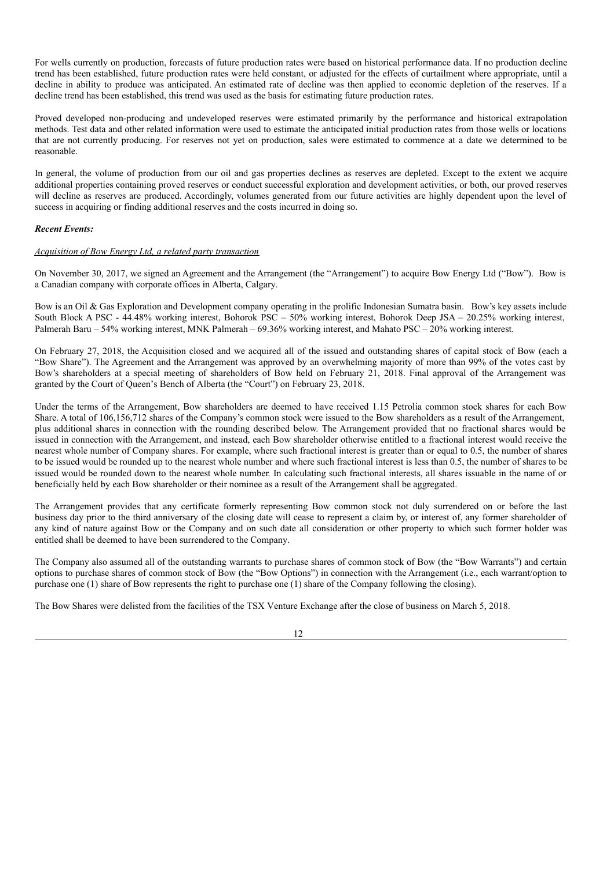For wells currently on production, forecasts of future production rates were based on historical performance data. If no production decline trend has been established, future production rates were held constant, or adjusted for the effects of curtailment where appropriate, until a decline in ability to produce was anticipated. An estimated rate of decline was then applied to economic depletion of the reserves. If a decline trend has been established, this trend was used as the basis for estimating future production rates.

Proved developed non-producing and undeveloped reserves were estimated primarily by the performance and historical extrapolation methods. Test data and other related information were used to estimate the anticipated initial production rates from those wells or locations that are not currently producing. For reserves not yet on production, sales were estimated to commence at a date we determined to be reasonable.

In general, the volume of production from our oil and gas properties declines as reserves are depleted. Except to the extent we acquire additional properties containing proved reserves or conduct successful exploration and development activities, or both, our proved reserves will decline as reserves are produced. Accordingly, volumes generated from our future activities are highly dependent upon the level of success in acquiring or finding additional reserves and the costs incurred in doing so.

#### *Recent Events:*

#### *Acquisition of Bow Energy Ltd, a related party transaction*

On November 30, 2017, we signed an Agreement and the Arrangement (the "Arrangement") to acquire Bow Energy Ltd ("Bow"). Bow is a Canadian company with corporate offices in Alberta, Calgary.

Bow is an Oil & Gas Exploration and Development company operating in the prolific Indonesian Sumatra basin. Bow's key assets include South Block A PSC - 44.48% working interest, Bohorok PSC – 50% working interest, Bohorok Deep JSA – 20.25% working interest, Palmerah Baru – 54% working interest, MNK Palmerah – 69.36% working interest, and Mahato PSC – 20% working interest.

On February 27, 2018, the Acquisition closed and we acquired all of the issued and outstanding shares of capital stock of Bow (each a "Bow Share"). The Agreement and the Arrangement was approved by an overwhelming majority of more than 99% of the votes cast by Bow's shareholders at a special meeting of shareholders of Bow held on February 21, 2018. Final approval of the Arrangement was granted by the Court of Queen's Bench of Alberta (the "Court") on February 23, 2018.

Under the terms of the Arrangement, Bow shareholders are deemed to have received 1.15 Petrolia common stock shares for each Bow Share. A total of 106,156,712 shares of the Company's common stock were issued to the Bow shareholders as a result of the Arrangement, plus additional shares in connection with the rounding described below. The Arrangement provided that no fractional shares would be issued in connection with the Arrangement, and instead, each Bow shareholder otherwise entitled to a fractional interest would receive the nearest whole number of Company shares. For example, where such fractional interest is greater than or equal to 0.5, the number of shares to be issued would be rounded up to the nearest whole number and where such fractional interest is less than 0.5, the number of shares to be issued would be rounded down to the nearest whole number. In calculating such fractional interests, all shares issuable in the name of or beneficially held by each Bow shareholder or their nominee as a result of the Arrangement shall be aggregated.

The Arrangement provides that any certificate formerly representing Bow common stock not duly surrendered on or before the last business day prior to the third anniversary of the closing date will cease to represent a claim by, or interest of, any former shareholder of any kind of nature against Bow or the Company and on such date all consideration or other property to which such former holder was entitled shall be deemed to have been surrendered to the Company.

The Company also assumed all of the outstanding warrants to purchase shares of common stock of Bow (the "Bow Warrants") and certain options to purchase shares of common stock of Bow (the "Bow Options") in connection with the Arrangement (i.e., each warrant/option to purchase one (1) share of Bow represents the right to purchase one (1) share of the Company following the closing).

The Bow Shares were delisted from the facilities of the TSX Venture Exchange after the close of business on March 5, 2018.

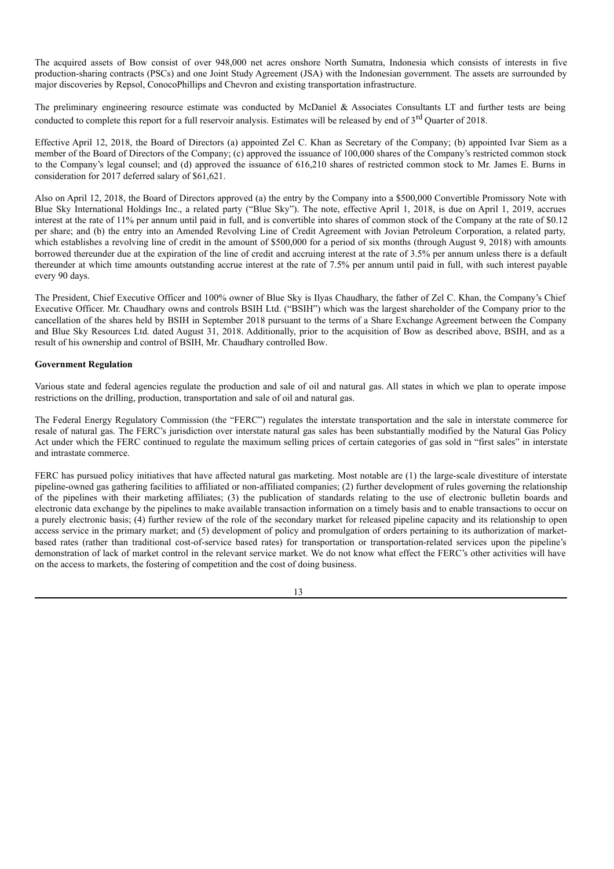The acquired assets of Bow consist of over 948,000 net acres onshore North Sumatra, Indonesia which consists of interests in five production-sharing contracts (PSCs) and one Joint Study Agreement (JSA) with the Indonesian government. The assets are surrounded by major discoveries by Repsol, ConocoPhillips and Chevron and existing transportation infrastructure.

The preliminary engineering resource estimate was conducted by McDaniel & Associates Consultants LT and further tests are being conducted to complete this report for a full reservoir analysis. Estimates will be released by end of 3<sup>rd</sup> Quarter of 2018.

Effective April 12, 2018, the Board of Directors (a) appointed Zel C. Khan as Secretary of the Company; (b) appointed Ivar Siem as a member of the Board of Directors of the Company; (c) approved the issuance of 100,000 shares of the Company's restricted common stock to the Company's legal counsel; and (d) approved the issuance of 616,210 shares of restricted common stock to Mr. James E. Burns in consideration for 2017 deferred salary of \$61,621.

Also on April 12, 2018, the Board of Directors approved (a) the entry by the Company into a \$500,000 Convertible Promissory Note with Blue Sky International Holdings Inc., a related party ("Blue Sky"). The note, effective April 1, 2018, is due on April 1, 2019, accrues interest at the rate of 11% per annum until paid in full, and is convertible into shares of common stock of the Company at the rate of \$0.12 per share; and (b) the entry into an Amended Revolving Line of Credit Agreement with Jovian Petroleum Corporation, a related party, which establishes a revolving line of credit in the amount of \$500,000 for a period of six months (through August 9, 2018) with amounts borrowed thereunder due at the expiration of the line of credit and accruing interest at the rate of 3.5% per annum unless there is a default thereunder at which time amounts outstanding accrue interest at the rate of 7.5% per annum until paid in full, with such interest payable every 90 days.

The President, Chief Executive Officer and 100% owner of Blue Sky is Ilyas Chaudhary, the father of Zel C. Khan, the Company's Chief Executive Officer. Mr. Chaudhary owns and controls BSIH Ltd. ("BSIH") which was the largest shareholder of the Company prior to the cancellation of the shares held by BSIH in September 2018 pursuant to the terms of a Share Exchange Agreement between the Company and Blue Sky Resources Ltd. dated August 31, 2018. Additionally, prior to the acquisition of Bow as described above, BSIH, and as a result of his ownership and control of BSIH, Mr. Chaudhary controlled Bow.

#### **Government Regulation**

Various state and federal agencies regulate the production and sale of oil and natural gas. All states in which we plan to operate impose restrictions on the drilling, production, transportation and sale of oil and natural gas.

The Federal Energy Regulatory Commission (the "FERC") regulates the interstate transportation and the sale in interstate commerce for resale of natural gas. The FERC's jurisdiction over interstate natural gas sales has been substantially modified by the Natural Gas Policy Act under which the FERC continued to regulate the maximum selling prices of certain categories of gas sold in "first sales" in interstate and intrastate commerce.

FERC has pursued policy initiatives that have affected natural gas marketing. Most notable are (1) the large-scale divestiture of interstate pipeline-owned gas gathering facilities to affiliated or non-affiliated companies; (2) further development of rules governing the relationship of the pipelines with their marketing affiliates; (3) the publication of standards relating to the use of electronic bulletin boards and electronic data exchange by the pipelines to make available transaction information on a timely basis and to enable transactions to occur on a purely electronic basis; (4) further review of the role of the secondary market for released pipeline capacity and its relationship to open access service in the primary market; and (5) development of policy and promulgation of orders pertaining to its authorization of marketbased rates (rather than traditional cost-of-service based rates) for transportation or transportation-related services upon the pipeline's demonstration of lack of market control in the relevant service market. We do not know what effect the FERC's other activities will have on the access to markets, the fostering of competition and the cost of doing business.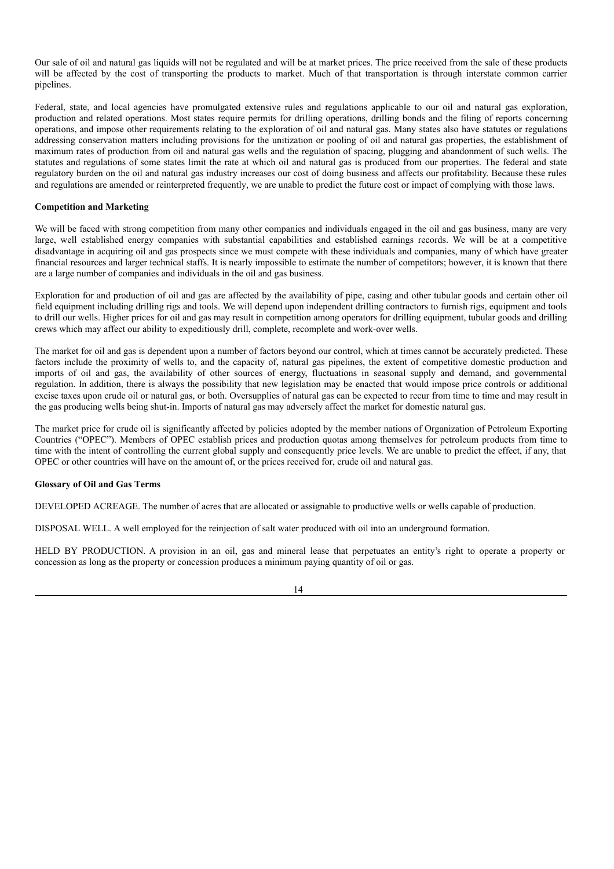Our sale of oil and natural gas liquids will not be regulated and will be at market prices. The price received from the sale of these products will be affected by the cost of transporting the products to market. Much of that transportation is through interstate common carrier pipelines.

Federal, state, and local agencies have promulgated extensive rules and regulations applicable to our oil and natural gas exploration, production and related operations. Most states require permits for drilling operations, drilling bonds and the filing of reports concerning operations, and impose other requirements relating to the exploration of oil and natural gas. Many states also have statutes or regulations addressing conservation matters including provisions for the unitization or pooling of oil and natural gas properties, the establishment of maximum rates of production from oil and natural gas wells and the regulation of spacing, plugging and abandonment of such wells. The statutes and regulations of some states limit the rate at which oil and natural gas is produced from our properties. The federal and state regulatory burden on the oil and natural gas industry increases our cost of doing business and affects our profitability. Because these rules and regulations are amended or reinterpreted frequently, we are unable to predict the future cost or impact of complying with those laws.

#### **Competition and Marketing**

We will be faced with strong competition from many other companies and individuals engaged in the oil and gas business, many are very large, well established energy companies with substantial capabilities and established earnings records. We will be at a competitive disadvantage in acquiring oil and gas prospects since we must compete with these individuals and companies, many of which have greater financial resources and larger technical staffs. It is nearly impossible to estimate the number of competitors; however, it is known that there are a large number of companies and individuals in the oil and gas business.

Exploration for and production of oil and gas are affected by the availability of pipe, casing and other tubular goods and certain other oil field equipment including drilling rigs and tools. We will depend upon independent drilling contractors to furnish rigs, equipment and tools to drill our wells. Higher prices for oil and gas may result in competition among operators for drilling equipment, tubular goods and drilling crews which may affect our ability to expeditiously drill, complete, recomplete and work-over wells.

The market for oil and gas is dependent upon a number of factors beyond our control, which at times cannot be accurately predicted. These factors include the proximity of wells to, and the capacity of, natural gas pipelines, the extent of competitive domestic production and imports of oil and gas, the availability of other sources of energy, fluctuations in seasonal supply and demand, and governmental regulation. In addition, there is always the possibility that new legislation may be enacted that would impose price controls or additional excise taxes upon crude oil or natural gas, or both. Oversupplies of natural gas can be expected to recur from time to time and may result in the gas producing wells being shut-in. Imports of natural gas may adversely affect the market for domestic natural gas.

The market price for crude oil is significantly affected by policies adopted by the member nations of Organization of Petroleum Exporting Countries ("OPEC"). Members of OPEC establish prices and production quotas among themselves for petroleum products from time to time with the intent of controlling the current global supply and consequently price levels. We are unable to predict the effect, if any, that OPEC or other countries will have on the amount of, or the prices received for, crude oil and natural gas.

#### **Glossary of Oil and Gas Terms**

DEVELOPED ACREAGE. The number of acres that are allocated or assignable to productive wells or wells capable of production.

DISPOSAL WELL. A well employed for the reinjection of salt water produced with oil into an underground formation.

HELD BY PRODUCTION. A provision in an oil, gas and mineral lease that perpetuates an entity's right to operate a property or concession as long as the property or concession produces a minimum paying quantity of oil or gas.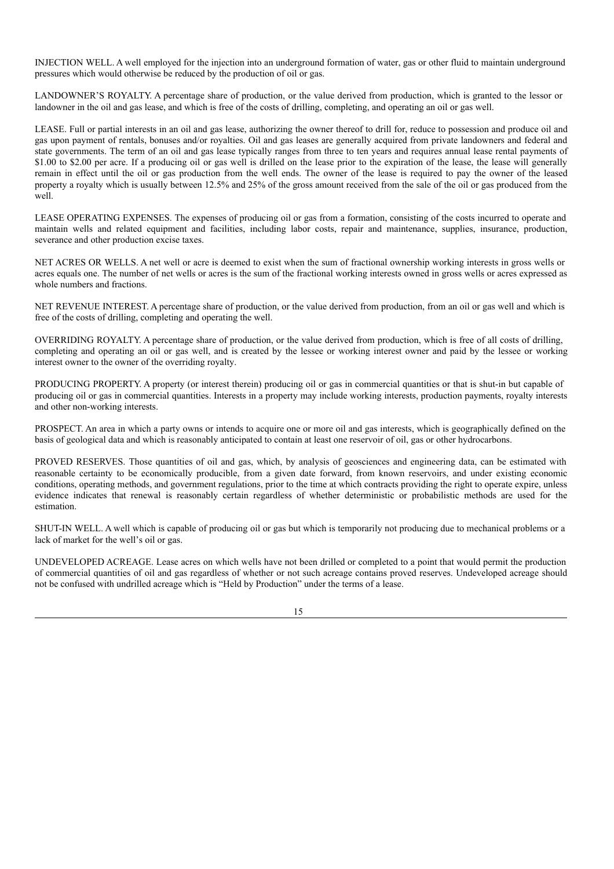INJECTION WELL. A well employed for the injection into an underground formation of water, gas or other fluid to maintain underground pressures which would otherwise be reduced by the production of oil or gas.

LANDOWNER'S ROYALTY. A percentage share of production, or the value derived from production, which is granted to the lessor or landowner in the oil and gas lease, and which is free of the costs of drilling, completing, and operating an oil or gas well.

LEASE. Full or partial interests in an oil and gas lease, authorizing the owner thereof to drill for, reduce to possession and produce oil and gas upon payment of rentals, bonuses and/or royalties. Oil and gas leases are generally acquired from private landowners and federal and state governments. The term of an oil and gas lease typically ranges from three to ten years and requires annual lease rental payments of \$1.00 to \$2.00 per acre. If a producing oil or gas well is drilled on the lease prior to the expiration of the lease, the lease will generally remain in effect until the oil or gas production from the well ends. The owner of the lease is required to pay the owner of the leased property a royalty which is usually between 12.5% and 25% of the gross amount received from the sale of the oil or gas produced from the well.

LEASE OPERATING EXPENSES. The expenses of producing oil or gas from a formation, consisting of the costs incurred to operate and maintain wells and related equipment and facilities, including labor costs, repair and maintenance, supplies, insurance, production, severance and other production excise taxes.

NET ACRES OR WELLS. A net well or acre is deemed to exist when the sum of fractional ownership working interests in gross wells or acres equals one. The number of net wells or acres is the sum of the fractional working interests owned in gross wells or acres expressed as whole numbers and fractions.

NET REVENUE INTEREST. A percentage share of production, or the value derived from production, from an oil or gas well and which is free of the costs of drilling, completing and operating the well.

OVERRIDING ROYALTY. A percentage share of production, or the value derived from production, which is free of all costs of drilling, completing and operating an oil or gas well, and is created by the lessee or working interest owner and paid by the lessee or working interest owner to the owner of the overriding royalty.

PRODUCING PROPERTY. A property (or interest therein) producing oil or gas in commercial quantities or that is shut-in but capable of producing oil or gas in commercial quantities. Interests in a property may include working interests, production payments, royalty interests and other non-working interests.

PROSPECT. An area in which a party owns or intends to acquire one or more oil and gas interests, which is geographically defined on the basis of geological data and which is reasonably anticipated to contain at least one reservoir of oil, gas or other hydrocarbons.

PROVED RESERVES. Those quantities of oil and gas, which, by analysis of geosciences and engineering data, can be estimated with reasonable certainty to be economically producible, from a given date forward, from known reservoirs, and under existing economic conditions, operating methods, and government regulations, prior to the time at which contracts providing the right to operate expire, unless evidence indicates that renewal is reasonably certain regardless of whether deterministic or probabilistic methods are used for the estimation.

SHUT-IN WELL. A well which is capable of producing oil or gas but which is temporarily not producing due to mechanical problems or a lack of market for the well's oil or gas.

UNDEVELOPED ACREAGE. Lease acres on which wells have not been drilled or completed to a point that would permit the production of commercial quantities of oil and gas regardless of whether or not such acreage contains proved reserves. Undeveloped acreage should not be confused with undrilled acreage which is "Held by Production" under the terms of a lease.

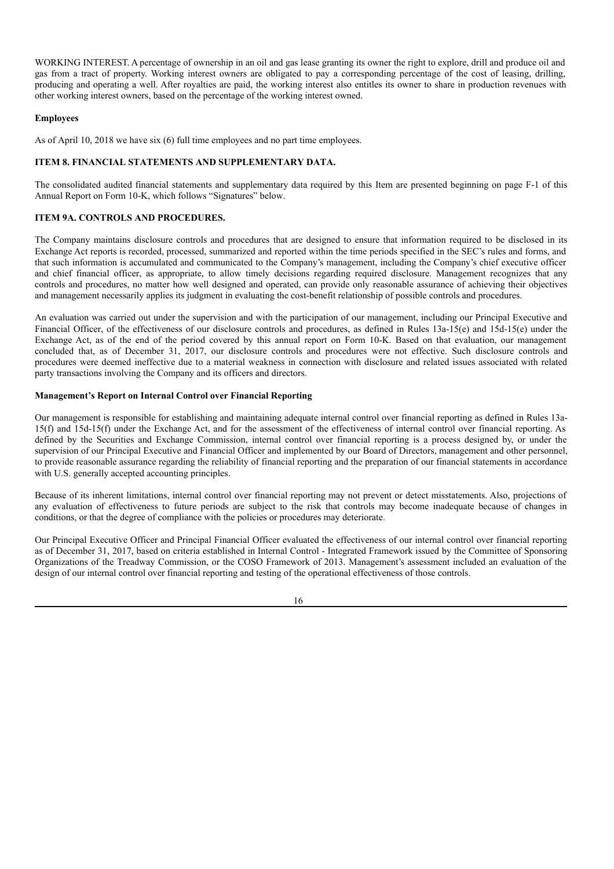WORKING INTEREST. A percentage of ownership in an oil and gas lease granting its owner the right to explore, drill and produce oil and gas from a tract of property. Working interest owners are obligated to pay a corresponding percentage of the cost of leasing, drilling, producing and operating a well. After royalties are paid, the working interest also entitles its owner to share in production revenues with other working interest owners, based on the percentage of the working interest owned.

# **Employees**

As of April 10, 2018 we have six (6) full time employees and no part time employees.

# **ITEM 8. FINANCIAL STATEMENTS AND SUPPLEMENTARY DATA.**

The consolidated audited financial statements and supplementary data required by this Item are presented beginning on page F-1 of this Annual Report on Form 10-K, which follows "Signatures" below.

# **ITEM 9A. CONTROLS AND PROCEDURES.**

The Company maintains disclosure controls and procedures that are designed to ensure that information required to be disclosed in its Exchange Act reports is recorded, processed, summarized and reported within the time periods specified in the SEC's rules and forms, and that such information is accumulated and communicated to the Company's management, including the Company's chief executive officer and chief financial officer, as appropriate, to allow timely decisions regarding required disclosure. Management recognizes that any controls and procedures, no matter how well designed and operated, can provide only reasonable assurance of achieving their objectives and management necessarily applies its judgment in evaluating the cost-benefit relationship of possible controls and procedures.

An evaluation was carried out under the supervision and with the participation of our management, including our Principal Executive and Financial Officer, of the effectiveness of our disclosure controls and procedures, as defined in Rules 13a-15(e) and 15d-15(e) under the Exchange Act, as of the end of the period covered by this annual report on Form 10-K. Based on that evaluation, our management concluded that, as of December 31, 2017, our disclosure controls and procedures were not effective. Such disclosure controls and procedures were deemed ineffective due to a material weakness in connection with disclosure and related issues associated with related party transactions involving the Company and its officers and directors.

#### **Management's Report on Internal Control over Financial Reporting**

Our management is responsible for establishing and maintaining adequate internal control over financial reporting as defined in Rules 13a-15(f) and 15d-15(f) under the Exchange Act, and for the assessment of the effectiveness of internal control over financial reporting. As defined by the Securities and Exchange Commission, internal control over financial reporting is a process designed by, or under the supervision of our Principal Executive and Financial Officer and implemented by our Board of Directors, management and other personnel, to provide reasonable assurance regarding the reliability of financial reporting and the preparation of our financial statements in accordance with U.S. generally accepted accounting principles.

Because of its inherent limitations, internal control over financial reporting may not prevent or detect misstatements. Also, projections of any evaluation of effectiveness to future periods are subject to the risk that controls may become inadequate because of changes in conditions, or that the degree of compliance with the policies or procedures may deteriorate.

Our Principal Executive Officer and Principal Financial Officer evaluated the effectiveness of our internal control over financial reporting as of December 31, 2017, based on criteria established in Internal Control - Integrated Framework issued by the Committee of Sponsoring Organizations of the Treadway Commission, or the COSO Framework of 2013. Management's assessment included an evaluation of the design of our internal control over financial reporting and testing of the operational effectiveness of those controls.

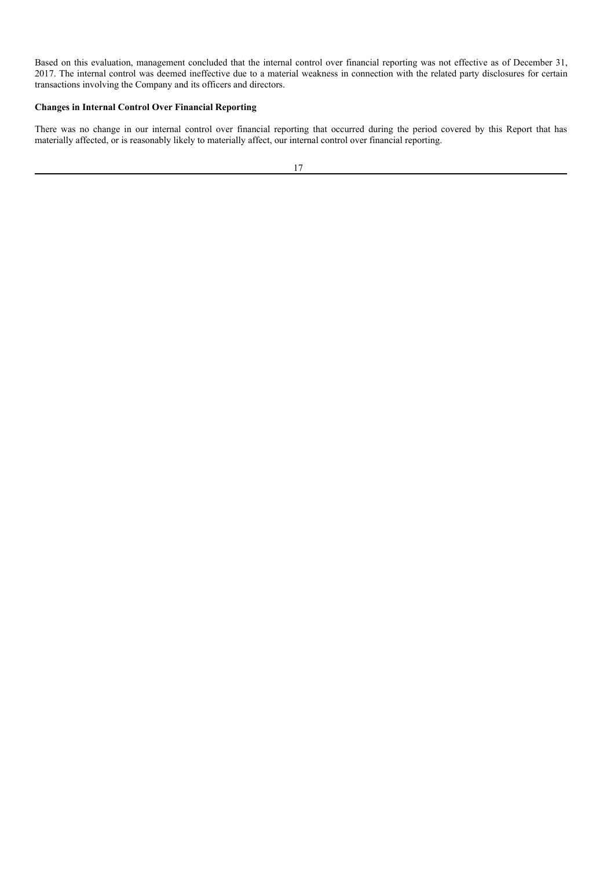Based on this evaluation, management concluded that the internal control over financial reporting was not effective as of December 31, 2017. The internal control was deemed ineffective due to a material weakness in connection with the related party disclosures for certain transactions involving the Company and its officers and directors.

# **Changes in Internal Control Over Financial Reporting**

There was no change in our internal control over financial reporting that occurred during the period covered by this Report that has materially affected, or is reasonably likely to materially affect, our internal control over financial reporting.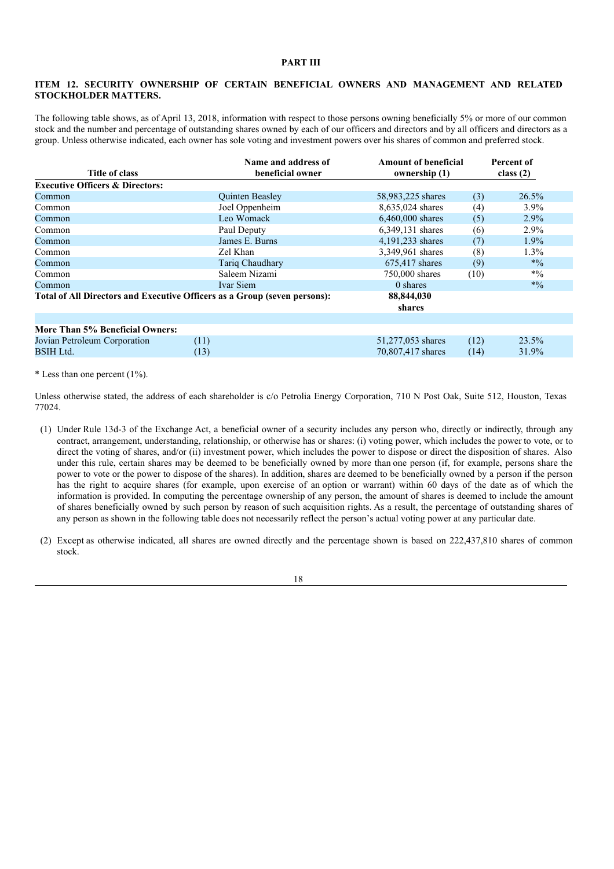# **PART III**

### **ITEM 12. SECURITY OWNERSHIP OF CERTAIN BENEFICIAL OWNERS AND MANAGEMENT AND RELATED STOCKHOLDER MATTERS.**

The following table shows, as of April 13, 2018, information with respect to those persons owning beneficially 5% or more of our common stock and the number and percentage of outstanding shares owned by each of our officers and directors and by all officers and directors as a group. Unless otherwise indicated, each owner has sole voting and investment powers over his shares of common and preferred stock.

|                                            | Name and address of                                                       | <b>Amount of beneficial</b> |      | Percent of  |
|--------------------------------------------|---------------------------------------------------------------------------|-----------------------------|------|-------------|
| Title of class                             | beneficial owner                                                          | ownership (1)               |      | class $(2)$ |
| <b>Executive Officers &amp; Directors:</b> |                                                                           |                             |      |             |
| Common                                     | <b>Quinten Beasley</b>                                                    | 58,983,225 shares           | (3)  | $26.5\%$    |
| Common                                     | Joel Oppenheim                                                            | 8,635,024 shares            | (4)  | $3.9\%$     |
| Common                                     | Leo Womack                                                                | 6,460,000 shares            | (5)  | 2.9%        |
| Common                                     | Paul Deputy                                                               | 6,349,131 shares            | (6)  | 2.9%        |
| Common                                     | James E. Burns                                                            | 4,191,233 shares            | (7)  | $1.9\%$     |
| Common                                     | Zel Khan                                                                  | 3,349,961 shares            | (8)  | $1.3\%$     |
| Common                                     | Tariq Chaudhary                                                           | 675,417 shares              | (9)  | $*0/0$      |
| Common                                     | Saleem Nizami                                                             | 750,000 shares              | (10) | $*9/0$      |
| Common                                     | Ivar Siem                                                                 | 0 shares                    |      | $*9/0$      |
|                                            | Total of All Directors and Executive Officers as a Group (seven persons): | 88,844,030                  |      |             |
|                                            |                                                                           | shares                      |      |             |
|                                            |                                                                           |                             |      |             |
| More Than 5% Beneficial Owners:            |                                                                           |                             |      |             |
| Jovian Petroleum Corporation               | (11)                                                                      | 51,277,053 shares           | (12) | 23.5%       |
| <b>BSIH Ltd.</b>                           | (13)                                                                      | 70,807,417 shares           | (14) | 31.9%       |

\* Less than one percent  $(1\%)$ .

Unless otherwise stated, the address of each shareholder is c/o Petrolia Energy Corporation, 710 N Post Oak, Suite 512, Houston, Texas 77024.

- (1) Under Rule 13d-3 of the Exchange Act, a beneficial owner of a security includes any person who, directly or indirectly, through any contract, arrangement, understanding, relationship, or otherwise has or shares: (i) voting power, which includes the power to vote, or to direct the voting of shares, and/or (ii) investment power, which includes the power to dispose or direct the disposition of shares. Also under this rule, certain shares may be deemed to be beneficially owned by more than one person (if, for example, persons share the power to vote or the power to dispose of the shares). In addition, shares are deemed to be beneficially owned by a person if the person has the right to acquire shares (for example, upon exercise of an option or warrant) within 60 days of the date as of which the information is provided. In computing the percentage ownership of any person, the amount of shares is deemed to include the amount of shares beneficially owned by such person by reason of such acquisition rights. As a result, the percentage of outstanding shares of any person as shown in the following table does not necessarily reflect the person's actual voting power at any particular date.
- (2) Except as otherwise indicated, all shares are owned directly and the percentage shown is based on 222,437,810 shares of common stock.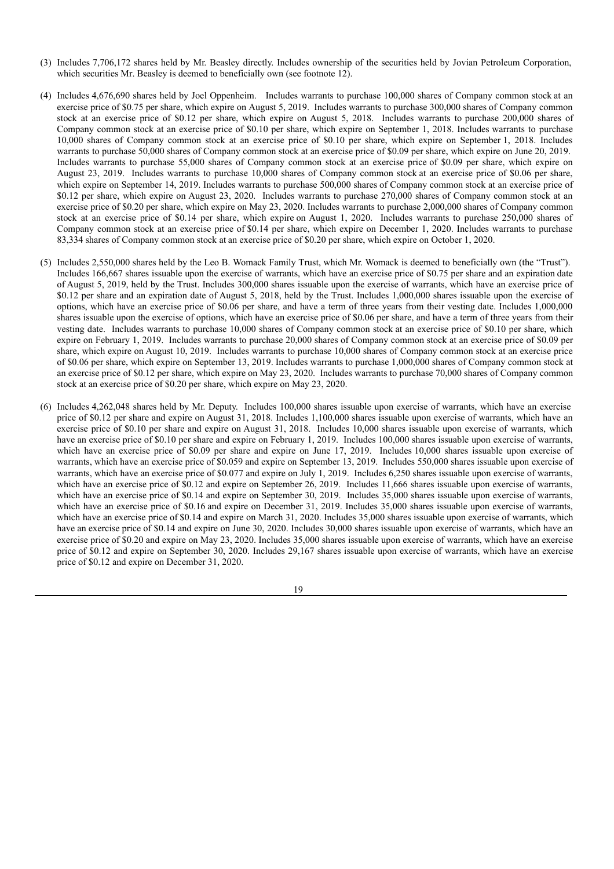- (3) Includes 7,706,172 shares held by Mr. Beasley directly. Includes ownership of the securities held by Jovian Petroleum Corporation, which securities Mr. Beasley is deemed to beneficially own (see footnote 12).
- (4) Includes 4,676,690 shares held by Joel Oppenheim. Includes warrants to purchase 100,000 shares of Company common stock at an exercise price of \$0.75 per share, which expire on August 5, 2019. Includes warrants to purchase 300,000 shares of Company common stock at an exercise price of \$0.12 per share, which expire on August 5, 2018. Includes warrants to purchase 200,000 shares of Company common stock at an exercise price of \$0.10 per share, which expire on September 1, 2018. Includes warrants to purchase 10,000 shares of Company common stock at an exercise price of \$0.10 per share, which expire on September 1, 2018. Includes warrants to purchase 50,000 shares of Company common stock at an exercise price of \$0.09 per share, which expire on June 20, 2019. Includes warrants to purchase 55,000 shares of Company common stock at an exercise price of \$0.09 per share, which expire on August 23, 2019. Includes warrants to purchase 10,000 shares of Company common stock at an exercise price of \$0.06 per share, which expire on September 14, 2019. Includes warrants to purchase 500,000 shares of Company common stock at an exercise price of \$0.12 per share, which expire on August 23, 2020. Includes warrants to purchase 270,000 shares of Company common stock at an exercise price of \$0.20 per share, which expire on May 23, 2020. Includes warrants to purchase 2,000,000 shares of Company common stock at an exercise price of \$0.14 per share, which expire on August 1, 2020. Includes warrants to purchase 250,000 shares of Company common stock at an exercise price of \$0.14 per share, which expire on December 1, 2020. Includes warrants to purchase 83,334 shares of Company common stock at an exercise price of \$0.20 per share, which expire on October 1, 2020.
- (5) Includes 2,550,000 shares held by the Leo B. Womack Family Trust, which Mr. Womack is deemed to beneficially own (the "Trust"). Includes 166,667 shares issuable upon the exercise of warrants, which have an exercise price of \$0.75 per share and an expiration date of August 5, 2019, held by the Trust. Includes 300,000 shares issuable upon the exercise of warrants, which have an exercise price of \$0.12 per share and an expiration date of August 5, 2018, held by the Trust. Includes 1,000,000 shares issuable upon the exercise of options, which have an exercise price of \$0.06 per share, and have a term of three years from their vesting date. Includes 1,000,000 shares issuable upon the exercise of options, which have an exercise price of \$0.06 per share, and have a term of three years from their vesting date. Includes warrants to purchase 10,000 shares of Company common stock at an exercise price of \$0.10 per share, which expire on February 1, 2019. Includes warrants to purchase 20,000 shares of Company common stock at an exercise price of \$0.09 per share, which expire on August 10, 2019. Includes warrants to purchase 10,000 shares of Company common stock at an exercise price of \$0.06 per share, which expire on September 13, 2019. Includes warrants to purchase 1,000,000 shares of Company common stock at an exercise price of \$0.12 per share, which expire on May 23, 2020. Includes warrants to purchase 70,000 shares of Company common stock at an exercise price of \$0.20 per share, which expire on May 23, 2020.
- (6) Includes 4,262,048 shares held by Mr. Deputy. Includes 100,000 shares issuable upon exercise of warrants, which have an exercise price of \$0.12 per share and expire on August 31, 2018. Includes 1,100,000 shares issuable upon exercise of warrants, which have an exercise price of \$0.10 per share and expire on August 31, 2018. Includes 10,000 shares issuable upon exercise of warrants, which have an exercise price of \$0.10 per share and expire on February 1, 2019. Includes 100,000 shares issuable upon exercise of warrants, which have an exercise price of \$0.09 per share and expire on June 17, 2019. Includes 10,000 shares issuable upon exercise of warrants, which have an exercise price of \$0.059 and expire on September 13, 2019. Includes 550,000 shares issuable upon exercise of warrants, which have an exercise price of \$0.077 and expire on July 1, 2019. Includes 6,250 shares issuable upon exercise of warrants, which have an exercise price of \$0.12 and expire on September 26, 2019. Includes 11,666 shares issuable upon exercise of warrants, which have an exercise price of \$0.14 and expire on September 30, 2019. Includes 35,000 shares issuable upon exercise of warrants, which have an exercise price of \$0.16 and expire on December 31, 2019. Includes 35,000 shares issuable upon exercise of warrants, which have an exercise price of \$0.14 and expire on March 31, 2020. Includes 35,000 shares issuable upon exercise of warrants, which have an exercise price of \$0.14 and expire on June 30, 2020. Includes 30,000 shares issuable upon exercise of warrants, which have an exercise price of \$0.20 and expire on May 23, 2020. Includes 35,000 shares issuable upon exercise of warrants, which have an exercise price of \$0.12 and expire on September 30, 2020. Includes 29,167 shares issuable upon exercise of warrants, which have an exercise price of \$0.12 and expire on December 31, 2020.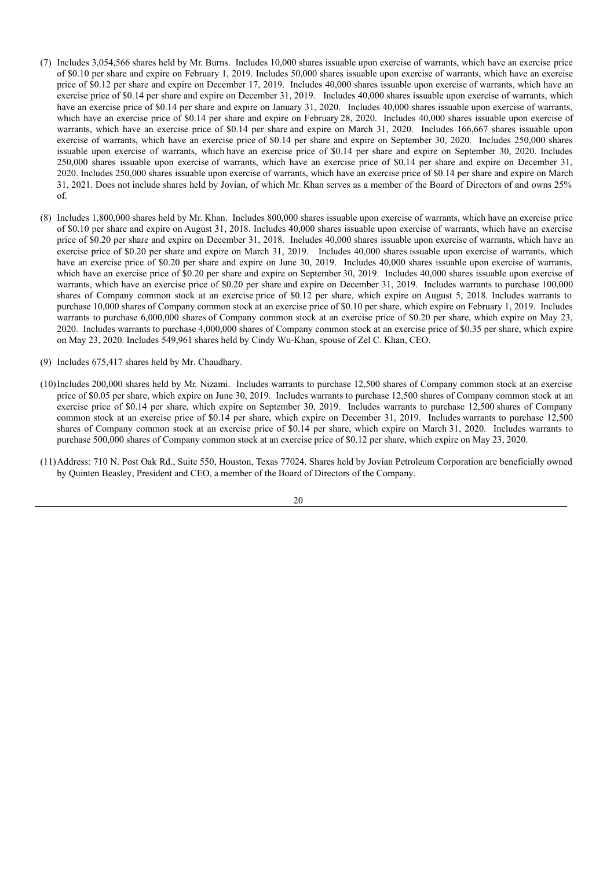- (7) Includes 3,054,566 shares held by Mr. Burns. Includes 10,000 shares issuable upon exercise of warrants, which have an exercise price of \$0.10 per share and expire on February 1, 2019. Includes 50,000 shares issuable upon exercise of warrants, which have an exercise price of \$0.12 per share and expire on December 17, 2019. Includes 40,000 shares issuable upon exercise of warrants, which have an exercise price of \$0.14 per share and expire on December 31, 2019. Includes 40,000 shares issuable upon exercise of warrants, which have an exercise price of \$0.14 per share and expire on January 31, 2020. Includes 40,000 shares issuable upon exercise of warrants, which have an exercise price of \$0.14 per share and expire on February 28, 2020. Includes 40,000 shares issuable upon exercise of warrants, which have an exercise price of \$0.14 per share and expire on March 31, 2020. Includes 166,667 shares issuable upon exercise of warrants, which have an exercise price of \$0.14 per share and expire on September 30, 2020. Includes 250,000 shares issuable upon exercise of warrants, which have an exercise price of \$0.14 per share and expire on September 30, 2020. Includes 250,000 shares issuable upon exercise of warrants, which have an exercise price of \$0.14 per share and expire on December 31, 2020. Includes 250,000 shares issuable upon exercise of warrants, which have an exercise price of \$0.14 per share and expire on March 31, 2021. Does not include shares held by Jovian, of which Mr. Khan serves as a member of the Board of Directors of and owns 25% of.
- (8) Includes 1,800,000 shares held by Mr. Khan. Includes 800,000 shares issuable upon exercise of warrants, which have an exercise price of \$0.10 per share and expire on August 31, 2018. Includes 40,000 shares issuable upon exercise of warrants, which have an exercise price of \$0.20 per share and expire on December 31, 2018. Includes 40,000 shares issuable upon exercise of warrants, which have an exercise price of \$0.20 per share and expire on March 31, 2019. Includes 40,000 shares issuable upon exercise of warrants, which have an exercise price of \$0.20 per share and expire on June 30, 2019. Includes 40,000 shares issuable upon exercise of warrants, which have an exercise price of \$0.20 per share and expire on September 30, 2019. Includes 40,000 shares issuable upon exercise of warrants, which have an exercise price of \$0.20 per share and expire on December 31, 2019. Includes warrants to purchase 100,000 shares of Company common stock at an exercise price of \$0.12 per share, which expire on August 5, 2018. Includes warrants to purchase 10,000 shares of Company common stock at an exercise price of \$0.10 per share, which expire on February 1, 2019. Includes warrants to purchase 6,000,000 shares of Company common stock at an exercise price of \$0.20 per share, which expire on May 23, 2020. Includes warrants to purchase 4,000,000 shares of Company common stock at an exercise price of \$0.35 per share, which expire on May 23, 2020. Includes 549,961 shares held by Cindy Wu-Khan, spouse of Zel C. Khan, CEO.
- (9) Includes 675,417 shares held by Mr. Chaudhary.
- (10)Includes 200,000 shares held by Mr. Nizami. Includes warrants to purchase 12,500 shares of Company common stock at an exercise price of \$0.05 per share, which expire on June 30, 2019. Includes warrants to purchase 12,500 shares of Company common stock at an exercise price of \$0.14 per share, which expire on September 30, 2019. Includes warrants to purchase 12,500 shares of Company common stock at an exercise price of \$0.14 per share, which expire on December 31, 2019. Includes warrants to purchase 12,500 shares of Company common stock at an exercise price of \$0.14 per share, which expire on March 31, 2020. Includes warrants to purchase 500,000 shares of Company common stock at an exercise price of \$0.12 per share, which expire on May 23, 2020.
- (11)Address: 710 N. Post Oak Rd., Suite 550, Houston, Texas 77024. Shares held by Jovian Petroleum Corporation are beneficially owned by Quinten Beasley, President and CEO, a member of the Board of Directors of the Company.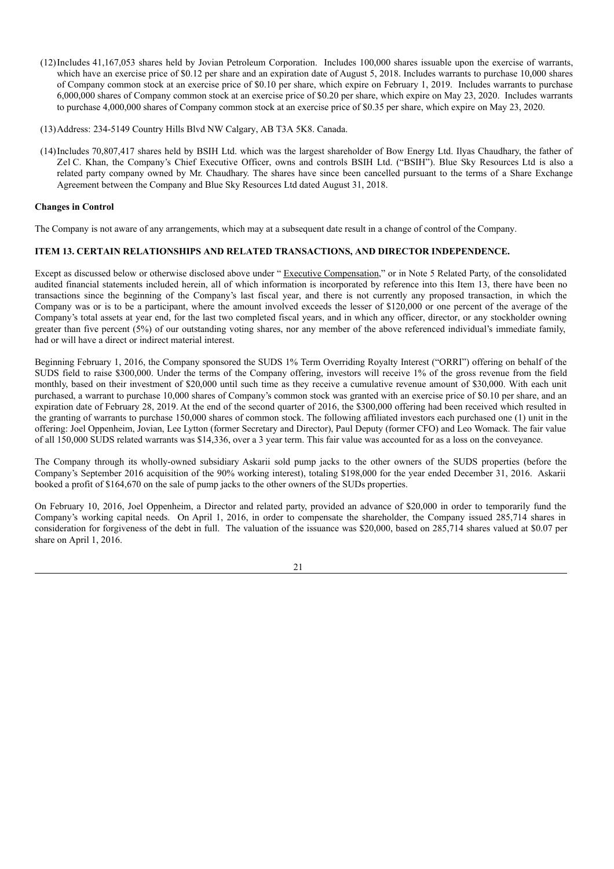- (12)Includes 41,167,053 shares held by Jovian Petroleum Corporation. Includes 100,000 shares issuable upon the exercise of warrants, which have an exercise price of \$0.12 per share and an expiration date of August 5, 2018. Includes warrants to purchase 10,000 shares of Company common stock at an exercise price of \$0.10 per share, which expire on February 1, 2019. Includes warrants to purchase 6,000,000 shares of Company common stock at an exercise price of \$0.20 per share, which expire on May 23, 2020. Includes warrants to purchase 4,000,000 shares of Company common stock at an exercise price of \$0.35 per share, which expire on May 23, 2020.
- (13)Address: 234-5149 Country Hills Blvd NW Calgary, AB T3A 5K8. Canada.
- (14)Includes 70,807,417 shares held by BSIH Ltd. which was the largest shareholder of Bow Energy Ltd. Ilyas Chaudhary, the father of Zel C. Khan, the Company's Chief Executive Officer, owns and controls BSIH Ltd. ("BSIH"). Blue Sky Resources Ltd is also a related party company owned by Mr. Chaudhary. The shares have since been cancelled pursuant to the terms of a Share Exchange Agreement between the Company and Blue Sky Resources Ltd dated August 31, 2018.

# **Changes in Control**

The Company is not aware of any arrangements, which may at a subsequent date result in a change of control of the Company.

# **ITEM 13. CERTAIN RELATIONSHIPS AND RELATED TRANSACTIONS, AND DIRECTOR INDEPENDENCE.**

Except as discussed below or otherwise disclosed above under " Executive Compensation," or in Note 5 Related Party, of the consolidated audited financial statements included herein, all of which information is incorporated by reference into this Item 13, there have been no transactions since the beginning of the Company's last fiscal year, and there is not currently any proposed transaction, in which the Company was or is to be a participant, where the amount involved exceeds the lesser of \$120,000 or one percent of the average of the Company's total assets at year end, for the last two completed fiscal years, and in which any officer, director, or any stockholder owning greater than five percent (5%) of our outstanding voting shares, nor any member of the above referenced individual's immediate family, had or will have a direct or indirect material interest.

Beginning February 1, 2016, the Company sponsored the SUDS 1% Term Overriding Royalty Interest ("ORRI") offering on behalf of the SUDS field to raise \$300,000. Under the terms of the Company offering, investors will receive 1% of the gross revenue from the field monthly, based on their investment of \$20,000 until such time as they receive a cumulative revenue amount of \$30,000. With each unit purchased, a warrant to purchase 10,000 shares of Company's common stock was granted with an exercise price of \$0.10 per share, and an expiration date of February 28, 2019. At the end of the second quarter of 2016, the \$300,000 offering had been received which resulted in the granting of warrants to purchase 150,000 shares of common stock. The following affiliated investors each purchased one (1) unit in the offering: Joel Oppenheim, Jovian, Lee Lytton (former Secretary and Director), Paul Deputy (former CFO) and Leo Womack. The fair value of all 150,000 SUDS related warrants was \$14,336, over a 3 year term. This fair value was accounted for as a loss on the conveyance.

The Company through its wholly-owned subsidiary Askarii sold pump jacks to the other owners of the SUDS properties (before the Company's September 2016 acquisition of the 90% working interest), totaling \$198,000 for the year ended December 31, 2016. Askarii booked a profit of \$164,670 on the sale of pump jacks to the other owners of the SUDs properties.

On February 10, 2016, Joel Oppenheim, a Director and related party, provided an advance of \$20,000 in order to temporarily fund the Company's working capital needs. On April 1, 2016, in order to compensate the shareholder, the Company issued 285,714 shares in consideration for forgiveness of the debt in full. The valuation of the issuance was \$20,000, based on 285,714 shares valued at \$0.07 per share on April 1, 2016.

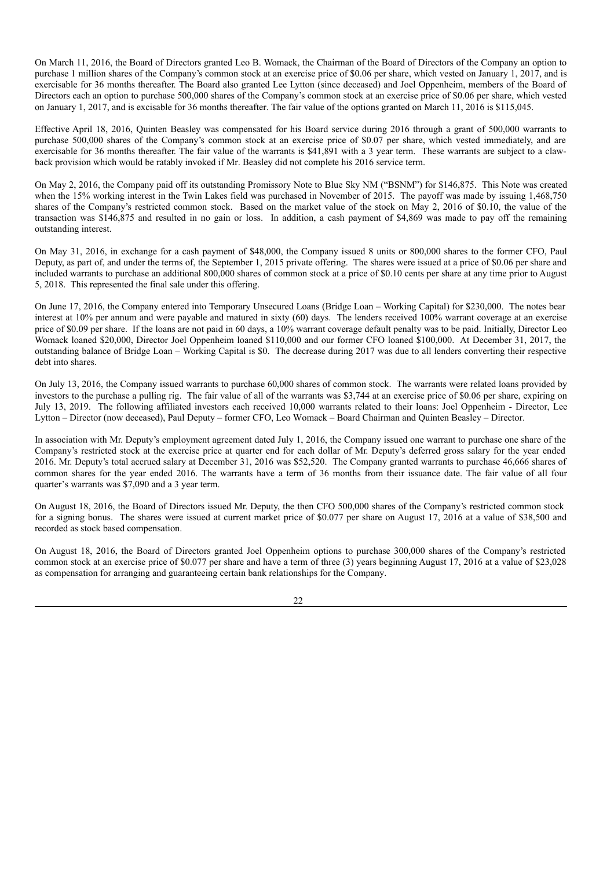On March 11, 2016, the Board of Directors granted Leo B. Womack, the Chairman of the Board of Directors of the Company an option to purchase 1 million shares of the Company's common stock at an exercise price of \$0.06 per share, which vested on January 1, 2017, and is exercisable for 36 months thereafter. The Board also granted Lee Lytton (since deceased) and Joel Oppenheim, members of the Board of Directors each an option to purchase 500,000 shares of the Company's common stock at an exercise price of \$0.06 per share, which vested on January 1, 2017, and is excisable for 36 months thereafter. The fair value of the options granted on March 11, 2016 is \$115,045.

Effective April 18, 2016, Quinten Beasley was compensated for his Board service during 2016 through a grant of 500,000 warrants to purchase 500,000 shares of the Company's common stock at an exercise price of \$0.07 per share, which vested immediately, and are exercisable for 36 months thereafter. The fair value of the warrants is \$41,891 with a 3 year term. These warrants are subject to a clawback provision which would be ratably invoked if Mr. Beasley did not complete his 2016 service term.

On May 2, 2016, the Company paid off its outstanding Promissory Note to Blue Sky NM ("BSNM") for \$146,875. This Note was created when the 15% working interest in the Twin Lakes field was purchased in November of 2015. The payoff was made by issuing 1,468,750 shares of the Company's restricted common stock. Based on the market value of the stock on May 2, 2016 of \$0.10, the value of the transaction was \$146,875 and resulted in no gain or loss. In addition, a cash payment of \$4,869 was made to pay off the remaining outstanding interest.

On May 31, 2016, in exchange for a cash payment of \$48,000, the Company issued 8 units or 800,000 shares to the former CFO, Paul Deputy, as part of, and under the terms of, the September 1, 2015 private offering. The shares were issued at a price of \$0.06 per share and included warrants to purchase an additional 800,000 shares of common stock at a price of \$0.10 cents per share at any time prior to August 5, 2018. This represented the final sale under this offering.

On June 17, 2016, the Company entered into Temporary Unsecured Loans (Bridge Loan – Working Capital) for \$230,000. The notes bear interest at 10% per annum and were payable and matured in sixty (60) days. The lenders received 100% warrant coverage at an exercise price of \$0.09 per share. If the loans are not paid in 60 days, a 10% warrant coverage default penalty was to be paid. Initially, Director Leo Womack loaned \$20,000, Director Joel Oppenheim loaned \$110,000 and our former CFO loaned \$100,000. At December 31, 2017, the outstanding balance of Bridge Loan – Working Capital is \$0. The decrease during 2017 was due to all lenders converting their respective debt into shares.

On July 13, 2016, the Company issued warrants to purchase 60,000 shares of common stock. The warrants were related loans provided by investors to the purchase a pulling rig. The fair value of all of the warrants was \$3,744 at an exercise price of \$0.06 per share, expiring on July 13, 2019. The following affiliated investors each received 10,000 warrants related to their loans: Joel Oppenheim - Director, Lee Lytton – Director (now deceased), Paul Deputy – former CFO, Leo Womack – Board Chairman and Quinten Beasley – Director.

In association with Mr. Deputy's employment agreement dated July 1, 2016, the Company issued one warrant to purchase one share of the Company's restricted stock at the exercise price at quarter end for each dollar of Mr. Deputy's deferred gross salary for the year ended 2016. Mr. Deputy's total accrued salary at December 31, 2016 was \$52,520. The Company granted warrants to purchase 46,666 shares of common shares for the year ended 2016. The warrants have a term of 36 months from their issuance date. The fair value of all four quarter's warrants was \$7,090 and a 3 year term.

On August 18, 2016, the Board of Directors issued Mr. Deputy, the then CFO 500,000 shares of the Company's restricted common stock for a signing bonus. The shares were issued at current market price of \$0.077 per share on August 17, 2016 at a value of \$38,500 and recorded as stock based compensation.

On August 18, 2016, the Board of Directors granted Joel Oppenheim options to purchase 300,000 shares of the Company's restricted common stock at an exercise price of \$0.077 per share and have a term of three (3) years beginning August 17, 2016 at a value of \$23,028 as compensation for arranging and guaranteeing certain bank relationships for the Company.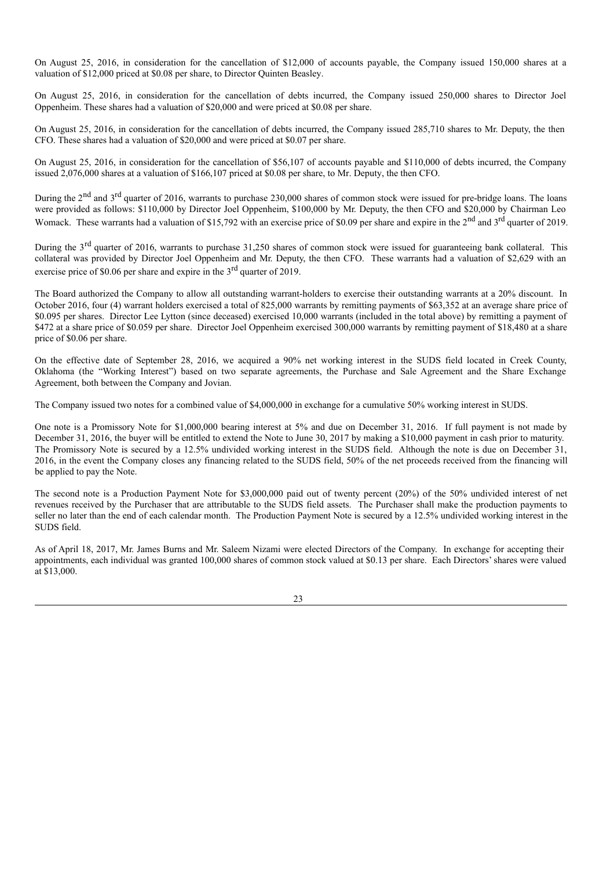On August 25, 2016, in consideration for the cancellation of \$12,000 of accounts payable, the Company issued 150,000 shares at a valuation of \$12,000 priced at \$0.08 per share, to Director Quinten Beasley.

On August 25, 2016, in consideration for the cancellation of debts incurred, the Company issued 250,000 shares to Director Joel Oppenheim. These shares had a valuation of \$20,000 and were priced at \$0.08 per share.

On August 25, 2016, in consideration for the cancellation of debts incurred, the Company issued 285,710 shares to Mr. Deputy, the then CFO. These shares had a valuation of \$20,000 and were priced at \$0.07 per share.

On August 25, 2016, in consideration for the cancellation of \$56,107 of accounts payable and \$110,000 of debts incurred, the Company issued 2,076,000 shares at a valuation of \$166,107 priced at \$0.08 per share, to Mr. Deputy, the then CFO.

During the 2<sup>nd</sup> and 3<sup>rd</sup> quarter of 2016, warrants to purchase 230,000 shares of common stock were issued for pre-bridge loans. The loans were provided as follows: \$110,000 by Director Joel Oppenheim, \$100,000 by Mr. Deputy, the then CFO and \$20,000 by Chairman Leo Womack. These warrants had a valuation of \$15,792 with an exercise price of \$0.09 per share and expire in the  $2<sup>nd</sup>$  and  $3<sup>rd</sup>$  quarter of 2019.

During the 3<sup>rd</sup> quarter of 2016, warrants to purchase 31,250 shares of common stock were issued for guaranteeing bank collateral. This collateral was provided by Director Joel Oppenheim and Mr. Deputy, the then CFO. These warrants had a valuation of \$2,629 with an exercise price of \$0.06 per share and expire in the  $3<sup>rd</sup>$  quarter of 2019.

The Board authorized the Company to allow all outstanding warrant-holders to exercise their outstanding warrants at a 20% discount. In October 2016, four (4) warrant holders exercised a total of 825,000 warrants by remitting payments of \$63,352 at an average share price of \$0.095 per shares. Director Lee Lytton (since deceased) exercised 10,000 warrants (included in the total above) by remitting a payment of \$472 at a share price of \$0.059 per share. Director Joel Oppenheim exercised 300,000 warrants by remitting payment of \$18,480 at a share price of \$0.06 per share.

On the effective date of September 28, 2016, we acquired a 90% net working interest in the SUDS field located in Creek County, Oklahoma (the "Working Interest") based on two separate agreements, the Purchase and Sale Agreement and the Share Exchange Agreement, both between the Company and Jovian.

The Company issued two notes for a combined value of \$4,000,000 in exchange for a cumulative 50% working interest in SUDS.

One note is a Promissory Note for \$1,000,000 bearing interest at 5% and due on December 31, 2016. If full payment is not made by December 31, 2016, the buyer will be entitled to extend the Note to June 30, 2017 by making a \$10,000 payment in cash prior to maturity. The Promissory Note is secured by a 12.5% undivided working interest in the SUDS field. Although the note is due on December 31, 2016, in the event the Company closes any financing related to the SUDS field, 50% of the net proceeds received from the financing will be applied to pay the Note.

The second note is a Production Payment Note for \$3,000,000 paid out of twenty percent (20%) of the 50% undivided interest of net revenues received by the Purchaser that are attributable to the SUDS field assets. The Purchaser shall make the production payments to seller no later than the end of each calendar month. The Production Payment Note is secured by a 12.5% undivided working interest in the SUDS field.

As of April 18, 2017, Mr. James Burns and Mr. Saleem Nizami were elected Directors of the Company. In exchange for accepting their appointments, each individual was granted 100,000 shares of common stock valued at \$0.13 per share. Each Directors'shares were valued at \$13,000.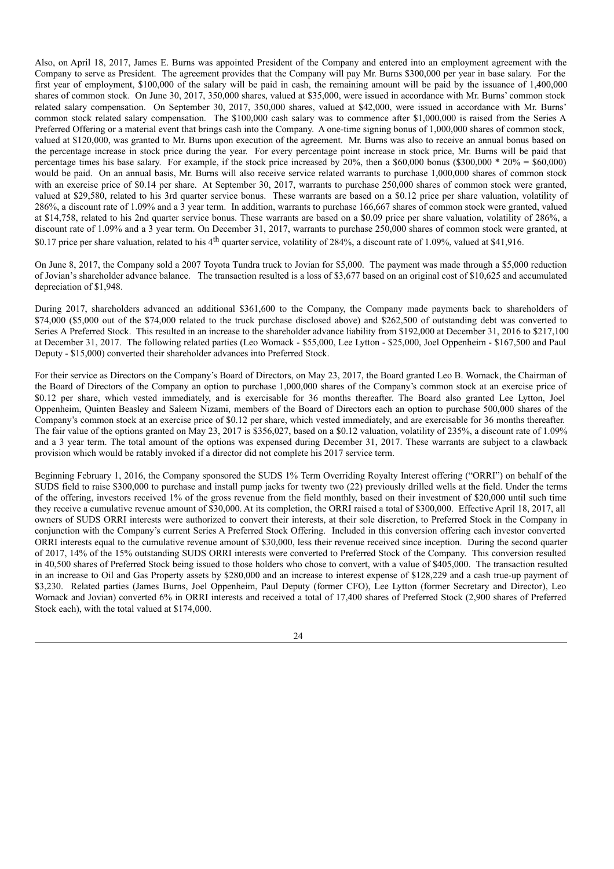Also, on April 18, 2017, James E. Burns was appointed President of the Company and entered into an employment agreement with the Company to serve as President. The agreement provides that the Company will pay Mr. Burns \$300,000 per year in base salary. For the first year of employment, \$100,000 of the salary will be paid in cash, the remaining amount will be paid by the issuance of 1,400,000 shares of common stock. On June 30, 2017, 350,000 shares, valued at \$35,000, were issued in accordance with Mr. Burns' common stock related salary compensation. On September 30, 2017, 350,000 shares, valued at \$42,000, were issued in accordance with Mr. Burns' common stock related salary compensation. The \$100,000 cash salary was to commence after \$1,000,000 is raised from the Series A Preferred Offering or a material event that brings cash into the Company. A one-time signing bonus of 1,000,000 shares of common stock, valued at \$120,000, was granted to Mr. Burns upon execution of the agreement. Mr. Burns was also to receive an annual bonus based on the percentage increase in stock price during the year. For every percentage point increase in stock price, Mr. Burns will be paid that percentage times his base salary. For example, if the stock price increased by  $20\%$ , then a \$60,000 bonus (\$300,000  $*$  20% = \$60,000) would be paid. On an annual basis, Mr. Burns will also receive service related warrants to purchase 1,000,000 shares of common stock with an exercise price of \$0.14 per share. At September 30, 2017, warrants to purchase 250,000 shares of common stock were granted, valued at \$29,580, related to his 3rd quarter service bonus. These warrants are based on a \$0.12 price per share valuation, volatility of 286%, a discount rate of 1.09% and a 3 year term. In addition, warrants to purchase 166,667 shares of common stock were granted, valued at \$14,758, related to his 2nd quarter service bonus. These warrants are based on a \$0.09 price per share valuation, volatility of 286%, a discount rate of 1.09% and a 3 year term. On December 31, 2017, warrants to purchase 250,000 shares of common stock were granted, at \$0.17 price per share valuation, related to his 4<sup>th</sup> quarter service, volatility of 284%, a discount rate of 1.09%, valued at \$41,916.

On June 8, 2017, the Company sold a 2007 Toyota Tundra truck to Jovian for \$5,000. The payment was made through a \$5,000 reduction of Jovian's shareholder advance balance. The transaction resulted is a loss of \$3,677 based on an original cost of \$10,625 and accumulated depreciation of \$1,948.

During 2017, shareholders advanced an additional \$361,600 to the Company, the Company made payments back to shareholders of \$74,000 (\$5,000 out of the \$74,000 related to the truck purchase disclosed above) and \$262,500 of outstanding debt was converted to Series A Preferred Stock. This resulted in an increase to the shareholder advance liability from \$192,000 at December 31, 2016 to \$217,100 at December 31, 2017. The following related parties (Leo Womack - \$55,000, Lee Lytton - \$25,000, Joel Oppenheim - \$167,500 and Paul Deputy - \$15,000) converted their shareholder advances into Preferred Stock.

For their service as Directors on the Company's Board of Directors, on May 23, 2017, the Board granted Leo B. Womack, the Chairman of the Board of Directors of the Company an option to purchase 1,000,000 shares of the Company's common stock at an exercise price of \$0.12 per share, which vested immediately, and is exercisable for 36 months thereafter. The Board also granted Lee Lytton, Joel Oppenheim, Quinten Beasley and Saleem Nizami, members of the Board of Directors each an option to purchase 500,000 shares of the Company's common stock at an exercise price of \$0.12 per share, which vested immediately, and are exercisable for 36 months thereafter. The fair value of the options granted on May 23, 2017 is \$356,027, based on a \$0.12 valuation, volatility of 235%, a discount rate of 1.09% and a 3 year term. The total amount of the options was expensed during December 31, 2017. These warrants are subject to a clawback provision which would be ratably invoked if a director did not complete his 2017 service term.

Beginning February 1, 2016, the Company sponsored the SUDS 1% Term Overriding Royalty Interest offering ("ORRI") on behalf of the SUDS field to raise \$300,000 to purchase and install pump jacks for twenty two (22) previously drilled wells at the field. Under the terms of the offering, investors received 1% of the gross revenue from the field monthly, based on their investment of \$20,000 until such time they receive a cumulative revenue amount of \$30,000. At its completion, the ORRI raised a total of \$300,000. Effective April 18, 2017, all owners of SUDS ORRI interests were authorized to convert their interests, at their sole discretion, to Preferred Stock in the Company in conjunction with the Company's current Series A Preferred Stock Offering. Included in this conversion offering each investor converted ORRI interests equal to the cumulative revenue amount of \$30,000, less their revenue received since inception. During the second quarter of 2017, 14% of the 15% outstanding SUDS ORRI interests were converted to Preferred Stock of the Company. This conversion resulted in 40,500 shares of Preferred Stock being issued to those holders who chose to convert, with a value of \$405,000. The transaction resulted in an increase to Oil and Gas Property assets by \$280,000 and an increase to interest expense of \$128,229 and a cash true-up payment of \$3,230. Related parties (James Burns, Joel Oppenheim, Paul Deputy (former CFO), Lee Lytton (former Secretary and Director), Leo Womack and Jovian) converted 6% in ORRI interests and received a total of 17,400 shares of Preferred Stock (2,900 shares of Preferred Stock each), with the total valued at \$174,000.

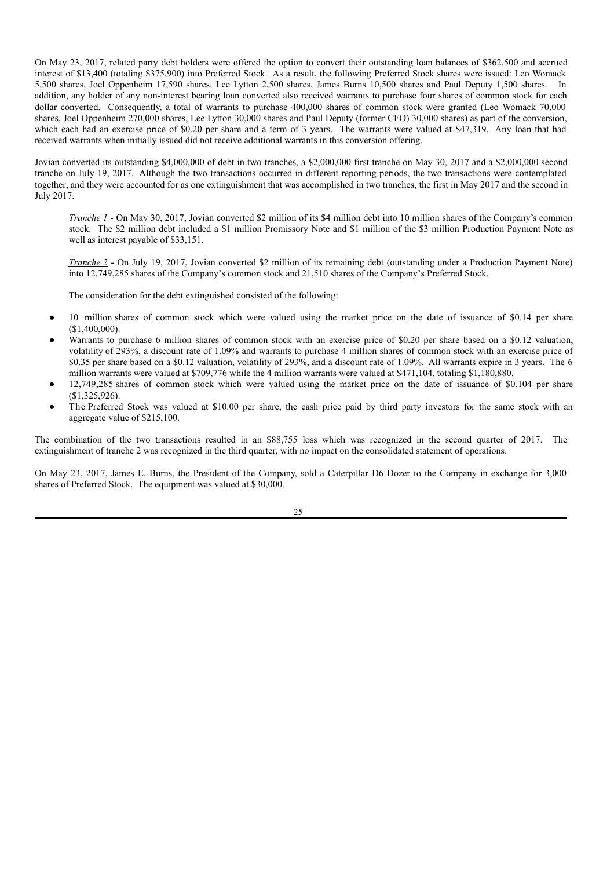On May 23, 2017, related party debt holders were offered the option to convert their outstanding loan balances of \$362,500 and accrued interest of \$13,400 (totaling \$375,900) into Preferred Stock. As a result, the following Preferred Stock shares were issued: Leo Womack 5,500 shares, Joel Oppenheim 17,590 shares, Lee Lytton 2,500 shares, James Burns 10,500 shares and Paul Deputy 1,500 shares. In addition, any holder of any non-interest bearing loan converted also received warrants to purchase four shares of common stock for each dollar converted. Consequently, a total of warrants to purchase 400,000 shares of common stock were granted (Leo Womack 70,000 shares, Joel Oppenheim 270,000 shares, Lee Lytton 30,000 shares and Paul Deputy (former CFO) 30,000 shares) as part of the conversion, which each had an exercise price of \$0.20 per share and a term of 3 years. The warrants were valued at \$47,319. Any loan that had received warrants when initially issued did not receive additional warrants in this conversion offering.

Jovian converted its outstanding \$4,000,000 of debt in two tranches, a \$2,000,000 first tranche on May 30, 2017 and a \$2,000,000 second tranche on July 19, 2017. Although the two transactions occurred in different reporting periods, the two transactions were contemplated together, and they were accounted for as one extinguishment that was accomplished in two tranches, the first in May 2017 and the second in July 2017.

*Tranche 1* - On May 30, 2017, Jovian converted \$2 million of its \$4 million debt into 10 million shares of the Company's common stock. The \$2 million debt included a \$1 million Promissory Note and \$1 million of the \$3 million Production Payment Note as well as interest payable of \$33,151.

*Tranche 2* - On July 19, 2017, Jovian converted \$2 million of its remaining debt (outstanding under a Production Payment Note) into 12,749,285 shares of the Company's common stock and 21,510 shares of the Company's Preferred Stock.

The consideration for the debt extinguished consisted of the following:

- 10 million shares of common stock which were valued using the market price on the date of issuance of \$0.14 per share (\$1,400,000).
- Warrants to purchase 6 million shares of common stock with an exercise price of \$0.20 per share based on a \$0.12 valuation, volatility of 293%, a discount rate of 1.09% and warrants to purchase 4 million shares of common stock with an exercise price of \$0.35 per share based on a \$0.12 valuation, volatility of 293%, and a discount rate of 1.09%. All warrants expire in 3 years. The 6 million warrants were valued at \$709,776 while the 4 million warrants were valued at \$471,104, totaling \$1,180,880.
- $12,749,285$  shares of common stock which were valued using the market price on the date of issuance of \$0.104 per share (\$1,325,926).
- The Preferred Stock was valued at \$10.00 per share, the cash price paid by third party investors for the same stock with an aggregate value of \$215,100.

The combination of the two transactions resulted in an \$88,755 loss which was recognized in the second quarter of 2017. The extinguishment of tranche 2 was recognized in the third quarter, with no impact on the consolidated statement of operations.

On May 23, 2017, James E. Burns, the President of the Company, sold a Caterpillar D6 Dozer to the Company in exchange for 3,000 shares of Preferred Stock. The equipment was valued at \$30,000.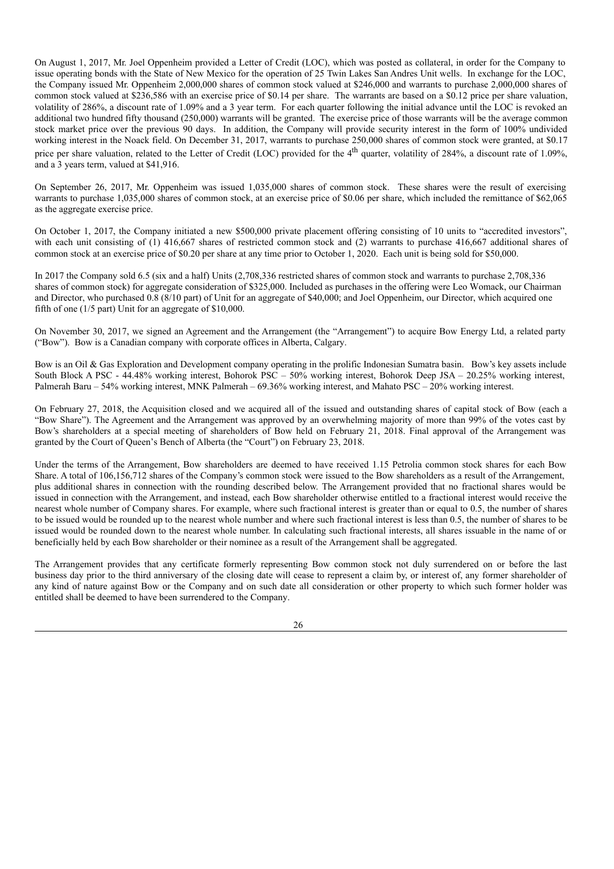On August 1, 2017, Mr. Joel Oppenheim provided a Letter of Credit (LOC), which was posted as collateral, in order for the Company to issue operating bonds with the State of New Mexico for the operation of 25 Twin Lakes San Andres Unit wells. In exchange for the LOC, the Company issued Mr. Oppenheim 2,000,000 shares of common stock valued at \$246,000 and warrants to purchase 2,000,000 shares of common stock valued at \$236,586 with an exercise price of \$0.14 per share. The warrants are based on a \$0.12 price per share valuation, volatility of 286%, a discount rate of 1.09% and a 3 year term. For each quarter following the initial advance until the LOC is revoked an additional two hundred fifty thousand (250,000) warrants will be granted. The exercise price of those warrants will be the average common stock market price over the previous 90 days. In addition, the Company will provide security interest in the form of 100% undivided working interest in the Noack field. On December 31, 2017, warrants to purchase 250,000 shares of common stock were granted, at \$0.17 price per share valuation, related to the Letter of Credit (LOC) provided for the 4<sup>th</sup> quarter, volatility of 284%, a discount rate of 1.09%, and a 3 years term, valued at \$41,916.

On September 26, 2017, Mr. Oppenheim was issued 1,035,000 shares of common stock. These shares were the result of exercising warrants to purchase 1,035,000 shares of common stock, at an exercise price of \$0.06 per share, which included the remittance of \$62,065 as the aggregate exercise price.

On October 1, 2017, the Company initiated a new \$500,000 private placement offering consisting of 10 units to "accredited investors", with each unit consisting of (1) 416,667 shares of restricted common stock and (2) warrants to purchase 416,667 additional shares of common stock at an exercise price of \$0.20 per share at any time prior to October 1, 2020. Each unit is being sold for \$50,000.

In 2017 the Company sold 6.5 (six and a half) Units (2,708,336 restricted shares of common stock and warrants to purchase 2,708,336 shares of common stock) for aggregate consideration of \$325,000. Included as purchases in the offering were Leo Womack, our Chairman and Director, who purchased 0.8 (8/10 part) of Unit for an aggregate of \$40,000; and Joel Oppenheim, our Director, which acquired one fifth of one (1/5 part) Unit for an aggregate of \$10,000.

On November 30, 2017, we signed an Agreement and the Arrangement (the "Arrangement") to acquire Bow Energy Ltd, a related party ("Bow"). Bow is a Canadian company with corporate offices in Alberta, Calgary.

Bow is an Oil & Gas Exploration and Development company operating in the prolific Indonesian Sumatra basin. Bow's key assets include South Block A PSC - 44.48% working interest, Bohorok PSC – 50% working interest, Bohorok Deep JSA – 20.25% working interest, Palmerah Baru – 54% working interest, MNK Palmerah – 69.36% working interest, and Mahato PSC – 20% working interest.

On February 27, 2018, the Acquisition closed and we acquired all of the issued and outstanding shares of capital stock of Bow (each a "Bow Share"). The Agreement and the Arrangement was approved by an overwhelming majority of more than 99% of the votes cast by Bow's shareholders at a special meeting of shareholders of Bow held on February 21, 2018. Final approval of the Arrangement was granted by the Court of Queen's Bench of Alberta (the "Court") on February 23, 2018.

Under the terms of the Arrangement, Bow shareholders are deemed to have received 1.15 Petrolia common stock shares for each Bow Share. A total of 106,156,712 shares of the Company's common stock were issued to the Bow shareholders as a result of the Arrangement, plus additional shares in connection with the rounding described below. The Arrangement provided that no fractional shares would be issued in connection with the Arrangement, and instead, each Bow shareholder otherwise entitled to a fractional interest would receive the nearest whole number of Company shares. For example, where such fractional interest is greater than or equal to 0.5, the number of shares to be issued would be rounded up to the nearest whole number and where such fractional interest is less than 0.5, the number of shares to be issued would be rounded down to the nearest whole number. In calculating such fractional interests, all shares issuable in the name of or beneficially held by each Bow shareholder or their nominee as a result of the Arrangement shall be aggregated.

The Arrangement provides that any certificate formerly representing Bow common stock not duly surrendered on or before the last business day prior to the third anniversary of the closing date will cease to represent a claim by, or interest of, any former shareholder of any kind of nature against Bow or the Company and on such date all consideration or other property to which such former holder was entitled shall be deemed to have been surrendered to the Company.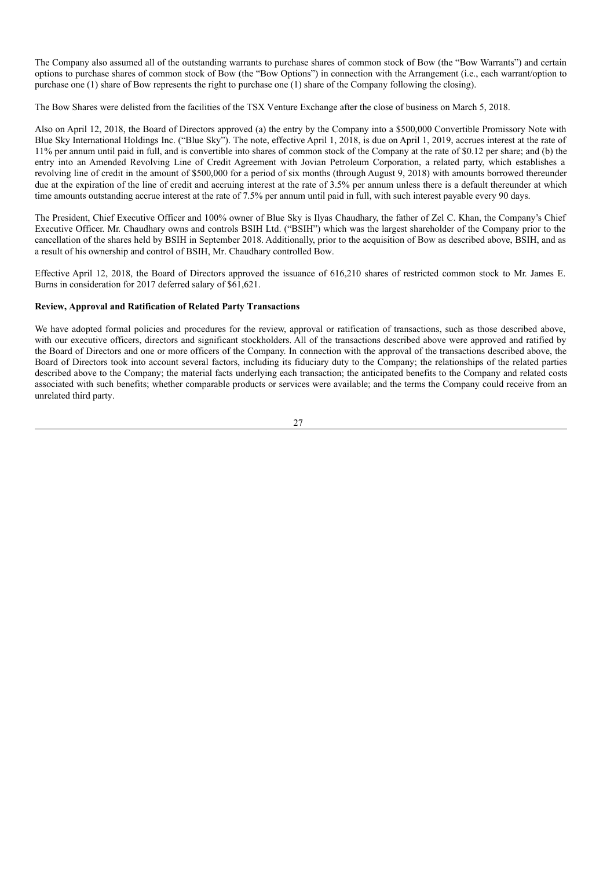The Company also assumed all of the outstanding warrants to purchase shares of common stock of Bow (the "Bow Warrants") and certain options to purchase shares of common stock of Bow (the "Bow Options") in connection with the Arrangement (i.e., each warrant/option to purchase one (1) share of Bow represents the right to purchase one (1) share of the Company following the closing).

The Bow Shares were delisted from the facilities of the TSX Venture Exchange after the close of business on March 5, 2018.

Also on April 12, 2018, the Board of Directors approved (a) the entry by the Company into a \$500,000 Convertible Promissory Note with Blue Sky International Holdings Inc. ("Blue Sky"). The note, effective April 1, 2018, is due on April 1, 2019, accrues interest at the rate of 11% per annum until paid in full, and is convertible into shares of common stock of the Company at the rate of \$0.12 per share; and (b) the entry into an Amended Revolving Line of Credit Agreement with Jovian Petroleum Corporation, a related party, which establishes a revolving line of credit in the amount of \$500,000 for a period of six months (through August 9, 2018) with amounts borrowed thereunder due at the expiration of the line of credit and accruing interest at the rate of 3.5% per annum unless there is a default thereunder at which time amounts outstanding accrue interest at the rate of 7.5% per annum until paid in full, with such interest payable every 90 days.

The President, Chief Executive Officer and 100% owner of Blue Sky is Ilyas Chaudhary, the father of Zel C. Khan, the Company's Chief Executive Officer. Mr. Chaudhary owns and controls BSIH Ltd. ("BSIH") which was the largest shareholder of the Company prior to the cancellation of the shares held by BSIH in September 2018. Additionally, prior to the acquisition of Bow as described above, BSIH, and as a result of his ownership and control of BSIH, Mr. Chaudhary controlled Bow.

Effective April 12, 2018, the Board of Directors approved the issuance of 616,210 shares of restricted common stock to Mr. James E. Burns in consideration for 2017 deferred salary of \$61,621.

# **Review, Approval and Ratification of Related Party Transactions**

We have adopted formal policies and procedures for the review, approval or ratification of transactions, such as those described above, with our executive officers, directors and significant stockholders. All of the transactions described above were approved and ratified by the Board of Directors and one or more officers of the Company. In connection with the approval of the transactions described above, the Board of Directors took into account several factors, including its fiduciary duty to the Company; the relationships of the related parties described above to the Company; the material facts underlying each transaction; the anticipated benefits to the Company and related costs associated with such benefits; whether comparable products or services were available; and the terms the Company could receive from an unrelated third party.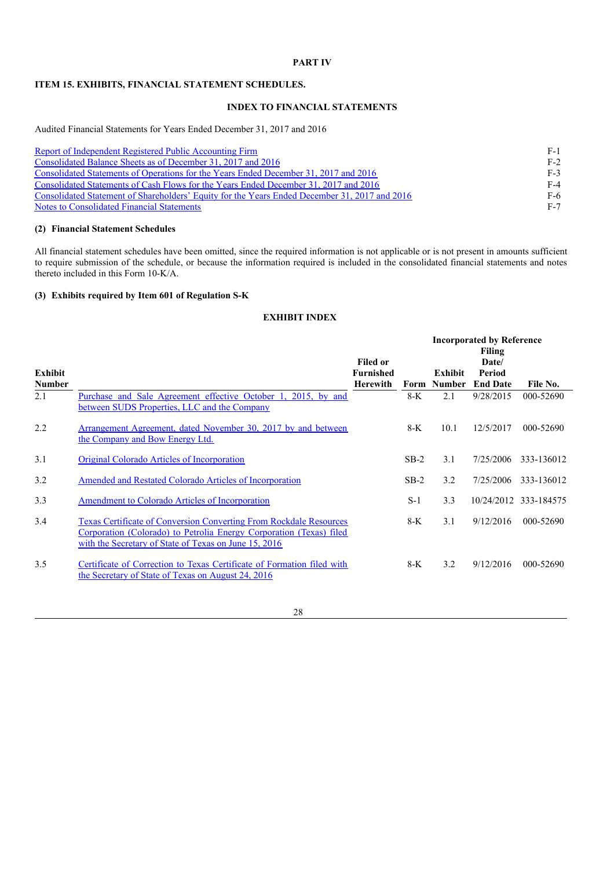# **PART IV**

# **ITEM 15. EXHIBITS, FINANCIAL STATEMENT SCHEDULES.**

# **INDEX TO FINANCIAL STATEMENTS**

Audited Financial Statements for Years Ended December 31, 2017 and 2016

| Report of Independent Registered Public Accounting Firm                                       | F-1   |
|-----------------------------------------------------------------------------------------------|-------|
| Consolidated Balance Sheets as of December 31, 2017 and 2016                                  | $F-2$ |
| Consolidated Statements of Operations for the Years Ended December 31, 2017 and 2016          | $F-3$ |
| Consolidated Statements of Cash Flows for the Years Ended December 31, 2017 and 2016          | $F-4$ |
| Consolidated Statement of Shareholders' Equity for the Years Ended December 31, 2017 and 2016 | $F-6$ |
| Notes to Consolidated Financial Statements                                                    | $F-7$ |

#### **(2) Financial Statement Schedules**

All financial statement schedules have been omitted, since the required information is not applicable or is not present in amounts sufficient to require submission of the schedule, or because the information required is included in the consolidated financial statements and notes thereto included in this Form 10-K/A.

#### **(3) Exhibits required by Item 601 of Regulation S-K**

# **EXHIBIT INDEX**

|               |                                                                                                                                                                                                           |                                     |        | <b>Incorporated by Reference</b><br>Filing |                 |                       |  |
|---------------|-----------------------------------------------------------------------------------------------------------------------------------------------------------------------------------------------------------|-------------------------------------|--------|--------------------------------------------|-----------------|-----------------------|--|
| Exhibit       |                                                                                                                                                                                                           | <b>Filed or</b><br><b>Furnished</b> |        | Exhibit                                    | Date/<br>Period |                       |  |
| <b>Number</b> |                                                                                                                                                                                                           | Herewith                            |        | Form Number                                | <b>End Date</b> | File No.              |  |
| 2.1           | Purchase and Sale Agreement effective October 1, 2015, by and<br>between SUDS Properties, LLC and the Company                                                                                             |                                     | 8-K    | 2.1                                        | 9/28/2015       | 000-52690             |  |
| 2.2           | Arrangement Agreement, dated November 30, 2017 by and between<br>the Company and Bow Energy Ltd.                                                                                                          |                                     | 8-K    | 10.1                                       | 12/5/2017       | 000-52690             |  |
| 3.1           | Original Colorado Articles of Incorporation                                                                                                                                                               |                                     | $SB-2$ | 3.1                                        | 7/25/2006       | 333-136012            |  |
| 3.2           | Amended and Restated Colorado Articles of Incorporation                                                                                                                                                   |                                     | $SB-2$ | 3.2                                        | 7/25/2006       | 333-136012            |  |
| 3.3           | Amendment to Colorado Articles of Incorporation                                                                                                                                                           |                                     | $S-1$  | 3.3                                        |                 | 10/24/2012 333-184575 |  |
| 3.4           | <b>Texas Certificate of Conversion Converting From Rockdale Resources</b><br>Corporation (Colorado) to Petrolia Energy Corporation (Texas) filed<br>with the Secretary of State of Texas on June 15, 2016 |                                     | 8-K    | 3.1                                        | 9/12/2016       | 000-52690             |  |
| 3.5           | Certificate of Correction to Texas Certificate of Formation filed with<br>the Secretary of State of Texas on August 24, 2016                                                                              |                                     | $8-K$  | 3.2                                        | 9/12/2016       | 000-52690             |  |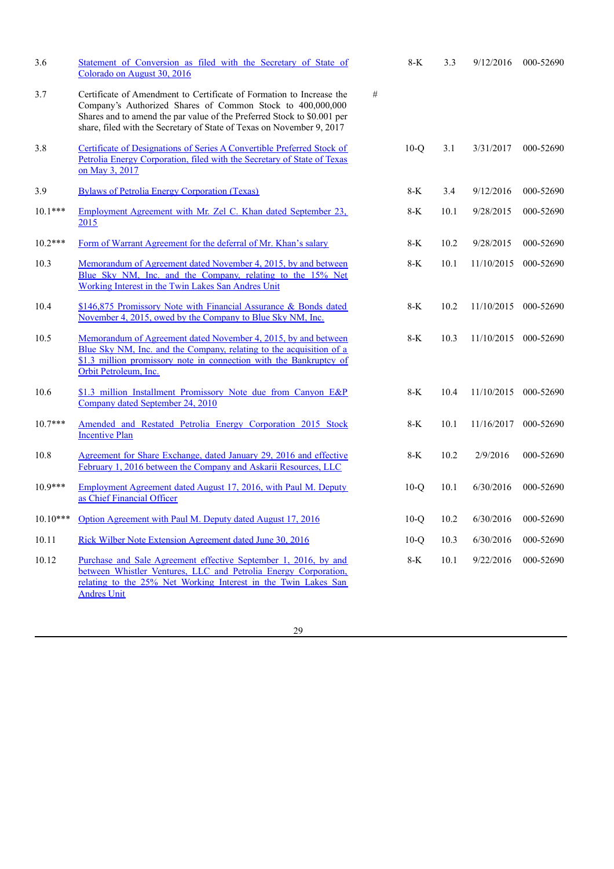| 3.6        | Statement of Conversion as filed with the Secretary of State of<br>Colorado on August 30, 2016                                                                                                                                                                                         |   | 8-K    | 3.3  | 9/12/2016            | 000-52690 |
|------------|----------------------------------------------------------------------------------------------------------------------------------------------------------------------------------------------------------------------------------------------------------------------------------------|---|--------|------|----------------------|-----------|
| 3.7        | Certificate of Amendment to Certificate of Formation to Increase the<br>Company's Authorized Shares of Common Stock to 400,000,000<br>Shares and to amend the par value of the Preferred Stock to \$0.001 per<br>share, filed with the Secretary of State of Texas on November 9, 2017 | # |        |      |                      |           |
| 3.8        | Certificate of Designations of Series A Convertible Preferred Stock of<br>Petrolia Energy Corporation, filed with the Secretary of State of Texas<br>on May 3, 2017                                                                                                                    |   | $10-Q$ | 3.1  | 3/31/2017            | 000-52690 |
| 3.9        | <b>Bylaws of Petrolia Energy Corporation (Texas)</b>                                                                                                                                                                                                                                   |   | $8-K$  | 3.4  | 9/12/2016            | 000-52690 |
| $10.1***$  | Employment Agreement with Mr. Zel C. Khan dated September 23,<br>2015                                                                                                                                                                                                                  |   | $8-K$  | 10.1 | 9/28/2015            | 000-52690 |
| $10.2***$  | Form of Warrant Agreement for the deferral of Mr. Khan's salary                                                                                                                                                                                                                        |   | $8-K$  | 10.2 | 9/28/2015            | 000-52690 |
| 10.3       | Memorandum of Agreement dated November 4, 2015, by and between<br>Blue Sky NM, Inc. and the Company, relating to the 15% Net<br>Working Interest in the Twin Lakes San Andres Unit                                                                                                     |   | $8-K$  | 10.1 | 11/10/2015           | 000-52690 |
| 10.4       | \$146,875 Promissory Note with Financial Assurance & Bonds dated<br>November 4, 2015, owed by the Company to Blue Sky NM, Inc.                                                                                                                                                         |   | $8-K$  | 10.2 | 11/10/2015           | 000-52690 |
| 10.5       | Memorandum of Agreement dated November 4, 2015, by and between<br>Blue Sky NM, Inc. and the Company, relating to the acquisition of a<br>\$1.3 million promissory note in connection with the Bankruptcy of<br>Orbit Petroleum, Inc.                                                   |   | $8-K$  | 10.3 | 11/10/2015 000-52690 |           |
| 10.6       | \$1.3 million Installment Promissory Note due from Canyon E&P<br>Company dated September 24, 2010                                                                                                                                                                                      |   | $8-K$  | 10.4 | 11/10/2015           | 000-52690 |
| $10.7***$  | Amended and Restated Petrolia Energy Corporation 2015 Stock<br><b>Incentive Plan</b>                                                                                                                                                                                                   |   | 8-K    | 10.1 | 11/16/2017           | 000-52690 |
| 10.8       | Agreement for Share Exchange, dated January 29, 2016 and effective<br>February 1, 2016 between the Company and Askarii Resources, LLC                                                                                                                                                  |   | $8-K$  | 10.2 | 2/9/2016             | 000-52690 |
| $10.9***$  | Employment Agreement dated August 17, 2016, with Paul M. Deputy<br>as Chief Financial Officer                                                                                                                                                                                          |   | $10-O$ | 10.1 | 6/30/2016            | 000-52690 |
| $10.10***$ | Option Agreement with Paul M. Deputy dated August 17, 2016                                                                                                                                                                                                                             |   | $10-Q$ | 10.2 | 6/30/2016            | 000-52690 |
| 10.11      | Rick Wilber Note Extension Agreement dated June 30, 2016                                                                                                                                                                                                                               |   | $10-O$ | 10.3 | 6/30/2016            | 000-52690 |
| 10.12      | Purchase and Sale Agreement effective September 1, 2016, by and<br>between Whistler Ventures, LLC and Petrolia Energy Corporation,<br>relating to the 25% Net Working Interest in the Twin Lakes San<br><b>Andres Unit</b>                                                             |   | 8-K    | 10.1 | 9/22/2016            | 000-52690 |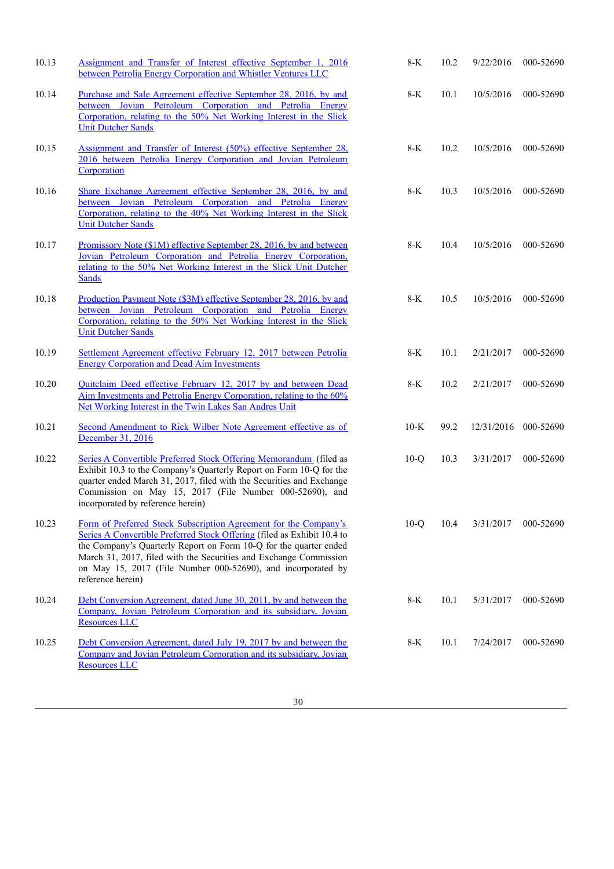| 10.13 | Assignment and Transfer of Interest effective September 1, 2016<br>between Petrolia Energy Corporation and Whistler Ventures LLC                                                                                                                                                                                                                                           | $8-K$  | 10.2 | 9/22/2016  | 000-52690 |
|-------|----------------------------------------------------------------------------------------------------------------------------------------------------------------------------------------------------------------------------------------------------------------------------------------------------------------------------------------------------------------------------|--------|------|------------|-----------|
| 10.14 | Purchase and Sale Agreement effective September 28, 2016, by and<br>between Jovian Petroleum Corporation and Petrolia Energy<br>Corporation, relating to the 50% Net Working Interest in the Slick<br><b>Unit Dutcher Sands</b>                                                                                                                                            | $8-K$  | 10.1 | 10/5/2016  | 000-52690 |
| 10.15 | Assignment and Transfer of Interest (50%) effective September 28,<br>2016 between Petrolia Energy Corporation and Jovian Petroleum<br>Corporation                                                                                                                                                                                                                          | $8-K$  | 10.2 | 10/5/2016  | 000-52690 |
| 10.16 | Share Exchange Agreement effective September 28, 2016, by and<br>between Jovian Petroleum Corporation and Petrolia Energy<br>Corporation, relating to the 40% Net Working Interest in the Slick<br><b>Unit Dutcher Sands</b>                                                                                                                                               | 8-K    | 10.3 | 10/5/2016  | 000-52690 |
| 10.17 | Promissory Note (\$1M) effective September 28, 2016, by and between<br>Jovian Petroleum Corporation and Petrolia Energy Corporation,<br>relating to the 50% Net Working Interest in the Slick Unit Dutcher<br><b>Sands</b>                                                                                                                                                 | $8-K$  | 10.4 | 10/5/2016  | 000-52690 |
| 10.18 | Production Payment Note (\$3M) effective September 28, 2016, by and<br>between Jovian Petroleum Corporation and Petrolia Energy<br>Corporation, relating to the 50% Net Working Interest in the Slick<br><b>Unit Dutcher Sands</b>                                                                                                                                         | $8-K$  | 10.5 | 10/5/2016  | 000-52690 |
| 10.19 | Settlement Agreement effective February 12, 2017 between Petrolia<br><b>Energy Corporation and Dead Aim Investments</b>                                                                                                                                                                                                                                                    | $8-K$  | 10.1 | 2/21/2017  | 000-52690 |
| 10.20 | Quitclaim Deed effective February 12, 2017 by and between Dead<br>Aim Investments and Petrolia Energy Corporation, relating to the 60%<br>Net Working Interest in the Twin Lakes San Andres Unit                                                                                                                                                                           | $8-K$  | 10.2 | 2/21/2017  | 000-52690 |
| 10.21 | Second Amendment to Rick Wilber Note Agreement effective as of<br>December 31, 2016                                                                                                                                                                                                                                                                                        | $10-K$ | 99.2 | 12/31/2016 | 000-52690 |
| 10.22 | Series A Convertible Preferred Stock Offering Memorandum (filed as<br>Exhibit 10.3 to the Company's Quarterly Report on Form 10-Q for the<br>quarter ended March 31, 2017, filed with the Securities and Exchange<br>Commission on May 15, 2017 (File Number 000-52690), and<br>incorporated by reference herein)                                                          | $10-Q$ | 10.3 | 3/31/2017  | 000-52690 |
| 10.23 | Form of Preferred Stock Subscription Agreement for the Company's<br>Series A Convertible Preferred Stock Offering (filed as Exhibit 10.4 to<br>the Company's Quarterly Report on Form 10-Q for the quarter ended<br>March 31, 2017, filed with the Securities and Exchange Commission<br>on May 15, 2017 (File Number 000-52690), and incorporated by<br>reference herein) | $10-Q$ | 10.4 | 3/31/2017  | 000-52690 |
| 10.24 | Debt Conversion Agreement, dated June 30, 2011, by and between the<br>Company, Jovian Petroleum Corporation and its subsidiary, Jovian<br><b>Resources LLC</b>                                                                                                                                                                                                             | 8-K    | 10.1 | 5/31/2017  | 000-52690 |
| 10.25 | Debt Conversion Agreement, dated July 19, 2017 by and between the<br>Company and Jovian Petroleum Corporation and its subsidiary, Jovian<br><b>Resources LLC</b>                                                                                                                                                                                                           | 8-K    | 10.1 | 7/24/2017  | 000-52690 |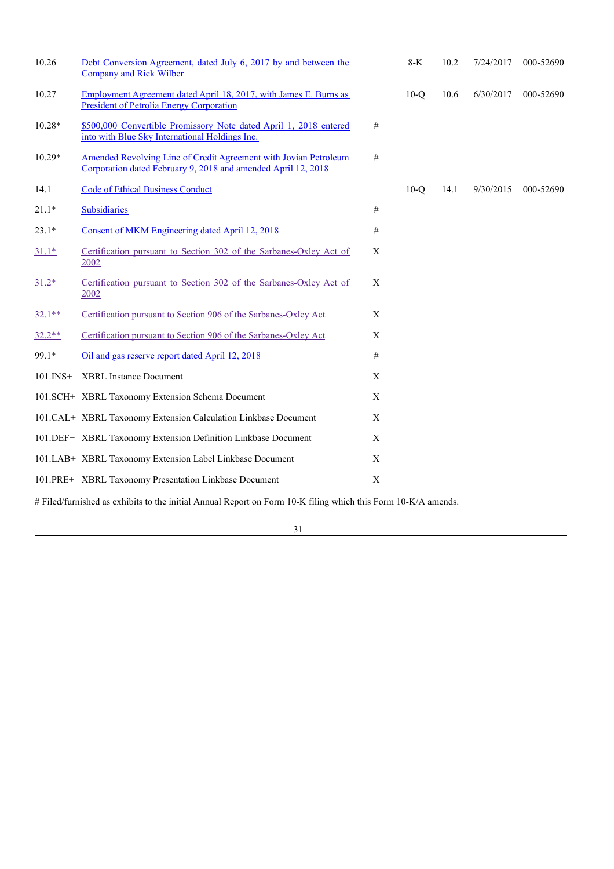| 10.26           | Debt Conversion Agreement, dated July 6, 2017 by and between the<br><b>Company and Rick Wilber</b>                                |                           | $8-K$  | 10.2 | 7/24/2017 | 000-52690 |
|-----------------|-----------------------------------------------------------------------------------------------------------------------------------|---------------------------|--------|------|-----------|-----------|
| 10.27           | Employment Agreement dated April 18, 2017, with James E. Burns as<br><b>President of Petrolia Energy Corporation</b>              |                           | $10-Q$ | 10.6 | 6/30/2017 | 000-52690 |
| $10.28*$        | \$500,000 Convertible Promissory Note dated April 1, 2018 entered<br>into with Blue Sky International Holdings Inc.               | #                         |        |      |           |           |
| $10.29*$        | Amended Revolving Line of Credit Agreement with Jovian Petroleum<br>Corporation dated February 9, 2018 and amended April 12, 2018 | $\#$                      |        |      |           |           |
| 14.1            | <b>Code of Ethical Business Conduct</b>                                                                                           |                           | $10-o$ | 14.1 | 9/30/2015 | 000-52690 |
| $21.1*$         | <b>Subsidiaries</b>                                                                                                               | #                         |        |      |           |           |
| $23.1*$         | Consent of MKM Engineering dated April 12, 2018                                                                                   | $\#$                      |        |      |           |           |
| $31.1*$         | Certification pursuant to Section 302 of the Sarbanes-Oxley Act of<br>2002                                                        | $\mathbf X$               |        |      |           |           |
| $31.2*$         | Certification pursuant to Section 302 of the Sarbanes-Oxley Act of<br>2002                                                        | $\boldsymbol{\mathrm{X}}$ |        |      |           |           |
| $32.1**$        | Certification pursuant to Section 906 of the Sarbanes-Oxley Act                                                                   | X                         |        |      |           |           |
| $32.2**$        | Certification pursuant to Section 906 of the Sarbanes-Oxley Act                                                                   | $\mathbf X$               |        |      |           |           |
| 99.1*           | Oil and gas reserve report dated April 12, 2018                                                                                   | $\#$                      |        |      |           |           |
| $101$ . INS $+$ | <b>XBRL Instance Document</b>                                                                                                     | X                         |        |      |           |           |
|                 | 101.SCH+ XBRL Taxonomy Extension Schema Document                                                                                  | $\mathbf X$               |        |      |           |           |
|                 | 101.CAL+ XBRL Taxonomy Extension Calculation Linkbase Document                                                                    | $\mathbf X$               |        |      |           |           |
|                 | 101.DEF+ XBRL Taxonomy Extension Definition Linkbase Document                                                                     | X                         |        |      |           |           |
|                 | 101.LAB+ XBRL Taxonomy Extension Label Linkbase Document                                                                          | X                         |        |      |           |           |
|                 | 101.PRE+ XBRL Taxonomy Presentation Linkbase Document                                                                             | X                         |        |      |           |           |

# Filed/furnished as exhibits to the initial Annual Report on Form 10-K filing which this Form 10-K/A amends.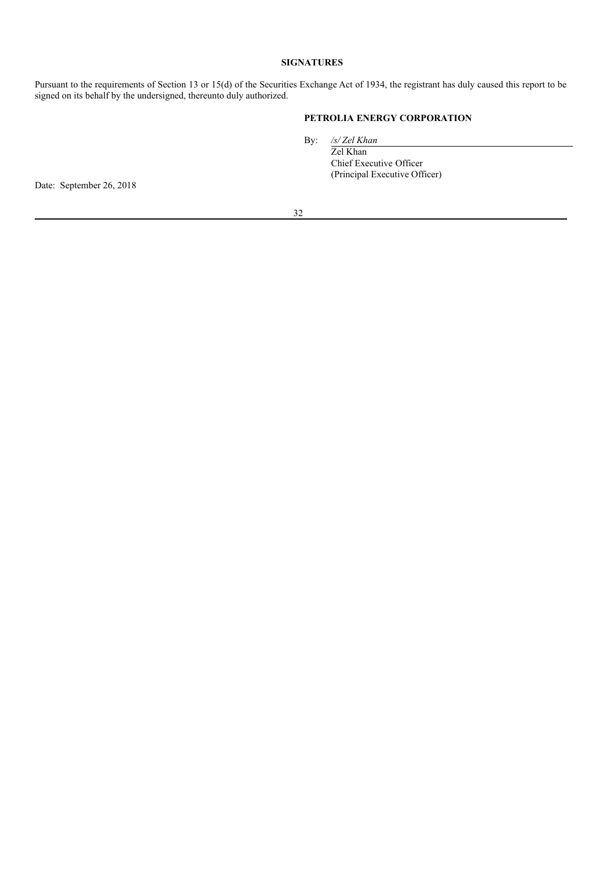# **SIGNATURES**

Pursuant to the requirements of Section 13 or 15(d) of the Securities Exchange Act of 1934, the registrant has duly caused this report to be signed on its behalf by the undersigned, thereunto duly authorized.

# **PETROLIA ENERGY CORPORATION**

By: */s/ Zel Khan*

Zel Khan Chief Executive Officer (Principal Executive Officer)

Date: September 26, 2018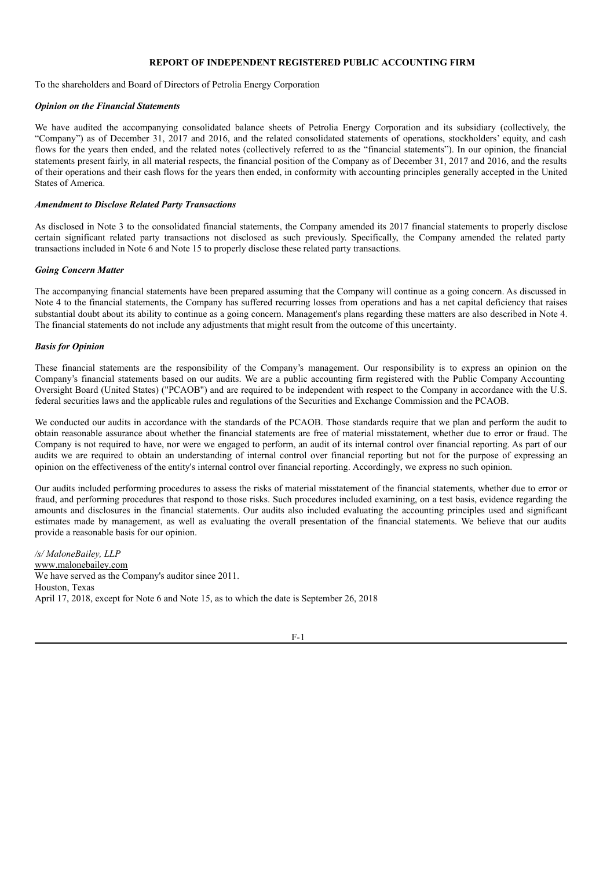# **REPORT OF INDEPENDENT REGISTERED PUBLIC ACCOUNTING FIRM**

To the shareholders and Board of Directors of Petrolia Energy Corporation

#### *Opinion on the Financial Statements*

We have audited the accompanying consolidated balance sheets of Petrolia Energy Corporation and its subsidiary (collectively, the "Company") as of December 31, 2017 and 2016, and the related consolidated statements of operations, stockholders' equity, and cash flows for the years then ended, and the related notes (collectively referred to as the "financial statements"). In our opinion, the financial statements present fairly, in all material respects, the financial position of the Company as of December 31, 2017 and 2016, and the results of their operations and their cash flows for the years then ended, in conformity with accounting principles generally accepted in the United States of America.

#### *Amendment to Disclose Related Party Transactions*

As disclosed in Note 3 to the consolidated financial statements, the Company amended its 2017 financial statements to properly disclose certain significant related party transactions not disclosed as such previously. Specifically, the Company amended the related party transactions included in Note 6 and Note 15 to properly disclose these related party transactions.

#### *Going Concern Matter*

The accompanying financial statements have been prepared assuming that the Company will continue as a going concern. As discussed in Note 4 to the financial statements, the Company has suffered recurring losses from operations and has a net capital deficiency that raises substantial doubt about its ability to continue as a going concern. Management's plans regarding these matters are also described in Note 4. The financial statements do not include any adjustments that might result from the outcome of this uncertainty.

#### *Basis for Opinion*

These financial statements are the responsibility of the Company's management. Our responsibility is to express an opinion on the Company's financial statements based on our audits. We are a public accounting firm registered with the Public Company Accounting Oversight Board (United States) ("PCAOB") and are required to be independent with respect to the Company in accordance with the U.S. federal securities laws and the applicable rules and regulations of the Securities and Exchange Commission and the PCAOB.

We conducted our audits in accordance with the standards of the PCAOB. Those standards require that we plan and perform the audit to obtain reasonable assurance about whether the financial statements are free of material misstatement, whether due to error or fraud. The Company is not required to have, nor were we engaged to perform, an audit of its internal control over financial reporting. As part of our audits we are required to obtain an understanding of internal control over financial reporting but not for the purpose of expressing an opinion on the effectiveness of the entity's internal control over financial reporting. Accordingly, we express no such opinion.

Our audits included performing procedures to assess the risks of material misstatement of the financial statements, whether due to error or fraud, and performing procedures that respond to those risks. Such procedures included examining, on a test basis, evidence regarding the amounts and disclosures in the financial statements. Our audits also included evaluating the accounting principles used and significant estimates made by management, as well as evaluating the overall presentation of the financial statements. We believe that our audits provide a reasonable basis for our opinion.

*/s/ MaloneBailey, LLP* www.malonebailey.com We have served as the Company's auditor since 2011. Houston, Texas April 17, 2018, except for Note 6 and Note 15, as to which the date is September 26, 2018

F-1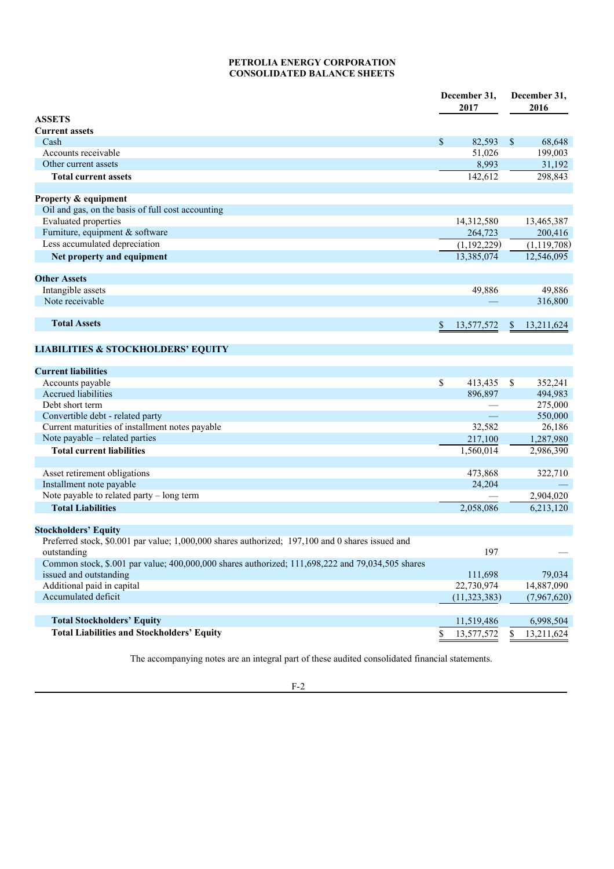# **PETROLIA ENERGY CORPORATION CONSOLIDATED BALANCE SHEETS**

|                                                                                                  |              | December 31,<br>2017 |    | December 31,<br>2016 |  |
|--------------------------------------------------------------------------------------------------|--------------|----------------------|----|----------------------|--|
| <b>ASSETS</b>                                                                                    |              |                      |    |                      |  |
| <b>Current assets</b><br>Cash                                                                    | $\mathbb{S}$ | 82,593               | \$ | 68,648               |  |
| Accounts receivable                                                                              |              | 51,026               |    | 199,003              |  |
| Other current assets                                                                             |              | 8,993                |    | 31,192               |  |
| <b>Total current assets</b>                                                                      |              | 142,612              |    | 298,843              |  |
|                                                                                                  |              |                      |    |                      |  |
| Property & equipment                                                                             |              |                      |    |                      |  |
| Oil and gas, on the basis of full cost accounting                                                |              |                      |    |                      |  |
| <b>Evaluated</b> properties                                                                      |              | 14,312,580           |    | 13,465,387           |  |
| Furniture, equipment & software                                                                  |              | 264,723              |    | 200,416              |  |
| Less accumulated depreciation                                                                    |              | (1,192,229)          |    | (1, 119, 708)        |  |
| Net property and equipment                                                                       |              | 13,385,074           |    | 12,546,095           |  |
| <b>Other Assets</b>                                                                              |              |                      |    |                      |  |
| Intangible assets                                                                                |              | 49,886               |    | 49,886               |  |
| Note receivable                                                                                  |              |                      |    | 316,800              |  |
|                                                                                                  |              |                      |    |                      |  |
| <b>Total Assets</b>                                                                              | \$           | 13,577,572           | \$ | 13,211,624           |  |
|                                                                                                  |              |                      |    |                      |  |
| <b>LIABILITIES &amp; STOCKHOLDERS' EQUITY</b>                                                    |              |                      |    |                      |  |
|                                                                                                  |              |                      |    |                      |  |
| <b>Current liabilities</b>                                                                       |              |                      |    |                      |  |
| Accounts payable                                                                                 | \$           | 413,435              | \$ | 352,241              |  |
| <b>Accrued liabilities</b>                                                                       |              | 896,897              |    | 494,983              |  |
| Debt short term                                                                                  |              |                      |    | 275,000              |  |
| Convertible debt - related party                                                                 |              |                      |    | 550,000              |  |
| Current maturities of installment notes payable                                                  |              | 32,582               |    | 26,186               |  |
| Note payable – related parties                                                                   |              | 217,100              |    | 1,287,980            |  |
| <b>Total current liabilities</b>                                                                 |              | 1,560,014            |    | 2,986,390            |  |
| Asset retirement obligations                                                                     |              | 473,868              |    | 322,710              |  |
| Installment note payable                                                                         |              | 24,204               |    |                      |  |
| Note payable to related party - long term                                                        |              |                      |    | 2,904,020            |  |
| <b>Total Liabilities</b>                                                                         |              | 2,058,086            |    | 6,213,120            |  |
| <b>Stockholders' Equity</b>                                                                      |              |                      |    |                      |  |
| Preferred stock, \$0.001 par value; 1,000,000 shares authorized; 197,100 and 0 shares issued and |              |                      |    |                      |  |
| outstanding                                                                                      |              | 197                  |    |                      |  |
| Common stock, \$.001 par value; 400,000,000 shares authorized; 111,698,222 and 79,034,505 shares |              |                      |    |                      |  |
| issued and outstanding                                                                           |              | 111,698              |    | 79,034               |  |
| Additional paid in capital                                                                       |              | 22,730,974           |    | 14,887,090           |  |
| Accumulated deficit                                                                              |              | (11, 323, 383)       |    | (7,967,620)          |  |
|                                                                                                  |              |                      |    |                      |  |
| <b>Total Stockholders' Equity</b>                                                                |              | 11,519,486           |    | 6,998,504            |  |
| <b>Total Liabilities and Stockholders' Equity</b>                                                | \$           | 13,577,572           | \$ | 13,211,624           |  |

The accompanying notes are an integral part of these audited consolidated financial statements.

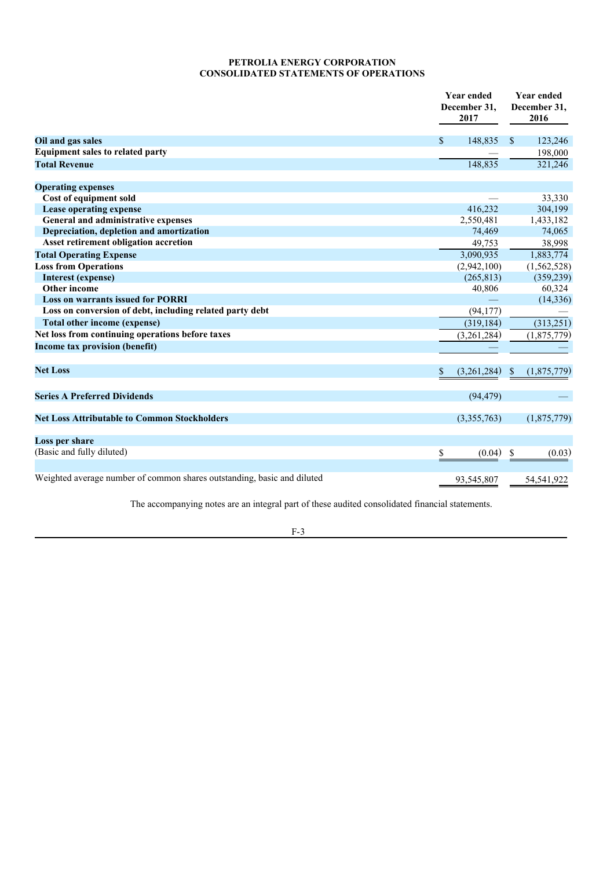# **PETROLIA ENERGY CORPORATION CONSOLIDATED STATEMENTS OF OPERATIONS**

|                                                                         | <b>Year ended</b><br>December 31.<br>2017 | <b>Year ended</b><br>December 31,<br>2016 |  |
|-------------------------------------------------------------------------|-------------------------------------------|-------------------------------------------|--|
| Oil and gas sales                                                       | <sup>\$</sup><br>148,835                  | $\mathbb{S}$<br>123,246                   |  |
| <b>Equipment sales to related party</b>                                 |                                           | 198,000                                   |  |
| <b>Total Revenue</b>                                                    | 148,835                                   | 321,246                                   |  |
| <b>Operating expenses</b>                                               |                                           |                                           |  |
| Cost of equipment sold                                                  |                                           | 33,330                                    |  |
| Lease operating expense                                                 | 416.232                                   | 304,199                                   |  |
| General and administrative expenses                                     | 2,550,481                                 | 1,433,182                                 |  |
| Depreciation, depletion and amortization                                | 74,469                                    | 74,065                                    |  |
| Asset retirement obligation accretion                                   | 49,753                                    | 38,998                                    |  |
| <b>Total Operating Expense</b>                                          | 3,090,935                                 | 1,883,774                                 |  |
| <b>Loss from Operations</b>                                             | (2,942,100)                               | (1,562,528)                               |  |
| <b>Interest (expense)</b>                                               | (265, 813)                                | (359, 239)                                |  |
| Other income                                                            | 40,806                                    | 60,324                                    |  |
| <b>Loss on warrants issued for PORRI</b>                                |                                           | (14, 336)                                 |  |
| Loss on conversion of debt, including related party debt                | (94, 177)                                 |                                           |  |
| <b>Total other income (expense)</b>                                     | (319, 184)                                | (313, 251)                                |  |
| Net loss from continuing operations before taxes                        | (3,261,284)                               | (1,875,779)                               |  |
| Income tax provision (benefit)                                          |                                           |                                           |  |
| <b>Net Loss</b>                                                         | \$<br>(3,261,284)                         | (1,875,779)<br>\$                         |  |
| <b>Series A Preferred Dividends</b>                                     | (94, 479)                                 |                                           |  |
| <b>Net Loss Attributable to Common Stockholders</b>                     | (3,355,763)                               | (1,875,779)                               |  |
| Loss per share                                                          |                                           |                                           |  |
| (Basic and fully diluted)                                               | (0.04)<br>\$                              | S<br>(0.03)                               |  |
| Weighted average number of common shares outstanding, basic and diluted | 93,545,807                                | 54,541,922                                |  |

The accompanying notes are an integral part of these audited consolidated financial statements.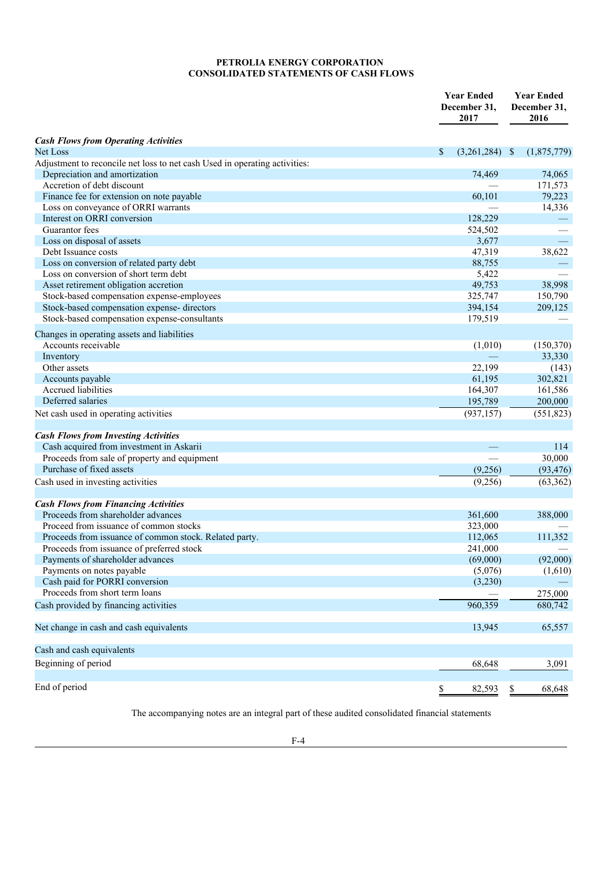# **PETROLIA ENERGY CORPORATION CONSOLIDATED STATEMENTS OF CASH FLOWS**

|                                                                            | <b>Year Ended</b><br>December 31,<br>2017 | <b>Year Ended</b><br>December 31,<br>2016 |
|----------------------------------------------------------------------------|-------------------------------------------|-------------------------------------------|
| <b>Cash Flows from Operating Activities</b>                                |                                           |                                           |
| Net Loss                                                                   | \$<br>$(3,261,284)$ \$                    | (1,875,779)                               |
| Adjustment to reconcile net loss to net cash Used in operating activities: |                                           |                                           |
| Depreciation and amortization                                              | 74,469                                    | 74,065                                    |
| Accretion of debt discount                                                 |                                           | 171,573                                   |
| Finance fee for extension on note payable                                  | 60,101                                    | 79,223                                    |
| Loss on conveyance of ORRI warrants                                        |                                           | 14,336                                    |
| Interest on ORRI conversion                                                | 128,229                                   |                                           |
| Guarantor fees                                                             | 524,502                                   |                                           |
| Loss on disposal of assets                                                 | 3,677                                     |                                           |
| Debt Issuance costs                                                        | 47,319                                    | 38,622                                    |
| Loss on conversion of related party debt                                   | 88,755                                    |                                           |
| Loss on conversion of short term debt                                      | 5,422                                     |                                           |
| Asset retirement obligation accretion                                      | 49,753                                    | 38,998                                    |
| Stock-based compensation expense-employees                                 | 325,747                                   | 150,790                                   |
| Stock-based compensation expense- directors                                | 394,154                                   | 209,125                                   |
| Stock-based compensation expense-consultants                               | 179,519                                   |                                           |
| Changes in operating assets and liabilities                                |                                           |                                           |
| Accounts receivable                                                        | (1,010)                                   | (150, 370)                                |
| Inventory                                                                  |                                           | 33,330                                    |
| Other assets                                                               | 22,199                                    | (143)                                     |
| Accounts payable                                                           | 61,195                                    | 302,821                                   |
| <b>Accrued</b> liabilities                                                 | 164,307                                   | 161,586                                   |
| Deferred salaries                                                          | 195,789                                   | 200,000                                   |
| Net cash used in operating activities                                      | (937, 157)                                | (551, 823)                                |
| <b>Cash Flows from Investing Activities</b>                                |                                           |                                           |
| Cash acquired from investment in Askarii                                   |                                           | 114                                       |
| Proceeds from sale of property and equipment                               |                                           | 30,000                                    |
| Purchase of fixed assets                                                   | (9,256)                                   | (93, 476)                                 |
| Cash used in investing activities                                          | (9,256)                                   | (63, 362)                                 |
| <b>Cash Flows from Financing Activities</b>                                |                                           |                                           |
| Proceeds from shareholder advances                                         | 361,600                                   | 388,000                                   |
| Proceed from issuance of common stocks                                     | 323,000                                   |                                           |
| Proceeds from issuance of common stock. Related party.                     | 112,065                                   | 111,352                                   |
| Proceeds from issuance of preferred stock                                  | 241,000                                   |                                           |
| Payments of shareholder advances                                           | (69,000)                                  | (92,000)                                  |
| Payments on notes payable                                                  | (5,076)                                   | (1,610)                                   |
| Cash paid for PORRI conversion                                             | (3,230)                                   |                                           |
| Proceeds from short term loans                                             |                                           | 275,000                                   |
| Cash provided by financing activities                                      | 960,359                                   | 680,742                                   |
| Net change in cash and cash equivalents                                    | 13,945                                    | 65,557                                    |
| Cash and cash equivalents                                                  |                                           |                                           |
| Beginning of period                                                        | 68,648                                    | 3,091                                     |
| End of period                                                              | \$<br>82,593                              | \$<br>68,648                              |

The accompanying notes are an integral part of these audited consolidated financial statements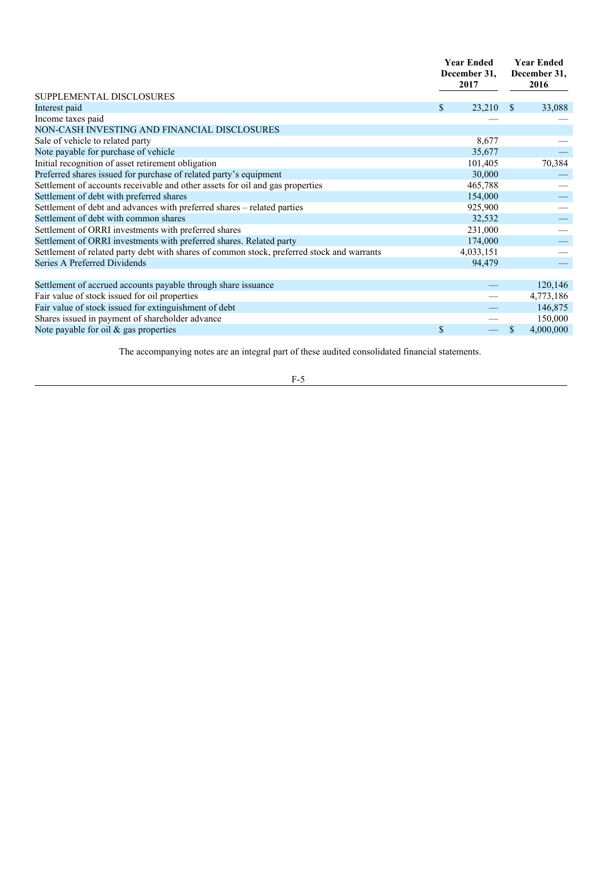|                                                                                            |              | <b>Year Ended</b><br>December 31,<br>2017 |               | <b>Year Ended</b><br>December 31,<br>2016 |
|--------------------------------------------------------------------------------------------|--------------|-------------------------------------------|---------------|-------------------------------------------|
| SUPPLEMENTAL DISCLOSURES                                                                   |              |                                           |               |                                           |
| Interest paid                                                                              | S            | 23,210                                    | -S            | 33,088                                    |
| Income taxes paid                                                                          |              |                                           |               |                                           |
| NON-CASH INVESTING AND FINANCIAL DISCLOSURES                                               |              |                                           |               |                                           |
| Sale of vehicle to related party                                                           |              | 8,677                                     |               |                                           |
| Note payable for purchase of vehicle                                                       |              | 35,677                                    |               |                                           |
| Initial recognition of asset retirement obligation                                         |              | 101,405                                   |               | 70,384                                    |
| Preferred shares issued for purchase of related party's equipment                          |              | 30,000                                    |               |                                           |
| Settlement of accounts receivable and other assets for oil and gas properties              |              | 465,788                                   |               |                                           |
| Settlement of debt with preferred shares                                                   |              | 154,000                                   |               |                                           |
| Settlement of debt and advances with preferred shares - related parties                    |              | 925,900                                   |               |                                           |
| Settlement of debt with common shares                                                      |              | 32,532                                    |               |                                           |
| Settlement of ORRI investments with preferred shares                                       |              | 231,000                                   |               | $\equiv$                                  |
| Settlement of ORRI investments with preferred shares. Related party                        |              | 174,000                                   |               |                                           |
| Settlement of related party debt with shares of common stock, preferred stock and warrants |              | 4,033,151                                 |               |                                           |
| Series A Preferred Dividends                                                               |              | 94,479                                    |               |                                           |
| Settlement of accrued accounts payable through share issuance                              |              |                                           |               | 120,146                                   |
| Fair value of stock issued for oil properties                                              |              |                                           |               | 4,773,186                                 |
| Fair value of stock issued for extinguishment of debt                                      |              |                                           |               | 146,875                                   |
| Shares issued in payment of shareholder advance                                            |              |                                           |               | 150,000                                   |
| Note payable for oil & gas properties                                                      | $\mathbb{S}$ |                                           | <sup>\$</sup> | 4,000,000                                 |

The accompanying notes are an integral part of these audited consolidated financial statements.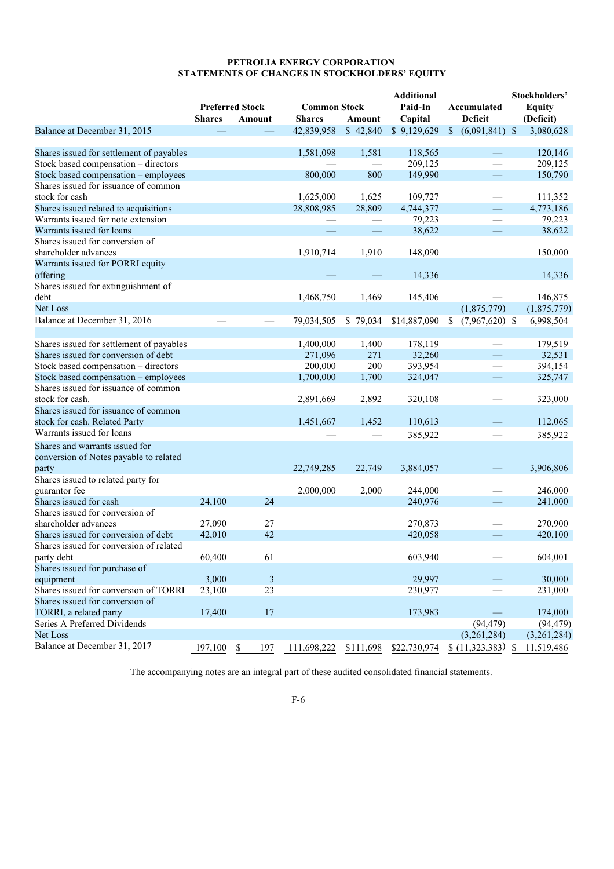#### **PETROLIA ENERGY CORPORATION STATEMENTS OF CHANGES IN STOCKHOLDERS' EQUITY**

|                                          |               |                          |                     |                      | <b>Additional</b>       |                                       | Stockholders'   |
|------------------------------------------|---------------|--------------------------|---------------------|----------------------|-------------------------|---------------------------------------|-----------------|
|                                          |               | <b>Preferred Stock</b>   | <b>Common Stock</b> |                      | Paid-In                 | Accumulated                           | <b>Equity</b>   |
|                                          | <b>Shares</b> | Amount                   | <b>Shares</b>       | Amount               | Capital                 | Deficit                               | (Deficit)       |
| Balance at December 31, 2015             |               |                          | 42,839,958          | $\overline{)42,840}$ | $\overline{$9,129,629}$ | $\overline{6,091,841}$ $\overline{5}$ | 3,080,628       |
|                                          |               |                          |                     |                      |                         |                                       |                 |
| Shares issued for settlement of payables |               |                          | 1,581,098           | 1,581                | 118,565                 |                                       | 120,146         |
| Stock based compensation - directors     |               |                          |                     |                      | 209,125                 |                                       | 209,125         |
| Stock based compensation - employees     |               |                          | 800,000             | 800                  | 149,990                 |                                       | 150,790         |
| Shares issued for issuance of common     |               |                          |                     |                      |                         |                                       |                 |
| stock for cash                           |               |                          | 1,625,000           | 1,625                | 109,727                 |                                       | 111,352         |
| Shares issued related to acquisitions    |               |                          | 28,808,985          | 28,809               | 4,744,377               |                                       | 4,773,186       |
| Warrants issued for note extension       |               |                          |                     |                      | 79,223                  |                                       | 79,223          |
| Warrants issued for loans                |               |                          |                     |                      | 38,622                  |                                       | 38,622          |
| Shares issued for conversion of          |               |                          |                     |                      |                         |                                       |                 |
| shareholder advances                     |               |                          | 1,910,714           | 1,910                | 148,090                 |                                       | 150,000         |
| Warrants issued for PORRI equity         |               |                          |                     |                      |                         |                                       |                 |
| offering                                 |               |                          |                     |                      | 14,336                  |                                       | 14,336          |
| Shares issued for extinguishment of      |               |                          |                     |                      |                         |                                       |                 |
| debt                                     |               |                          | 1,468,750           | 1,469                | 145,406                 |                                       | 146,875         |
| <b>Net Loss</b>                          |               |                          |                     |                      |                         |                                       |                 |
|                                          |               |                          |                     |                      |                         | (1,875,779)                           | (1,875,779)     |
| Balance at December 31, 2016             |               | $\overline{\phantom{0}}$ | 79,034,505          | \$79,034             | \$14,887,090            | $\mathbb{S}^-$<br>(7,967,620)         | 6,998,504<br>\$ |
|                                          |               |                          |                     |                      |                         |                                       |                 |
| Shares issued for settlement of payables |               |                          | 1,400,000           | 1,400                | 178,119                 |                                       | 179,519         |
| Shares issued for conversion of debt     |               |                          | 271,096             | 271                  | 32,260                  | <u>—</u>                              | 32,531          |
| Stock based compensation - directors     |               |                          | 200,000             | 200                  | 393,954                 | $\overline{\phantom{0}}$              | 394,154         |
| Stock based compensation - employees     |               |                          | 1,700,000           | 1,700                | 324,047                 |                                       | 325,747         |
| Shares issued for issuance of common     |               |                          |                     |                      |                         |                                       |                 |
| stock for cash.                          |               |                          | 2,891,669           | 2,892                | 320,108                 |                                       | 323,000         |
| Shares issued for issuance of common     |               |                          |                     |                      |                         |                                       |                 |
| stock for cash. Related Party            |               |                          | 1,451,667           | 1,452                | 110,613                 |                                       | 112,065         |
| Warrants issued for loans                |               |                          |                     |                      | 385,922                 |                                       | 385,922         |
| Shares and warrants issued for           |               |                          |                     |                      |                         |                                       |                 |
| conversion of Notes payable to related   |               |                          |                     |                      |                         |                                       |                 |
| party                                    |               |                          | 22,749,285          | 22,749               | 3,884,057               |                                       | 3,906,806       |
| Shares issued to related party for       |               |                          |                     |                      |                         |                                       |                 |
| guarantor fee                            |               |                          | 2,000,000           | 2,000                | 244,000                 |                                       | 246,000         |
| Shares issued for cash                   | 24,100        | 24                       |                     |                      | 240,976                 |                                       | 241,000         |
| Shares issued for conversion of          |               |                          |                     |                      |                         |                                       |                 |
| shareholder advances                     | 27,090        | 27                       |                     |                      | 270,873                 |                                       | 270,900         |
| Shares issued for conversion of debt     | 42,010        | 42                       |                     |                      |                         |                                       | 420,100         |
| Shares issued for conversion of related  |               |                          |                     |                      | 420,058                 |                                       |                 |
|                                          |               |                          |                     |                      |                         |                                       |                 |
| party debt                               | 60,400        | 61                       |                     |                      | 603,940                 |                                       | 604,001         |
| Shares issued for purchase of            |               |                          |                     |                      |                         |                                       |                 |
| equipment                                | 3,000         | 3                        |                     |                      | 29,997                  |                                       | 30,000          |
| Shares issued for conversion of TORRI    | 23,100        | 23                       |                     |                      | 230,977                 |                                       | 231,000         |
| Shares issued for conversion of          |               |                          |                     |                      |                         |                                       |                 |
| TORRI, a related party                   | 17,400        | 17                       |                     |                      | 173,983                 |                                       | 174,000         |
| Series A Preferred Dividends             |               |                          |                     |                      |                         | (94, 479)                             | (94, 479)       |
| Net Loss                                 |               |                          |                     |                      |                         | (3,261,284)                           | (3,261,284)     |
| Balance at December 31, 2017             | 197,100       | 197<br>\$                | 111,698,222         | \$111,698            | \$22,730,974            | $(11,323,383)$ \$                     | 11,519,486      |

The accompanying notes are an integral part of these audited consolidated financial statements.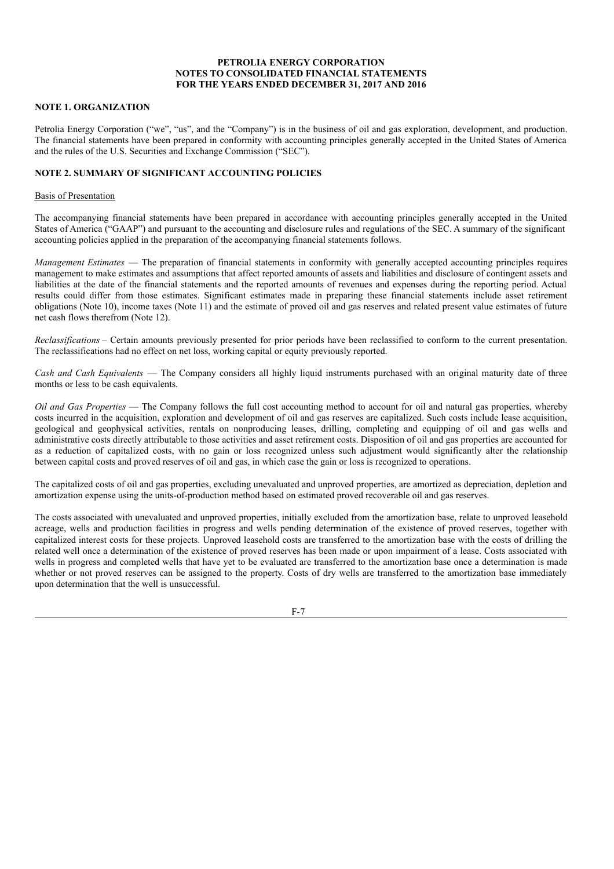# **PETROLIA ENERGY CORPORATION NOTES TO CONSOLIDATED FINANCIAL STATEMENTS FOR THE YEARS ENDED DECEMBER 31, 2017 AND 2016**

# **NOTE 1. ORGANIZATION**

Petrolia Energy Corporation ("we", "us", and the "Company") is in the business of oil and gas exploration, development, and production. The financial statements have been prepared in conformity with accounting principles generally accepted in the United States of America and the rules of the U.S. Securities and Exchange Commission ("SEC").

# **NOTE 2. SUMMARY OF SIGNIFICANT ACCOUNTING POLICIES**

#### Basis of Presentation

The accompanying financial statements have been prepared in accordance with accounting principles generally accepted in the United States of America ("GAAP") and pursuant to the accounting and disclosure rules and regulations of the SEC. A summary of the significant accounting policies applied in the preparation of the accompanying financial statements follows.

*Management Estimates* — The preparation of financial statements in conformity with generally accepted accounting principles requires management to make estimates and assumptions that affect reported amounts of assets and liabilities and disclosure of contingent assets and liabilities at the date of the financial statements and the reported amounts of revenues and expenses during the reporting period. Actual results could differ from those estimates. Significant estimates made in preparing these financial statements include asset retirement obligations (Note 10), income taxes (Note 11) and the estimate of proved oil and gas reserves and related present value estimates of future net cash flows therefrom (Note 12).

*Reclassifications* – Certain amounts previously presented for prior periods have been reclassified to conform to the current presentation. The reclassifications had no effect on net loss, working capital or equity previously reported.

*Cash and Cash Equivalents* — The Company considers all highly liquid instruments purchased with an original maturity date of three months or less to be cash equivalents.

*Oil and Gas Properties* — The Company follows the full cost accounting method to account for oil and natural gas properties, whereby costs incurred in the acquisition, exploration and development of oil and gas reserves are capitalized. Such costs include lease acquisition, geological and geophysical activities, rentals on nonproducing leases, drilling, completing and equipping of oil and gas wells and administrative costs directly attributable to those activities and asset retirement costs. Disposition of oil and gas properties are accounted for as a reduction of capitalized costs, with no gain or loss recognized unless such adjustment would significantly alter the relationship between capital costs and proved reserves of oil and gas, in which case the gain or loss is recognized to operations.

The capitalized costs of oil and gas properties, excluding unevaluated and unproved properties, are amortized as depreciation, depletion and amortization expense using the units-of-production method based on estimated proved recoverable oil and gas reserves.

The costs associated with unevaluated and unproved properties, initially excluded from the amortization base, relate to unproved leasehold acreage, wells and production facilities in progress and wells pending determination of the existence of proved reserves, together with capitalized interest costs for these projects. Unproved leasehold costs are transferred to the amortization base with the costs of drilling the related well once a determination of the existence of proved reserves has been made or upon impairment of a lease. Costs associated with wells in progress and completed wells that have yet to be evaluated are transferred to the amortization base once a determination is made whether or not proved reserves can be assigned to the property. Costs of dry wells are transferred to the amortization base immediately upon determination that the well is unsuccessful.

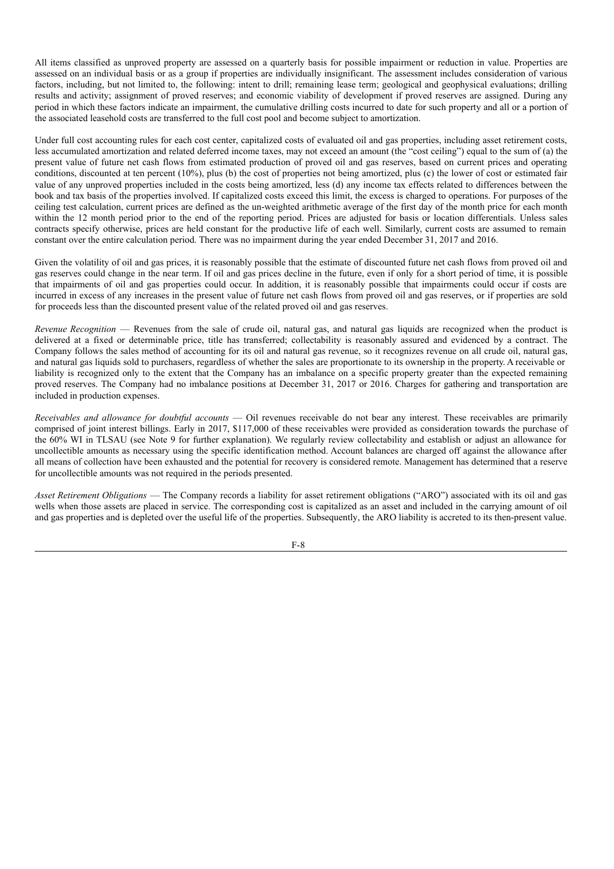All items classified as unproved property are assessed on a quarterly basis for possible impairment or reduction in value. Properties are assessed on an individual basis or as a group if properties are individually insignificant. The assessment includes consideration of various factors, including, but not limited to, the following: intent to drill; remaining lease term; geological and geophysical evaluations; drilling results and activity; assignment of proved reserves; and economic viability of development if proved reserves are assigned. During any period in which these factors indicate an impairment, the cumulative drilling costs incurred to date for such property and all or a portion of the associated leasehold costs are transferred to the full cost pool and become subject to amortization.

Under full cost accounting rules for each cost center, capitalized costs of evaluated oil and gas properties, including asset retirement costs, less accumulated amortization and related deferred income taxes, may not exceed an amount (the "cost ceiling") equal to the sum of (a) the present value of future net cash flows from estimated production of proved oil and gas reserves, based on current prices and operating conditions, discounted at ten percent (10%), plus (b) the cost of properties not being amortized, plus (c) the lower of cost or estimated fair value of any unproved properties included in the costs being amortized, less (d) any income tax effects related to differences between the book and tax basis of the properties involved. If capitalized costs exceed this limit, the excess is charged to operations. For purposes of the ceiling test calculation, current prices are defined as the un-weighted arithmetic average of the first day of the month price for each month within the 12 month period prior to the end of the reporting period. Prices are adjusted for basis or location differentials. Unless sales contracts specify otherwise, prices are held constant for the productive life of each well. Similarly, current costs are assumed to remain constant over the entire calculation period. There was no impairment during the year ended December 31, 2017 and 2016.

Given the volatility of oil and gas prices, it is reasonably possible that the estimate of discounted future net cash flows from proved oil and gas reserves could change in the near term. If oil and gas prices decline in the future, even if only for a short period of time, it is possible that impairments of oil and gas properties could occur. In addition, it is reasonably possible that impairments could occur if costs are incurred in excess of any increases in the present value of future net cash flows from proved oil and gas reserves, or if properties are sold for proceeds less than the discounted present value of the related proved oil and gas reserves.

*Revenue Recognition* — Revenues from the sale of crude oil, natural gas, and natural gas liquids are recognized when the product is delivered at a fixed or determinable price, title has transferred; collectability is reasonably assured and evidenced by a contract. The Company follows the sales method of accounting for its oil and natural gas revenue, so it recognizes revenue on all crude oil, natural gas, and natural gas liquids sold to purchasers, regardless of whether the sales are proportionate to its ownership in the property. A receivable or liability is recognized only to the extent that the Company has an imbalance on a specific property greater than the expected remaining proved reserves. The Company had no imbalance positions at December 31, 2017 or 2016. Charges for gathering and transportation are included in production expenses.

*Receivables and allowance for doubtful accounts* — Oil revenues receivable do not bear any interest. These receivables are primarily comprised of joint interest billings. Early in 2017, \$117,000 of these receivables were provided as consideration towards the purchase of the 60% WI in TLSAU (see Note 9 for further explanation). We regularly review collectability and establish or adjust an allowance for uncollectible amounts as necessary using the specific identification method. Account balances are charged off against the allowance after all means of collection have been exhausted and the potential for recovery is considered remote. Management has determined that a reserve for uncollectible amounts was not required in the periods presented.

*Asset Retirement Obligations* — The Company records a liability for asset retirement obligations ("ARO") associated with its oil and gas wells when those assets are placed in service. The corresponding cost is capitalized as an asset and included in the carrying amount of oil and gas properties and is depleted over the useful life of the properties. Subsequently, the ARO liability is accreted to its then-present value.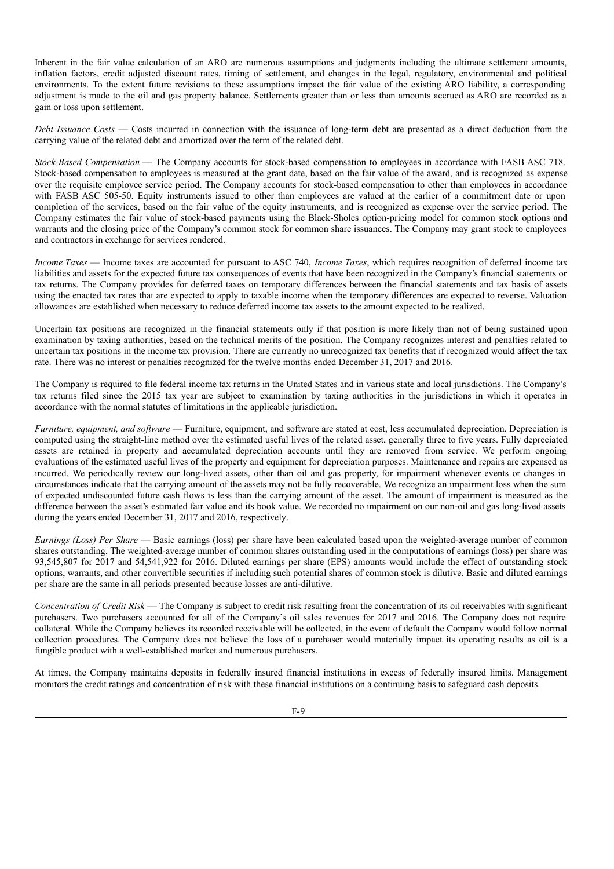Inherent in the fair value calculation of an ARO are numerous assumptions and judgments including the ultimate settlement amounts, inflation factors, credit adjusted discount rates, timing of settlement, and changes in the legal, regulatory, environmental and political environments. To the extent future revisions to these assumptions impact the fair value of the existing ARO liability, a corresponding adjustment is made to the oil and gas property balance. Settlements greater than or less than amounts accrued as ARO are recorded as a gain or loss upon settlement.

*Debt Issuance Costs* — Costs incurred in connection with the issuance of long-term debt are presented as a direct deduction from the carrying value of the related debt and amortized over the term of the related debt.

*Stock-Based Compensation* — The Company accounts for stock-based compensation to employees in accordance with FASB ASC 718. Stock-based compensation to employees is measured at the grant date, based on the fair value of the award, and is recognized as expense over the requisite employee service period. The Company accounts for stock-based compensation to other than employees in accordance with FASB ASC 505-50. Equity instruments issued to other than employees are valued at the earlier of a commitment date or upon completion of the services, based on the fair value of the equity instruments, and is recognized as expense over the service period. The Company estimates the fair value of stock-based payments using the Black-Sholes option-pricing model for common stock options and warrants and the closing price of the Company's common stock for common share issuances. The Company may grant stock to employees and contractors in exchange for services rendered.

*Income Taxes* — Income taxes are accounted for pursuant to ASC 740, *Income Taxes*, which requires recognition of deferred income tax liabilities and assets for the expected future tax consequences of events that have been recognized in the Company's financial statements or tax returns. The Company provides for deferred taxes on temporary differences between the financial statements and tax basis of assets using the enacted tax rates that are expected to apply to taxable income when the temporary differences are expected to reverse. Valuation allowances are established when necessary to reduce deferred income tax assets to the amount expected to be realized.

Uncertain tax positions are recognized in the financial statements only if that position is more likely than not of being sustained upon examination by taxing authorities, based on the technical merits of the position. The Company recognizes interest and penalties related to uncertain tax positions in the income tax provision. There are currently no unrecognized tax benefits that if recognized would affect the tax rate. There was no interest or penalties recognized for the twelve months ended December 31, 2017 and 2016.

The Company is required to file federal income tax returns in the United States and in various state and local jurisdictions. The Company's tax returns filed since the 2015 tax year are subject to examination by taxing authorities in the jurisdictions in which it operates in accordance with the normal statutes of limitations in the applicable jurisdiction.

*Furniture, equipment, and software* — Furniture, equipment, and software are stated at cost, less accumulated depreciation. Depreciation is computed using the straight-line method over the estimated useful lives of the related asset, generally three to five years. Fully depreciated assets are retained in property and accumulated depreciation accounts until they are removed from service. We perform ongoing evaluations of the estimated useful lives of the property and equipment for depreciation purposes. Maintenance and repairs are expensed as incurred. We periodically review our long-lived assets, other than oil and gas property, for impairment whenever events or changes in circumstances indicate that the carrying amount of the assets may not be fully recoverable. We recognize an impairment loss when the sum of expected undiscounted future cash flows is less than the carrying amount of the asset. The amount of impairment is measured as the difference between the asset's estimated fair value and its book value. We recorded no impairment on our non-oil and gas long-lived assets during the years ended December 31, 2017 and 2016, respectively.

*Earnings (Loss) Per Share* — Basic earnings (loss) per share have been calculated based upon the weighted-average number of common shares outstanding. The weighted-average number of common shares outstanding used in the computations of earnings (loss) per share was 93,545,807 for 2017 and 54,541,922 for 2016. Diluted earnings per share (EPS) amounts would include the effect of outstanding stock options, warrants, and other convertible securities if including such potential shares of common stock is dilutive. Basic and diluted earnings per share are the same in all periods presented because losses are anti-dilutive.

*Concentration of Credit Risk* — The Company is subject to credit risk resulting from the concentration of its oil receivables with significant purchasers. Two purchasers accounted for all of the Company's oil sales revenues for 2017 and 2016. The Company does not require collateral. While the Company believes its recorded receivable will be collected, in the event of default the Company would follow normal collection procedures. The Company does not believe the loss of a purchaser would materially impact its operating results as oil is a fungible product with a well-established market and numerous purchasers.

At times, the Company maintains deposits in federally insured financial institutions in excess of federally insured limits. Management monitors the credit ratings and concentration of risk with these financial institutions on a continuing basis to safeguard cash deposits.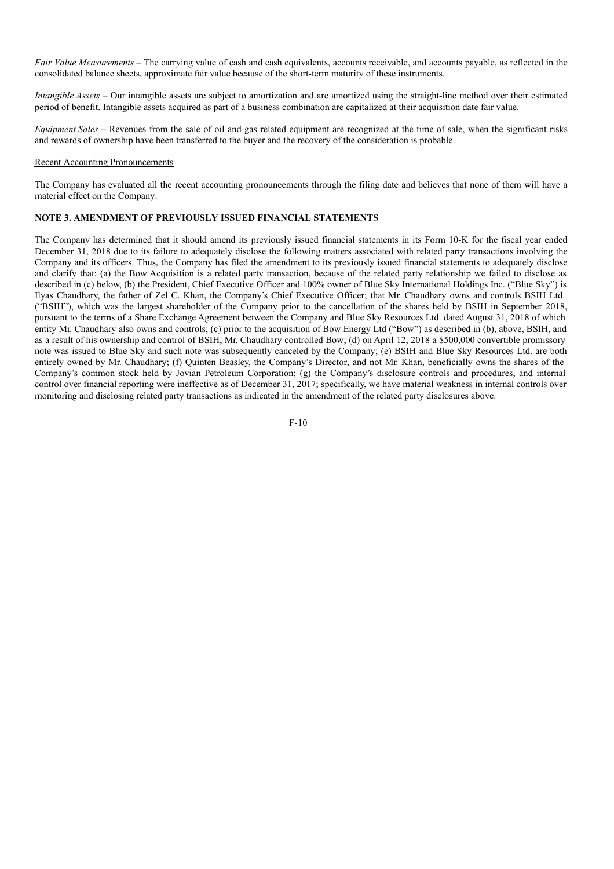*Fair Value Measurements* – The carrying value of cash and cash equivalents, accounts receivable, and accounts payable, as reflected in the consolidated balance sheets, approximate fair value because of the short-term maturity of these instruments.

*Intangible Assets* – Our intangible assets are subject to amortization and are amortized using the straight-line method over their estimated period of benefit. Intangible assets acquired as part of a business combination are capitalized at their acquisition date fair value.

*Equipment Sales* – Revenues from the sale of oil and gas related equipment are recognized at the time of sale, when the significant risks and rewards of ownership have been transferred to the buyer and the recovery of the consideration is probable.

#### Recent Accounting Pronouncements

The Company has evaluated all the recent accounting pronouncements through the filing date and believes that none of them will have a material effect on the Company.

# **NOTE 3. AMENDMENT OF PREVIOUSLY ISSUED FINANCIAL STATEMENTS**

The Company has determined that it should amend its previously issued financial statements in its Form 10-K for the fiscal year ended December 31, 2018 due to its failure to adequately disclose the following matters associated with related party transactions involving the Company and its officers. Thus, the Company has filed the amendment to its previously issued financial statements to adequately disclose and clarify that: (a) the Bow Acquisition is a related party transaction, because of the related party relationship we failed to disclose as described in (c) below, (b) the President, Chief Executive Officer and 100% owner of Blue Sky International Holdings Inc. ("Blue Sky") is Ilyas Chaudhary, the father of Zel C. Khan, the Company's Chief Executive Officer; that Mr. Chaudhary owns and controls BSIH Ltd. ("BSIH"), which was the largest shareholder of the Company prior to the cancellation of the shares held by BSIH in September 2018, pursuant to the terms of a Share Exchange Agreement between the Company and Blue Sky Resources Ltd. dated August 31, 2018 of which entity Mr. Chaudhary also owns and controls; (c) prior to the acquisition of Bow Energy Ltd ("Bow") as described in (b), above, BSIH, and as a result of his ownership and control of BSIH, Mr. Chaudhary controlled Bow; (d) on April 12, 2018 a \$500,000 convertible promissory note was issued to Blue Sky and such note was subsequently canceled by the Company; (e) BSIH and Blue Sky Resources Ltd. are both entirely owned by Mr. Chaudhary; (f) Quinten Beasley, the Company's Director, and not Mr. Khan, beneficially owns the shares of the Company's common stock held by Jovian Petroleum Corporation; (g) the Company's disclosure controls and procedures, and internal control over financial reporting were ineffective as of December 31, 2017; specifically, we have material weakness in internal controls over monitoring and disclosing related party transactions as indicated in the amendment of the related party disclosures above.

$$
F-10
$$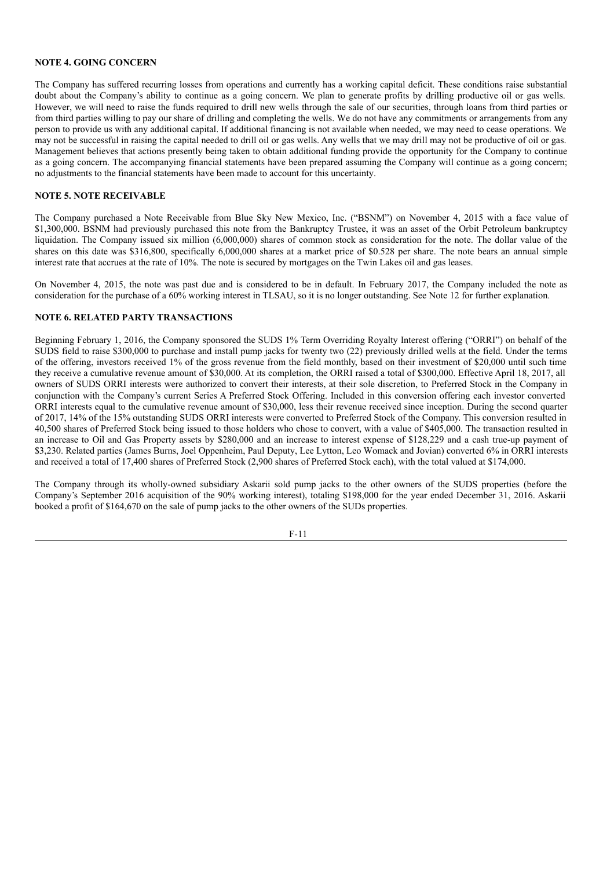# **NOTE 4. GOING CONCERN**

The Company has suffered recurring losses from operations and currently has a working capital deficit. These conditions raise substantial doubt about the Company's ability to continue as a going concern. We plan to generate profits by drilling productive oil or gas wells. However, we will need to raise the funds required to drill new wells through the sale of our securities, through loans from third parties or from third parties willing to pay our share of drilling and completing the wells. We do not have any commitments or arrangements from any person to provide us with any additional capital. If additional financing is not available when needed, we may need to cease operations. We may not be successful in raising the capital needed to drill oil or gas wells. Any wells that we may drill may not be productive of oil or gas. Management believes that actions presently being taken to obtain additional funding provide the opportunity for the Company to continue as a going concern. The accompanying financial statements have been prepared assuming the Company will continue as a going concern; no adjustments to the financial statements have been made to account for this uncertainty.

#### **NOTE 5. NOTE RECEIVABLE**

The Company purchased a Note Receivable from Blue Sky New Mexico, Inc. ("BSNM") on November 4, 2015 with a face value of \$1,300,000. BSNM had previously purchased this note from the Bankruptcy Trustee, it was an asset of the Orbit Petroleum bankruptcy liquidation. The Company issued six million (6,000,000) shares of common stock as consideration for the note. The dollar value of the shares on this date was \$316,800, specifically 6,000,000 shares at a market price of \$0.528 per share. The note bears an annual simple interest rate that accrues at the rate of 10%. The note is secured by mortgages on the Twin Lakes oil and gas leases.

On November 4, 2015, the note was past due and is considered to be in default. In February 2017, the Company included the note as consideration for the purchase of a 60% working interest in TLSAU, so it is no longer outstanding. See Note 12 for further explanation.

#### **NOTE 6. RELATED PARTY TRANSACTIONS**

Beginning February 1, 2016, the Company sponsored the SUDS 1% Term Overriding Royalty Interest offering ("ORRI") on behalf of the SUDS field to raise \$300,000 to purchase and install pump jacks for twenty two (22) previously drilled wells at the field. Under the terms of the offering, investors received 1% of the gross revenue from the field monthly, based on their investment of \$20,000 until such time they receive a cumulative revenue amount of \$30,000. At its completion, the ORRI raised a total of \$300,000. Effective April 18, 2017, all owners of SUDS ORRI interests were authorized to convert their interests, at their sole discretion, to Preferred Stock in the Company in conjunction with the Company's current Series A Preferred Stock Offering. Included in this conversion offering each investor converted ORRI interests equal to the cumulative revenue amount of \$30,000, less their revenue received since inception. During the second quarter of 2017, 14% of the 15% outstanding SUDS ORRI interests were converted to Preferred Stock of the Company. This conversion resulted in 40,500 shares of Preferred Stock being issued to those holders who chose to convert, with a value of \$405,000. The transaction resulted in an increase to Oil and Gas Property assets by \$280,000 and an increase to interest expense of \$128,229 and a cash true-up payment of \$3,230. Related parties (James Burns, Joel Oppenheim, Paul Deputy, Lee Lytton, Leo Womack and Jovian) converted 6% in ORRI interests and received a total of 17,400 shares of Preferred Stock (2,900 shares of Preferred Stock each), with the total valued at \$174,000.

The Company through its wholly-owned subsidiary Askarii sold pump jacks to the other owners of the SUDS properties (before the Company's September 2016 acquisition of the 90% working interest), totaling \$198,000 for the year ended December 31, 2016. Askarii booked a profit of \$164,670 on the sale of pump jacks to the other owners of the SUDs properties.

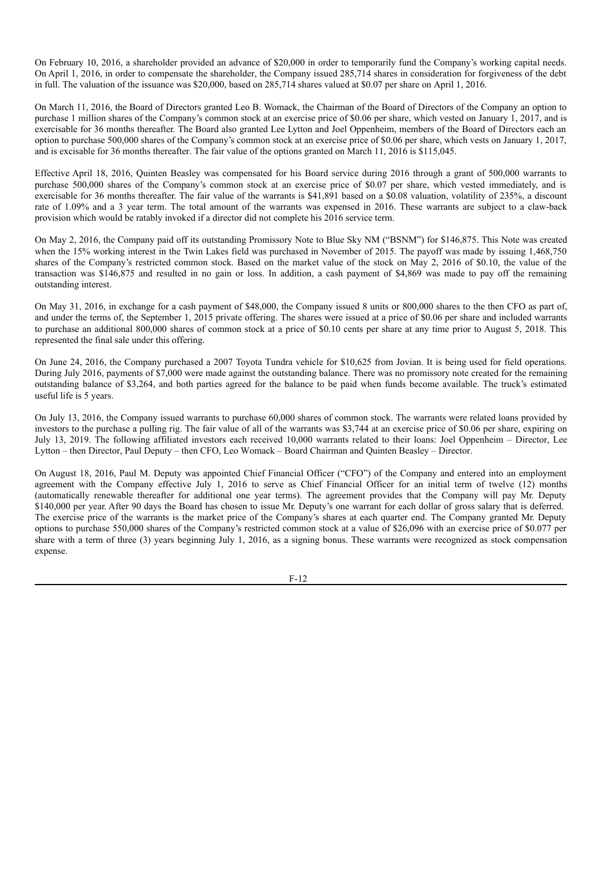On February 10, 2016, a shareholder provided an advance of \$20,000 in order to temporarily fund the Company's working capital needs. On April 1, 2016, in order to compensate the shareholder, the Company issued 285,714 shares in consideration for forgiveness of the debt in full. The valuation of the issuance was \$20,000, based on 285,714 shares valued at \$0.07 per share on April 1, 2016.

On March 11, 2016, the Board of Directors granted Leo B. Womack, the Chairman of the Board of Directors of the Company an option to purchase 1 million shares of the Company's common stock at an exercise price of \$0.06 per share, which vested on January 1, 2017, and is exercisable for 36 months thereafter. The Board also granted Lee Lytton and Joel Oppenheim, members of the Board of Directors each an option to purchase 500,000 shares of the Company's common stock at an exercise price of \$0.06 per share, which vests on January 1, 2017, and is excisable for 36 months thereafter. The fair value of the options granted on March 11, 2016 is \$115,045.

Effective April 18, 2016, Quinten Beasley was compensated for his Board service during 2016 through a grant of 500,000 warrants to purchase 500,000 shares of the Company's common stock at an exercise price of \$0.07 per share, which vested immediately, and is exercisable for 36 months thereafter. The fair value of the warrants is \$41,891 based on a \$0.08 valuation, volatility of 235%, a discount rate of 1.09% and a 3 year term. The total amount of the warrants was expensed in 2016. These warrants are subject to a claw-back provision which would be ratably invoked if a director did not complete his 2016 service term.

On May 2, 2016, the Company paid off its outstanding Promissory Note to Blue Sky NM ("BSNM") for \$146,875. This Note was created when the 15% working interest in the Twin Lakes field was purchased in November of 2015. The payoff was made by issuing 1,468,750 shares of the Company's restricted common stock. Based on the market value of the stock on May 2, 2016 of \$0.10, the value of the transaction was \$146,875 and resulted in no gain or loss. In addition, a cash payment of \$4,869 was made to pay off the remaining outstanding interest.

On May 31, 2016, in exchange for a cash payment of \$48,000, the Company issued 8 units or 800,000 shares to the then CFO as part of, and under the terms of, the September 1, 2015 private offering. The shares were issued at a price of \$0.06 per share and included warrants to purchase an additional 800,000 shares of common stock at a price of \$0.10 cents per share at any time prior to August 5, 2018. This represented the final sale under this offering.

On June 24, 2016, the Company purchased a 2007 Toyota Tundra vehicle for \$10,625 from Jovian. It is being used for field operations. During July 2016, payments of \$7,000 were made against the outstanding balance. There was no promissory note created for the remaining outstanding balance of \$3,264, and both parties agreed for the balance to be paid when funds become available. The truck's estimated useful life is 5 years.

On July 13, 2016, the Company issued warrants to purchase 60,000 shares of common stock. The warrants were related loans provided by investors to the purchase a pulling rig. The fair value of all of the warrants was \$3,744 at an exercise price of \$0.06 per share, expiring on July 13, 2019. The following affiliated investors each received 10,000 warrants related to their loans: Joel Oppenheim – Director, Lee Lytton – then Director, Paul Deputy – then CFO, Leo Womack – Board Chairman and Quinten Beasley – Director.

On August 18, 2016, Paul M. Deputy was appointed Chief Financial Officer ("CFO") of the Company and entered into an employment agreement with the Company effective July 1, 2016 to serve as Chief Financial Officer for an initial term of twelve (12) months (automatically renewable thereafter for additional one year terms). The agreement provides that the Company will pay Mr. Deputy \$140,000 per year. After 90 days the Board has chosen to issue Mr. Deputy's one warrant for each dollar of gross salary that is deferred. The exercise price of the warrants is the market price of the Company's shares at each quarter end. The Company granted Mr. Deputy options to purchase 550,000 shares of the Company's restricted common stock at a value of \$26,096 with an exercise price of \$0.077 per share with a term of three (3) years beginning July 1, 2016, as a signing bonus. These warrants were recognized as stock compensation expense.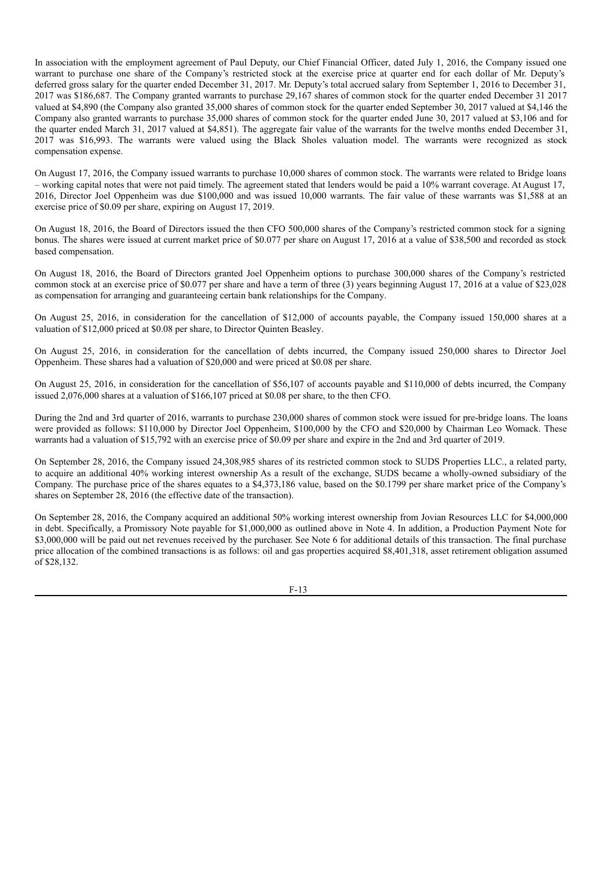In association with the employment agreement of Paul Deputy, our Chief Financial Officer, dated July 1, 2016, the Company issued one warrant to purchase one share of the Company's restricted stock at the exercise price at quarter end for each dollar of Mr. Deputy's deferred gross salary for the quarter ended December 31, 2017. Mr. Deputy's total accrued salary from September 1, 2016 to December 31, 2017 was \$186,687. The Company granted warrants to purchase 29,167 shares of common stock for the quarter ended December 31 2017 valued at \$4,890 (the Company also granted 35,000 shares of common stock for the quarter ended September 30, 2017 valued at \$4,146 the Company also granted warrants to purchase 35,000 shares of common stock for the quarter ended June 30, 2017 valued at \$3,106 and for the quarter ended March 31, 2017 valued at \$4,851). The aggregate fair value of the warrants for the twelve months ended December 31, 2017 was \$16,993. The warrants were valued using the Black Sholes valuation model. The warrants were recognized as stock compensation expense.

On August 17, 2016, the Company issued warrants to purchase 10,000 shares of common stock. The warrants were related to Bridge loans – working capital notes that were not paid timely. The agreement stated that lenders would be paid a 10% warrant coverage. At August 17, 2016, Director Joel Oppenheim was due \$100,000 and was issued 10,000 warrants. The fair value of these warrants was \$1,588 at an exercise price of \$0.09 per share, expiring on August 17, 2019.

On August 18, 2016, the Board of Directors issued the then CFO 500,000 shares of the Company's restricted common stock for a signing bonus. The shares were issued at current market price of \$0.077 per share on August 17, 2016 at a value of \$38,500 and recorded as stock based compensation.

On August 18, 2016, the Board of Directors granted Joel Oppenheim options to purchase 300,000 shares of the Company's restricted common stock at an exercise price of \$0.077 per share and have a term of three (3) years beginning August 17, 2016 at a value of \$23,028 as compensation for arranging and guaranteeing certain bank relationships for the Company.

On August 25, 2016, in consideration for the cancellation of \$12,000 of accounts payable, the Company issued 150,000 shares at a valuation of \$12,000 priced at \$0.08 per share, to Director Quinten Beasley.

On August 25, 2016, in consideration for the cancellation of debts incurred, the Company issued 250,000 shares to Director Joel Oppenheim. These shares had a valuation of \$20,000 and were priced at \$0.08 per share.

On August 25, 2016, in consideration for the cancellation of \$56,107 of accounts payable and \$110,000 of debts incurred, the Company issued 2,076,000 shares at a valuation of \$166,107 priced at \$0.08 per share, to the then CFO.

During the 2nd and 3rd quarter of 2016, warrants to purchase 230,000 shares of common stock were issued for pre-bridge loans. The loans were provided as follows: \$110,000 by Director Joel Oppenheim, \$100,000 by the CFO and \$20,000 by Chairman Leo Womack. These warrants had a valuation of \$15,792 with an exercise price of \$0.09 per share and expire in the 2nd and 3rd quarter of 2019.

On September 28, 2016, the Company issued 24,308,985 shares of its restricted common stock to SUDS Properties LLC., a related party, to acquire an additional 40% working interest ownership As a result of the exchange, SUDS became a wholly-owned subsidiary of the Company. The purchase price of the shares equates to a \$4,373,186 value, based on the \$0.1799 per share market price of the Company's shares on September 28, 2016 (the effective date of the transaction).

On September 28, 2016, the Company acquired an additional 50% working interest ownership from Jovian Resources LLC for \$4,000,000 in debt. Specifically, a Promissory Note payable for \$1,000,000 as outlined above in Note 4. In addition, a Production Payment Note for \$3,000,000 will be paid out net revenues received by the purchaser. See Note 6 for additional details of this transaction. The final purchase price allocation of the combined transactions is as follows: oil and gas properties acquired \$8,401,318, asset retirement obligation assumed of \$28,132.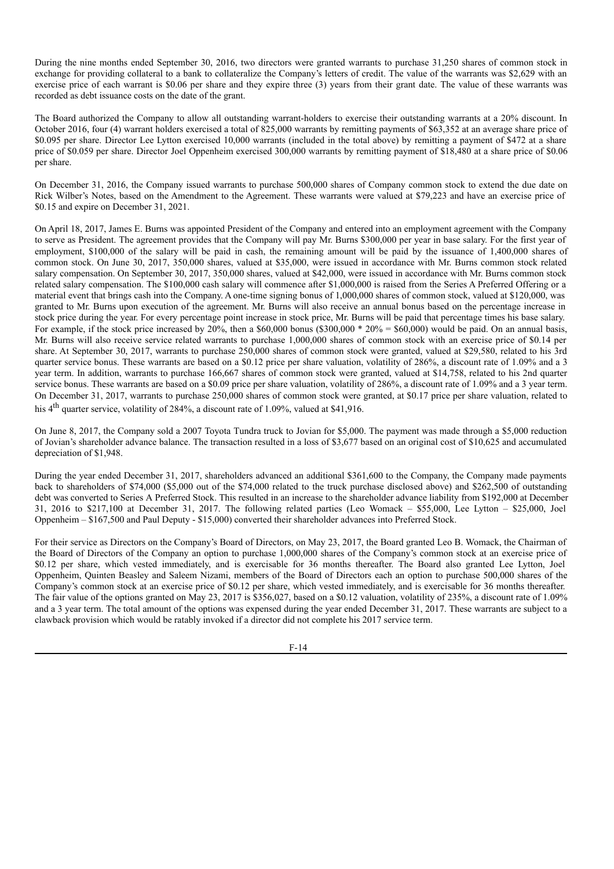During the nine months ended September 30, 2016, two directors were granted warrants to purchase 31,250 shares of common stock in exchange for providing collateral to a bank to collateralize the Company's letters of credit. The value of the warrants was \$2,629 with an exercise price of each warrant is \$0.06 per share and they expire three (3) years from their grant date. The value of these warrants was recorded as debt issuance costs on the date of the grant.

The Board authorized the Company to allow all outstanding warrant-holders to exercise their outstanding warrants at a 20% discount. In October 2016, four (4) warrant holders exercised a total of 825,000 warrants by remitting payments of \$63,352 at an average share price of \$0.095 per share. Director Lee Lytton exercised 10,000 warrants (included in the total above) by remitting a payment of \$472 at a share price of \$0.059 per share. Director Joel Oppenheim exercised 300,000 warrants by remitting payment of \$18,480 at a share price of \$0.06 per share.

On December 31, 2016, the Company issued warrants to purchase 500,000 shares of Company common stock to extend the due date on Rick Wilber's Notes, based on the Amendment to the Agreement. These warrants were valued at \$79,223 and have an exercise price of \$0.15 and expire on December 31, 2021.

On April 18, 2017, James E. Burns was appointed President of the Company and entered into an employment agreement with the Company to serve as President. The agreement provides that the Company will pay Mr. Burns \$300,000 per year in base salary. For the first year of employment, \$100,000 of the salary will be paid in cash, the remaining amount will be paid by the issuance of 1,400,000 shares of common stock. On June 30, 2017, 350,000 shares, valued at \$35,000, were issued in accordance with Mr. Burns common stock related salary compensation. On September 30, 2017, 350,000 shares, valued at \$42,000, were issued in accordance with Mr. Burns common stock related salary compensation. The \$100,000 cash salary will commence after \$1,000,000 is raised from the Series A Preferred Offering or a material event that brings cash into the Company. A one-time signing bonus of 1,000,000 shares of common stock, valued at \$120,000, was granted to Mr. Burns upon execution of the agreement. Mr. Burns will also receive an annual bonus based on the percentage increase in stock price during the year. For every percentage point increase in stock price, Mr. Burns will be paid that percentage times his base salary. For example, if the stock price increased by 20%, then a \$60,000 bonus (\$300,000 \*  $20\% = $60,000$ ) would be paid. On an annual basis, Mr. Burns will also receive service related warrants to purchase 1,000,000 shares of common stock with an exercise price of \$0.14 per share. At September 30, 2017, warrants to purchase 250,000 shares of common stock were granted, valued at \$29,580, related to his 3rd quarter service bonus. These warrants are based on a \$0.12 price per share valuation, volatility of 286%, a discount rate of 1.09% and a 3 year term. In addition, warrants to purchase 166,667 shares of common stock were granted, valued at \$14,758, related to his 2nd quarter service bonus. These warrants are based on a \$0.09 price per share valuation, volatility of 286%, a discount rate of 1.09% and a 3 year term. On December 31, 2017, warrants to purchase 250,000 shares of common stock were granted, at \$0.17 price per share valuation, related to his 4<sup>th</sup> quarter service, volatility of 284%, a discount rate of 1.09%, valued at \$41,916.

On June 8, 2017, the Company sold a 2007 Toyota Tundra truck to Jovian for \$5,000. The payment was made through a \$5,000 reduction of Jovian's shareholder advance balance. The transaction resulted in a loss of \$3,677 based on an original cost of \$10,625 and accumulated depreciation of \$1,948.

During the year ended December 31, 2017, shareholders advanced an additional \$361,600 to the Company, the Company made payments back to shareholders of \$74,000 (\$5,000 out of the \$74,000 related to the truck purchase disclosed above) and \$262,500 of outstanding debt was converted to Series A Preferred Stock. This resulted in an increase to the shareholder advance liability from \$192,000 at December 31, 2016 to \$217,100 at December 31, 2017. The following related parties (Leo Womack – \$55,000, Lee Lytton – \$25,000, Joel Oppenheim – \$167,500 and Paul Deputy - \$15,000) converted their shareholder advances into Preferred Stock.

For their service as Directors on the Company's Board of Directors, on May 23, 2017, the Board granted Leo B. Womack, the Chairman of the Board of Directors of the Company an option to purchase 1,000,000 shares of the Company's common stock at an exercise price of \$0.12 per share, which vested immediately, and is exercisable for 36 months thereafter. The Board also granted Lee Lytton, Joel Oppenheim, Quinten Beasley and Saleem Nizami, members of the Board of Directors each an option to purchase 500,000 shares of the Company's common stock at an exercise price of \$0.12 per share, which vested immediately, and is exercisable for 36 months thereafter. The fair value of the options granted on May 23, 2017 is \$356,027, based on a \$0.12 valuation, volatility of 235%, a discount rate of 1.09% and a 3 year term. The total amount of the options was expensed during the year ended December 31, 2017. These warrants are subject to a clawback provision which would be ratably invoked if a director did not complete his 2017 service term.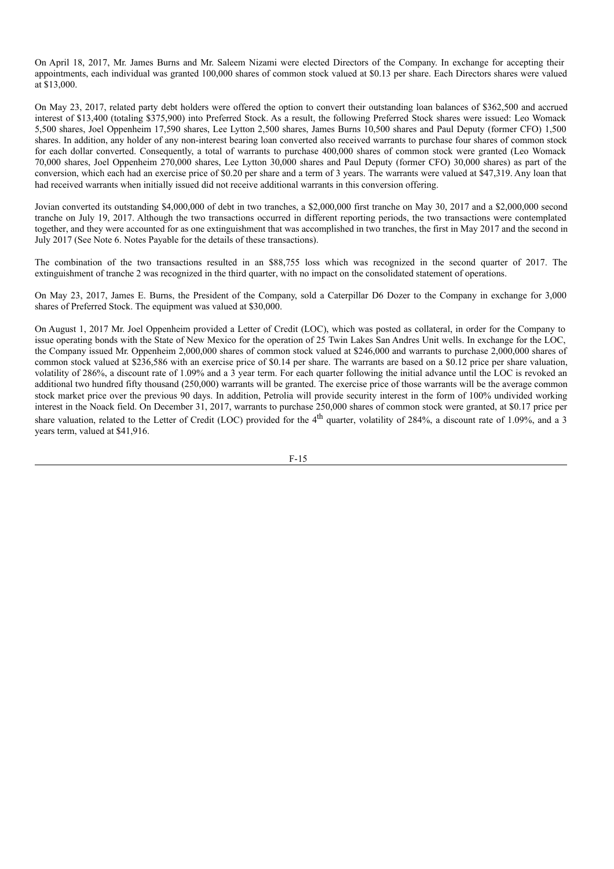On April 18, 2017, Mr. James Burns and Mr. Saleem Nizami were elected Directors of the Company. In exchange for accepting their appointments, each individual was granted 100,000 shares of common stock valued at \$0.13 per share. Each Directors shares were valued at \$13,000.

On May 23, 2017, related party debt holders were offered the option to convert their outstanding loan balances of \$362,500 and accrued interest of \$13,400 (totaling \$375,900) into Preferred Stock. As a result, the following Preferred Stock shares were issued: Leo Womack 5,500 shares, Joel Oppenheim 17,590 shares, Lee Lytton 2,500 shares, James Burns 10,500 shares and Paul Deputy (former CFO) 1,500 shares. In addition, any holder of any non-interest bearing loan converted also received warrants to purchase four shares of common stock for each dollar converted. Consequently, a total of warrants to purchase 400,000 shares of common stock were granted (Leo Womack 70,000 shares, Joel Oppenheim 270,000 shares, Lee Lytton 30,000 shares and Paul Deputy (former CFO) 30,000 shares) as part of the conversion, which each had an exercise price of \$0.20 per share and a term of 3 years. The warrants were valued at \$47,319. Any loan that had received warrants when initially issued did not receive additional warrants in this conversion offering.

Jovian converted its outstanding \$4,000,000 of debt in two tranches, a \$2,000,000 first tranche on May 30, 2017 and a \$2,000,000 second tranche on July 19, 2017. Although the two transactions occurred in different reporting periods, the two transactions were contemplated together, and they were accounted for as one extinguishment that was accomplished in two tranches, the first in May 2017 and the second in July 2017 (See Note 6. Notes Payable for the details of these transactions).

The combination of the two transactions resulted in an \$88,755 loss which was recognized in the second quarter of 2017. The extinguishment of tranche 2 was recognized in the third quarter, with no impact on the consolidated statement of operations.

On May 23, 2017, James E. Burns, the President of the Company, sold a Caterpillar D6 Dozer to the Company in exchange for 3,000 shares of Preferred Stock. The equipment was valued at \$30,000.

On August 1, 2017 Mr. Joel Oppenheim provided a Letter of Credit (LOC), which was posted as collateral, in order for the Company to issue operating bonds with the State of New Mexico for the operation of 25 Twin Lakes San Andres Unit wells. In exchange for the LOC, the Company issued Mr. Oppenheim 2,000,000 shares of common stock valued at \$246,000 and warrants to purchase 2,000,000 shares of common stock valued at \$236,586 with an exercise price of \$0.14 per share. The warrants are based on a \$0.12 price per share valuation, volatility of 286%, a discount rate of 1.09% and a 3 year term. For each quarter following the initial advance until the LOC is revoked an additional two hundred fifty thousand (250,000) warrants will be granted. The exercise price of those warrants will be the average common stock market price over the previous 90 days. In addition, Petrolia will provide security interest in the form of 100% undivided working interest in the Noack field. On December 31, 2017, warrants to purchase 250,000 shares of common stock were granted, at \$0.17 price per share valuation, related to the Letter of Credit (LOC) provided for the 4<sup>th</sup> quarter, volatility of 284%, a discount rate of 1.09%, and a 3 years term, valued at \$41,916.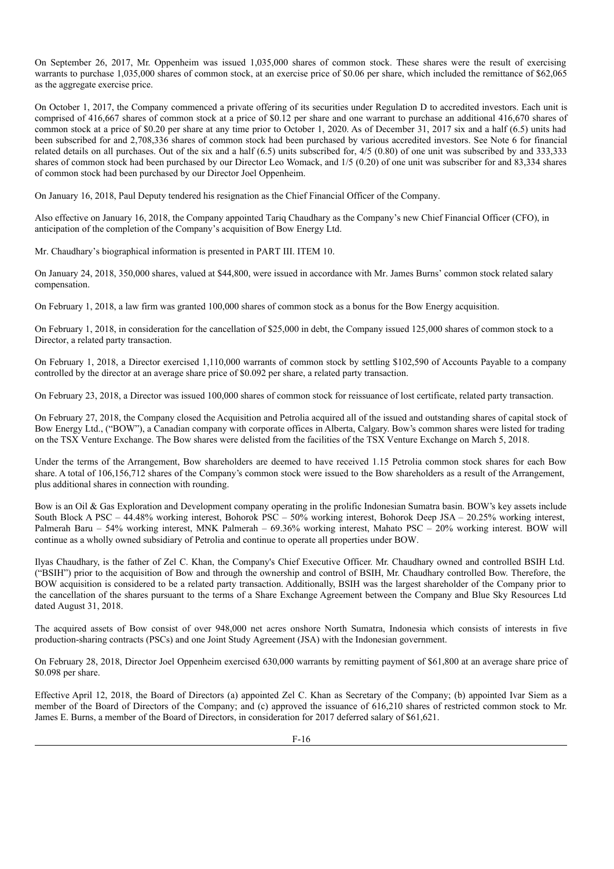On September 26, 2017, Mr. Oppenheim was issued 1,035,000 shares of common stock. These shares were the result of exercising warrants to purchase 1,035,000 shares of common stock, at an exercise price of \$0.06 per share, which included the remittance of \$62,065 as the aggregate exercise price.

On October 1, 2017, the Company commenced a private offering of its securities under Regulation D to accredited investors. Each unit is comprised of 416,667 shares of common stock at a price of \$0.12 per share and one warrant to purchase an additional 416,670 shares of common stock at a price of \$0.20 per share at any time prior to October 1, 2020. As of December 31, 2017 six and a half (6.5) units had been subscribed for and 2,708,336 shares of common stock had been purchased by various accredited investors. See Note 6 for financial related details on all purchases. Out of the six and a half (6.5) units subscribed for, 4/5 (0.80) of one unit was subscribed by and 333,333 shares of common stock had been purchased by our Director Leo Womack, and 1/5 (0.20) of one unit was subscriber for and 83,334 shares of common stock had been purchased by our Director Joel Oppenheim.

On January 16, 2018, Paul Deputy tendered his resignation as the Chief Financial Officer of the Company.

Also effective on January 16, 2018, the Company appointed Tariq Chaudhary as the Company's new Chief Financial Officer (CFO), in anticipation of the completion of the Company's acquisition of Bow Energy Ltd.

Mr. Chaudhary's biographical information is presented in PART III. ITEM 10.

On January 24, 2018, 350,000 shares, valued at \$44,800, were issued in accordance with Mr. James Burns' common stock related salary compensation.

On February 1, 2018, a law firm was granted 100,000 shares of common stock as a bonus for the Bow Energy acquisition.

On February 1, 2018, in consideration for the cancellation of \$25,000 in debt, the Company issued 125,000 shares of common stock to a Director, a related party transaction.

On February 1, 2018, a Director exercised 1,110,000 warrants of common stock by settling \$102,590 of Accounts Payable to a company controlled by the director at an average share price of \$0.092 per share, a related party transaction.

On February 23, 2018, a Director was issued 100,000 shares of common stock for reissuance of lost certificate, related party transaction.

On February 27, 2018, the Company closed the Acquisition and Petrolia acquired all of the issued and outstanding shares of capital stock of Bow Energy Ltd., ("BOW"), a Canadian company with corporate offices in Alberta, Calgary. Bow's common shares were listed for trading on the TSX Venture Exchange. The Bow shares were delisted from the facilities of the TSX Venture Exchange on March 5, 2018.

Under the terms of the Arrangement, Bow shareholders are deemed to have received 1.15 Petrolia common stock shares for each Bow share. A total of 106,156,712 shares of the Company's common stock were issued to the Bow shareholders as a result of the Arrangement, plus additional shares in connection with rounding.

Bow is an Oil & Gas Exploration and Development company operating in the prolific Indonesian Sumatra basin. BOW's key assets include South Block A PSC – 44.48% working interest, Bohorok PSC – 50% working interest, Bohorok Deep JSA – 20.25% working interest, Palmerah Baru – 54% working interest, MNK Palmerah – 69.36% working interest, Mahato PSC – 20% working interest. BOW will continue as a wholly owned subsidiary of Petrolia and continue to operate all properties under BOW.

Ilyas Chaudhary, is the father of Zel C. Khan, the Company's Chief Executive Officer. Mr. Chaudhary owned and controlled BSIH Ltd. ("BSIH") prior to the acquisition of Bow and through the ownership and control of BSIH, Mr. Chaudhary controlled Bow. Therefore, the BOW acquisition is considered to be a related party transaction. Additionally, BSIH was the largest shareholder of the Company prior to the cancellation of the shares pursuant to the terms of a Share Exchange Agreement between the Company and Blue Sky Resources Ltd dated August 31, 2018.

The acquired assets of Bow consist of over 948,000 net acres onshore North Sumatra, Indonesia which consists of interests in five production-sharing contracts (PSCs) and one Joint Study Agreement (JSA) with the Indonesian government.

On February 28, 2018, Director Joel Oppenheim exercised 630,000 warrants by remitting payment of \$61,800 at an average share price of \$0.098 per share.

Effective April 12, 2018, the Board of Directors (a) appointed Zel C. Khan as Secretary of the Company; (b) appointed Ivar Siem as a member of the Board of Directors of the Company; and (c) approved the issuance of 616,210 shares of restricted common stock to Mr. James E. Burns, a member of the Board of Directors, in consideration for 2017 deferred salary of \$61,621.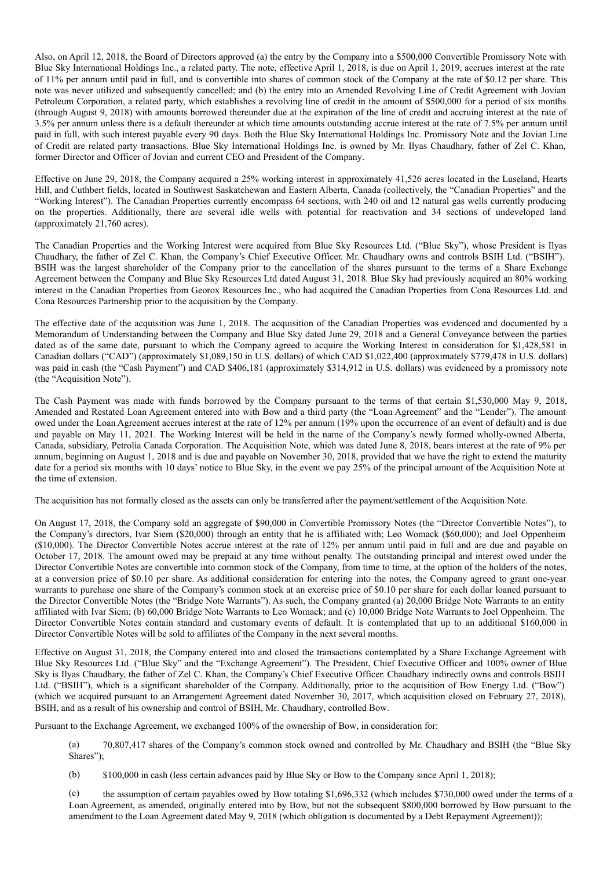Also, on April 12, 2018, the Board of Directors approved (a) the entry by the Company into a \$500,000 Convertible Promissory Note with Blue Sky International Holdings Inc., a related party. The note, effective April 1, 2018, is due on April 1, 2019, accrues interest at the rate of 11% per annum until paid in full, and is convertible into shares of common stock of the Company at the rate of \$0.12 per share. This note was never utilized and subsequently cancelled; and (b) the entry into an Amended Revolving Line of Credit Agreement with Jovian Petroleum Corporation, a related party, which establishes a revolving line of credit in the amount of \$500,000 for a period of six months (through August 9, 2018) with amounts borrowed thereunder due at the expiration of the line of credit and accruing interest at the rate of 3.5% per annum unless there is a default thereunder at which time amounts outstanding accrue interest at the rate of 7.5% per annum until paid in full, with such interest payable every 90 days. Both the Blue Sky International Holdings Inc. Promissory Note and the Jovian Line of Credit are related party transactions. Blue Sky International Holdings Inc. is owned by Mr. Ilyas Chaudhary, father of Zel C. Khan, former Director and Officer of Jovian and current CEO and President of the Company.

Effective on June 29, 2018, the Company acquired a 25% working interest in approximately 41,526 acres located in the Luseland, Hearts Hill, and Cuthbert fields, located in Southwest Saskatchewan and Eastern Alberta, Canada (collectively, the "Canadian Properties" and the "Working Interest"). The Canadian Properties currently encompass 64 sections, with 240 oil and 12 natural gas wells currently producing on the properties. Additionally, there are several idle wells with potential for reactivation and 34 sections of undeveloped land (approximately 21,760 acres).

The Canadian Properties and the Working Interest were acquired from Blue Sky Resources Ltd. ("Blue Sky"), whose President is Ilyas Chaudhary, the father of Zel C. Khan, the Company's Chief Executive Officer. Mr. Chaudhary owns and controls BSIH Ltd. ("BSIH"). BSIH was the largest shareholder of the Company prior to the cancellation of the shares pursuant to the terms of a Share Exchange Agreement between the Company and Blue Sky Resources Ltd dated August 31, 2018. Blue Sky had previously acquired an 80% working interest in the Canadian Properties from Georox Resources Inc., who had acquired the Canadian Properties from Cona Resources Ltd. and Cona Resources Partnership prior to the acquisition by the Company.

The effective date of the acquisition was June 1, 2018. The acquisition of the Canadian Properties was evidenced and documented by a Memorandum of Understanding between the Company and Blue Sky dated June 29, 2018 and a General Conveyance between the parties dated as of the same date, pursuant to which the Company agreed to acquire the Working Interest in consideration for \$1,428,581 in Canadian dollars ("CAD") (approximately \$1,089,150 in U.S. dollars) of which CAD \$1,022,400 (approximately \$779,478 in U.S. dollars) was paid in cash (the "Cash Payment") and CAD \$406,181 (approximately \$314,912 in U.S. dollars) was evidenced by a promissory note (the "Acquisition Note").

The Cash Payment was made with funds borrowed by the Company pursuant to the terms of that certain \$1,530,000 May 9, 2018, Amended and Restated Loan Agreement entered into with Bow and a third party (the "Loan Agreement" and the "Lender"). The amount owed under the Loan Agreement accrues interest at the rate of 12% per annum (19% upon the occurrence of an event of default) and is due and payable on May 11, 2021. The Working Interest will be held in the name of the Company's newly formed wholly-owned Alberta, Canada, subsidiary, Petrolia Canada Corporation. The Acquisition Note, which was dated June 8, 2018, bears interest at the rate of 9% per annum, beginning on August 1, 2018 and is due and payable on November 30, 2018, provided that we have the right to extend the maturity date for a period six months with 10 days' notice to Blue Sky, in the event we pay 25% of the principal amount of the Acquisition Note at the time of extension.

The acquisition has not formally closed as the assets can only be transferred after the payment/settlement of the Acquisition Note.

On August 17, 2018, the Company sold an aggregate of \$90,000 in Convertible Promissory Notes (the "Director Convertible Notes"), to the Company's directors, Ivar Siem (\$20,000) through an entity that he is affiliated with; Leo Womack (\$60,000); and Joel Oppenheim (\$10,000). The Director Convertible Notes accrue interest at the rate of 12% per annum until paid in full and are due and payable on October 17, 2018. The amount owed may be prepaid at any time without penalty. The outstanding principal and interest owed under the Director Convertible Notes are convertible into common stock of the Company, from time to time, at the option of the holders of the notes, at a conversion price of \$0.10 per share. As additional consideration for entering into the notes, the Company agreed to grant one-year warrants to purchase one share of the Company's common stock at an exercise price of \$0.10 per share for each dollar loaned pursuant to the Director Convertible Notes (the "Bridge Note Warrants"). As such, the Company granted (a) 20,000 Bridge Note Warrants to an entity affiliated with Ivar Siem; (b) 60,000 Bridge Note Warrants to Leo Womack; and (c) 10,000 Bridge Note Warrants to Joel Oppenheim. The Director Convertible Notes contain standard and customary events of default. It is contemplated that up to an additional \$160,000 in Director Convertible Notes will be sold to affiliates of the Company in the next several months.

Effective on August 31, 2018, the Company entered into and closed the transactions contemplated by a Share Exchange Agreement with Blue Sky Resources Ltd. ("Blue Sky" and the "Exchange Agreement"). The President, Chief Executive Officer and 100% owner of Blue Sky is Ilyas Chaudhary, the father of Zel C. Khan, the Company's Chief Executive Officer. Chaudhary indirectly owns and controls BSIH Ltd. ("BSIH"), which is a significant shareholder of the Company. Additionally, prior to the acquisition of Bow Energy Ltd. ("Bow") (which we acquired pursuant to an Arrangement Agreement dated November 30, 2017, which acquisition closed on February 27, 2018), BSIH, and as a result of his ownership and control of BSIH, Mr. Chaudhary, controlled Bow.

Pursuant to the Exchange Agreement, we exchanged 100% of the ownership of Bow, in consideration for:

(a) 70,807,417 shares of the Company's common stock owned and controlled by Mr. Chaudhary and BSIH (the "Blue Sky Shares");

(b) \$100,000 in cash (less certain advances paid by Blue Sky or Bow to the Company since April 1, 2018);

(c) the assumption of certain payables owed by Bow totaling \$1,696,332 (which includes \$730,000 owed under the terms of a Loan Agreement, as amended, originally entered into by Bow, but not the subsequent \$800,000 borrowed by Bow pursuant to the amendment to the Loan Agreement dated May 9, 2018 (which obligation is documented by a Debt Repayment Agreement));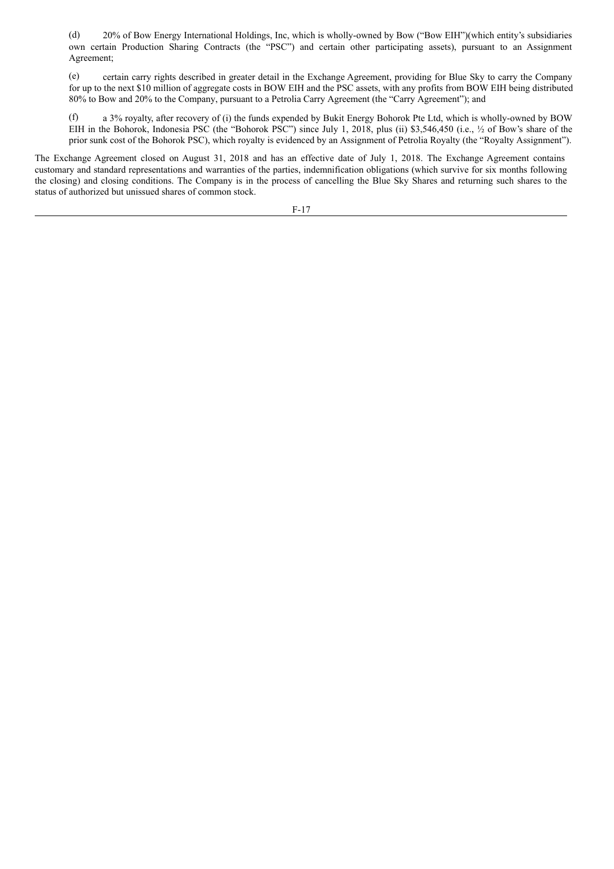(d) 20% of Bow Energy International Holdings, Inc, which is wholly-owned by Bow ("Bow EIH")(which entity's subsidiaries own certain Production Sharing Contracts (the "PSC") and certain other participating assets), pursuant to an Assignment Agreement;

(e) certain carry rights described in greater detail in the Exchange Agreement, providing for Blue Sky to carry the Company for up to the next \$10 million of aggregate costs in BOW EIH and the PSC assets, with any profits from BOW EIH being distributed 80% to Bow and 20% to the Company, pursuant to a Petrolia Carry Agreement (the "Carry Agreement"); and

(f) a 3% royalty, after recovery of (i) the funds expended by Bukit Energy Bohorok Pte Ltd, which is wholly-owned by BOW EIH in the Bohorok, Indonesia PSC (the "Bohorok PSC") since July 1, 2018, plus (ii) \$3,546,450 (i.e., ½ of Bow's share of the prior sunk cost of the Bohorok PSC), which royalty is evidenced by an Assignment of Petrolia Royalty (the "Royalty Assignment").

The Exchange Agreement closed on August 31, 2018 and has an effective date of July 1, 2018. The Exchange Agreement contains customary and standard representations and warranties of the parties, indemnification obligations (which survive for six months following the closing) and closing conditions. The Company is in the process of cancelling the Blue Sky Shares and returning such shares to the status of authorized but unissued shares of common stock.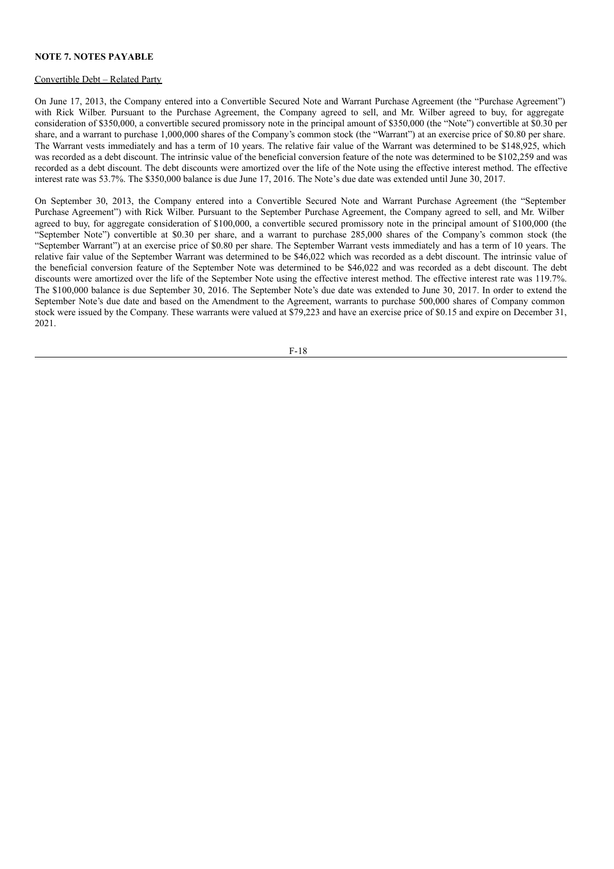#### **NOTE 7. NOTES PAYABLE**

#### Convertible Debt – Related Party

On June 17, 2013, the Company entered into a Convertible Secured Note and Warrant Purchase Agreement (the "Purchase Agreement") with Rick Wilber. Pursuant to the Purchase Agreement, the Company agreed to sell, and Mr. Wilber agreed to buy, for aggregate consideration of \$350,000, a convertible secured promissory note in the principal amount of \$350,000 (the "Note") convertible at \$0.30 per share, and a warrant to purchase 1,000,000 shares of the Company's common stock (the "Warrant") at an exercise price of \$0.80 per share. The Warrant vests immediately and has a term of 10 years. The relative fair value of the Warrant was determined to be \$148,925, which was recorded as a debt discount. The intrinsic value of the beneficial conversion feature of the note was determined to be \$102,259 and was recorded as a debt discount. The debt discounts were amortized over the life of the Note using the effective interest method. The effective interest rate was 53.7%. The \$350,000 balance is due June 17, 2016. The Note's due date was extended until June 30, 2017.

On September 30, 2013, the Company entered into a Convertible Secured Note and Warrant Purchase Agreement (the "September Purchase Agreement") with Rick Wilber. Pursuant to the September Purchase Agreement, the Company agreed to sell, and Mr. Wilber agreed to buy, for aggregate consideration of \$100,000, a convertible secured promissory note in the principal amount of \$100,000 (the "September Note") convertible at \$0.30 per share, and a warrant to purchase 285,000 shares of the Company's common stock (the "September Warrant") at an exercise price of \$0.80 per share. The September Warrant vests immediately and has a term of 10 years. The relative fair value of the September Warrant was determined to be \$46,022 which was recorded as a debt discount. The intrinsic value of the beneficial conversion feature of the September Note was determined to be \$46,022 and was recorded as a debt discount. The debt discounts were amortized over the life of the September Note using the effective interest method. The effective interest rate was 119.7%. The \$100,000 balance is due September 30, 2016. The September Note's due date was extended to June 30, 2017. In order to extend the September Note's due date and based on the Amendment to the Agreement, warrants to purchase 500,000 shares of Company common stock were issued by the Company. These warrants were valued at \$79,223 and have an exercise price of \$0.15 and expire on December 31, 2021.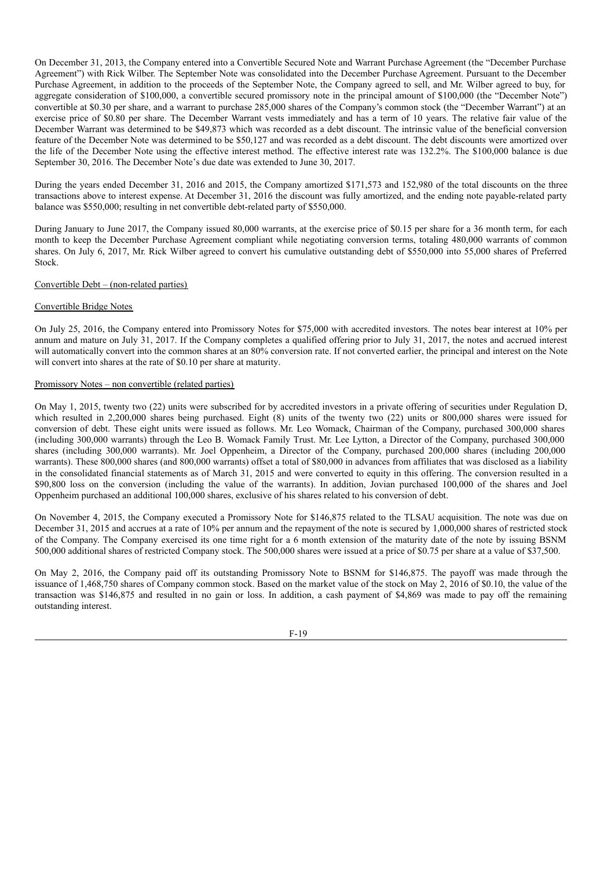On December 31, 2013, the Company entered into a Convertible Secured Note and Warrant Purchase Agreement (the "December Purchase Agreement") with Rick Wilber. The September Note was consolidated into the December Purchase Agreement. Pursuant to the December Purchase Agreement, in addition to the proceeds of the September Note, the Company agreed to sell, and Mr. Wilber agreed to buy, for aggregate consideration of \$100,000, a convertible secured promissory note in the principal amount of \$100,000 (the "December Note") convertible at \$0.30 per share, and a warrant to purchase 285,000 shares of the Company's common stock (the "December Warrant") at an exercise price of \$0.80 per share. The December Warrant vests immediately and has a term of 10 years. The relative fair value of the December Warrant was determined to be \$49,873 which was recorded as a debt discount. The intrinsic value of the beneficial conversion feature of the December Note was determined to be \$50,127 and was recorded as a debt discount. The debt discounts were amortized over the life of the December Note using the effective interest method. The effective interest rate was 132.2%. The \$100,000 balance is due September 30, 2016. The December Note's due date was extended to June 30, 2017.

During the years ended December 31, 2016 and 2015, the Company amortized \$171,573 and 152,980 of the total discounts on the three transactions above to interest expense. At December 31, 2016 the discount was fully amortized, and the ending note payable-related party balance was \$550,000; resulting in net convertible debt-related party of \$550,000.

During January to June 2017, the Company issued 80,000 warrants, at the exercise price of \$0.15 per share for a 36 month term, for each month to keep the December Purchase Agreement compliant while negotiating conversion terms, totaling 480,000 warrants of common shares. On July 6, 2017, Mr. Rick Wilber agreed to convert his cumulative outstanding debt of \$550,000 into 55,000 shares of Preferred Stock.

# Convertible Debt – (non-related parties)

# Convertible Bridge Notes

On July 25, 2016, the Company entered into Promissory Notes for \$75,000 with accredited investors. The notes bear interest at 10% per annum and mature on July 31, 2017. If the Company completes a qualified offering prior to July 31, 2017, the notes and accrued interest will automatically convert into the common shares at an 80% conversion rate. If not converted earlier, the principal and interest on the Note will convert into shares at the rate of \$0.10 per share at maturity.

# Promissory Notes – non convertible (related parties)

On May 1, 2015, twenty two (22) units were subscribed for by accredited investors in a private offering of securities under Regulation D, which resulted in 2,200,000 shares being purchased. Eight (8) units of the twenty two (22) units or 800,000 shares were issued for conversion of debt. These eight units were issued as follows. Mr. Leo Womack, Chairman of the Company, purchased 300,000 shares (including 300,000 warrants) through the Leo B. Womack Family Trust. Mr. Lee Lytton, a Director of the Company, purchased 300,000 shares (including 300,000 warrants). Mr. Joel Oppenheim, a Director of the Company, purchased 200,000 shares (including 200,000 warrants). These 800,000 shares (and 800,000 warrants) offset a total of \$80,000 in advances from affiliates that was disclosed as a liability in the consolidated financial statements as of March 31, 2015 and were converted to equity in this offering. The conversion resulted in a \$90,800 loss on the conversion (including the value of the warrants). In addition, Jovian purchased 100,000 of the shares and Joel Oppenheim purchased an additional 100,000 shares, exclusive of his shares related to his conversion of debt.

On November 4, 2015, the Company executed a Promissory Note for \$146,875 related to the TLSAU acquisition. The note was due on December 31, 2015 and accrues at a rate of 10% per annum and the repayment of the note is secured by 1,000,000 shares of restricted stock of the Company. The Company exercised its one time right for a 6 month extension of the maturity date of the note by issuing BSNM 500,000 additional shares of restricted Company stock. The 500,000 shares were issued at a price of \$0.75 per share at a value of \$37,500.

On May 2, 2016, the Company paid off its outstanding Promissory Note to BSNM for \$146,875. The payoff was made through the issuance of 1,468,750 shares of Company common stock. Based on the market value of the stock on May 2, 2016 of \$0.10, the value of the transaction was \$146,875 and resulted in no gain or loss. In addition, a cash payment of \$4,869 was made to pay off the remaining outstanding interest.

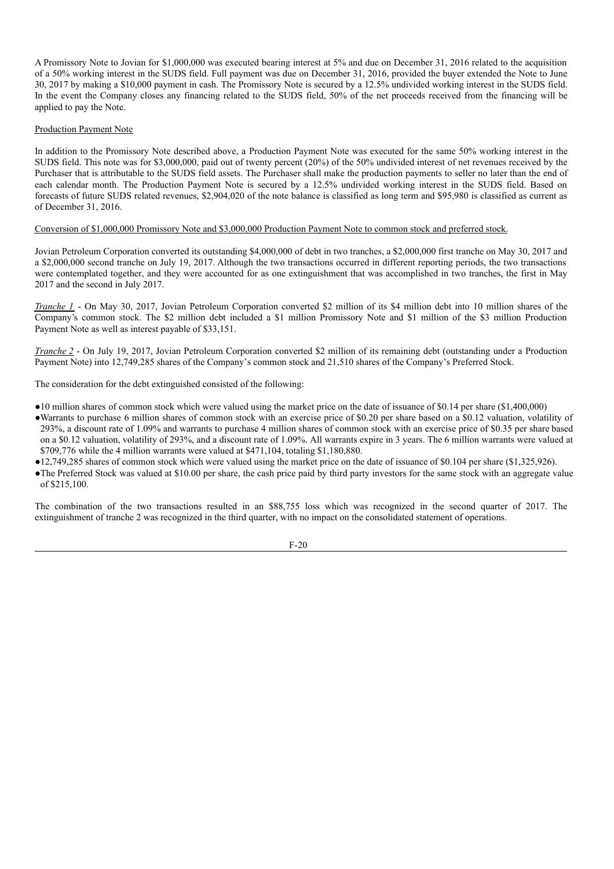A Promissory Note to Jovian for \$1,000,000 was executed bearing interest at 5% and due on December 31, 2016 related to the acquisition of a 50% working interest in the SUDS field. Full payment was due on December 31, 2016, provided the buyer extended the Note to June 30, 2017 by making a \$10,000 payment in cash. The Promissory Note is secured by a 12.5% undivided working interest in the SUDS field. In the event the Company closes any financing related to the SUDS field, 50% of the net proceeds received from the financing will be applied to pay the Note.

# Production Payment Note

In addition to the Promissory Note described above, a Production Payment Note was executed for the same 50% working interest in the SUDS field. This note was for \$3,000,000, paid out of twenty percent (20%) of the 50% undivided interest of net revenues received by the Purchaser that is attributable to the SUDS field assets. The Purchaser shall make the production payments to seller no later than the end of each calendar month. The Production Payment Note is secured by a 12.5% undivided working interest in the SUDS field. Based on forecasts of future SUDS related revenues, \$2,904,020 of the note balance is classified as long term and \$95,980 is classified as current as of December 31, 2016.

# Conversion of \$1,000,000 Promissory Note and \$3,000,000 Production Payment Note to common stock and preferred stock.

Jovian Petroleum Corporation converted its outstanding \$4,000,000 of debt in two tranches, a \$2,000,000 first tranche on May 30, 2017 and a \$2,000,000 second tranche on July 19, 2017. Although the two transactions occurred in different reporting periods, the two transactions were contemplated together, and they were accounted for as one extinguishment that was accomplished in two tranches, the first in May 2017 and the second in July 2017.

*Tranche 1* - On May 30, 2017, Jovian Petroleum Corporation converted \$2 million of its \$4 million debt into 10 million shares of the Company's common stock. The \$2 million debt included a \$1 million Promissory Note and \$1 million of the \$3 million Production Payment Note as well as interest payable of \$33,151.

*Tranche 2* - On July 19, 2017, Jovian Petroleum Corporation converted \$2 million of its remaining debt (outstanding under a Production Payment Note) into 12,749,285 shares of the Company's common stock and 21,510 shares of the Company's Preferred Stock.

The consideration for the debt extinguished consisted of the following:

- ●10 million shares of common stock which were valued using the market price on the date of issuance of \$0.14 per share (\$1,400,000)
- ●Warrants to purchase 6 million shares of common stock with an exercise price of \$0.20 per share based on a \$0.12 valuation, volatility of 293%, a discount rate of 1.09% and warrants to purchase 4 million shares of common stock with an exercise price of \$0.35 per share based on a \$0.12 valuation, volatility of 293%, and a discount rate of 1.09%. All warrants expire in 3 years. The 6 million warrants were valued at \$709,776 while the 4 million warrants were valued at \$471,104, totaling \$1,180,880.
- ●12,749,285 shares of common stock which were valued using the market price on the date of issuance of \$0.104 per share (\$1,325,926).
- ●The Preferred Stock was valued at \$10.00 per share, the cash price paid by third party investors for the same stock with an aggregate value of \$215,100.

The combination of the two transactions resulted in an \$88,755 loss which was recognized in the second quarter of 2017. The extinguishment of tranche 2 was recognized in the third quarter, with no impact on the consolidated statement of operations.

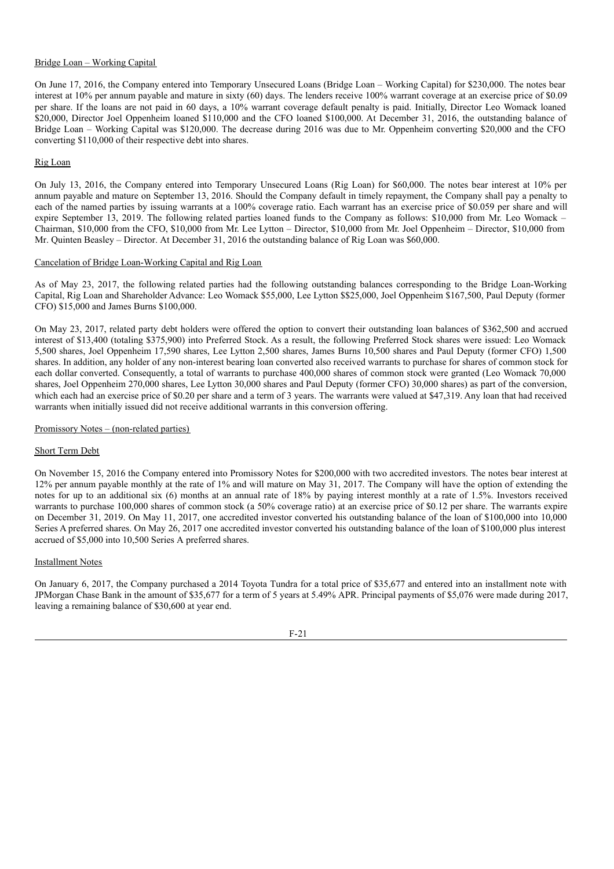# Bridge Loan – Working Capital

On June 17, 2016, the Company entered into Temporary Unsecured Loans (Bridge Loan – Working Capital) for \$230,000. The notes bear interest at 10% per annum payable and mature in sixty (60) days. The lenders receive 100% warrant coverage at an exercise price of \$0.09 per share. If the loans are not paid in 60 days, a 10% warrant coverage default penalty is paid. Initially, Director Leo Womack loaned \$20,000, Director Joel Oppenheim loaned \$110,000 and the CFO loaned \$100,000. At December 31, 2016, the outstanding balance of Bridge Loan – Working Capital was \$120,000. The decrease during 2016 was due to Mr. Oppenheim converting \$20,000 and the CFO converting \$110,000 of their respective debt into shares.

# Rig Loan

On July 13, 2016, the Company entered into Temporary Unsecured Loans (Rig Loan) for \$60,000. The notes bear interest at 10% per annum payable and mature on September 13, 2016. Should the Company default in timely repayment, the Company shall pay a penalty to each of the named parties by issuing warrants at a 100% coverage ratio. Each warrant has an exercise price of \$0.059 per share and will expire September 13, 2019. The following related parties loaned funds to the Company as follows: \$10,000 from Mr. Leo Womack – Chairman, \$10,000 from the CFO, \$10,000 from Mr. Lee Lytton – Director, \$10,000 from Mr. Joel Oppenheim – Director, \$10,000 from Mr. Quinten Beasley – Director. At December 31, 2016 the outstanding balance of Rig Loan was \$60,000.

# Cancelation of Bridge Loan-Working Capital and Rig Loan

As of May 23, 2017, the following related parties had the following outstanding balances corresponding to the Bridge Loan-Working Capital, Rig Loan and Shareholder Advance: Leo Womack \$55,000, Lee Lytton \$\$25,000, Joel Oppenheim \$167,500, Paul Deputy (former CFO) \$15,000 and James Burns \$100,000.

On May 23, 2017, related party debt holders were offered the option to convert their outstanding loan balances of \$362,500 and accrued interest of \$13,400 (totaling \$375,900) into Preferred Stock. As a result, the following Preferred Stock shares were issued: Leo Womack 5,500 shares, Joel Oppenheim 17,590 shares, Lee Lytton 2,500 shares, James Burns 10,500 shares and Paul Deputy (former CFO) 1,500 shares. In addition, any holder of any non-interest bearing loan converted also received warrants to purchase for shares of common stock for each dollar converted. Consequently, a total of warrants to purchase 400,000 shares of common stock were granted (Leo Womack 70,000 shares, Joel Oppenheim 270,000 shares, Lee Lytton 30,000 shares and Paul Deputy (former CFO) 30,000 shares) as part of the conversion, which each had an exercise price of \$0.20 per share and a term of 3 years. The warrants were valued at \$47,319. Any loan that had received warrants when initially issued did not receive additional warrants in this conversion offering.

# Promissory Notes – (non-related parties)

# Short Term Debt

On November 15, 2016 the Company entered into Promissory Notes for \$200,000 with two accredited investors. The notes bear interest at 12% per annum payable monthly at the rate of 1% and will mature on May 31, 2017. The Company will have the option of extending the notes for up to an additional six (6) months at an annual rate of 18% by paying interest monthly at a rate of 1.5%. Investors received warrants to purchase 100,000 shares of common stock (a 50% coverage ratio) at an exercise price of \$0.12 per share. The warrants expire on December 31, 2019. On May 11, 2017, one accredited investor converted his outstanding balance of the loan of \$100,000 into 10,000 Series A preferred shares. On May 26, 2017 one accredited investor converted his outstanding balance of the loan of \$100,000 plus interest accrued of \$5,000 into 10,500 Series A preferred shares.

# Installment Notes

On January 6, 2017, the Company purchased a 2014 Toyota Tundra for a total price of \$35,677 and entered into an installment note with JPMorgan Chase Bank in the amount of \$35,677 for a term of 5 years at 5.49% APR. Principal payments of \$5,076 were made during 2017, leaving a remaining balance of \$30,600 at year end.

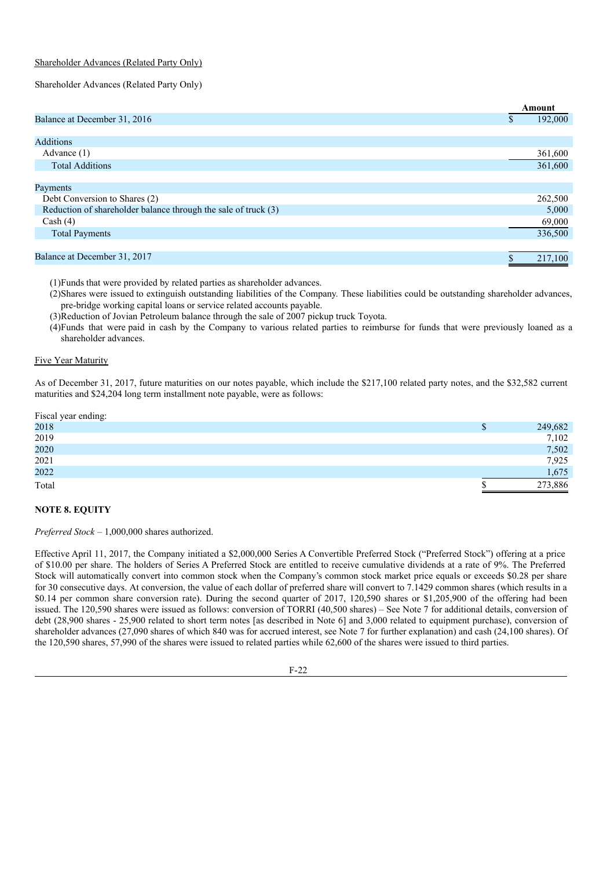# Shareholder Advances (Related Party Only)

# Shareholder Advances (Related Party Only)

|                                                                |   | Amount  |
|----------------------------------------------------------------|---|---------|
| Balance at December 31, 2016                                   | S | 192,000 |
|                                                                |   |         |
| <b>Additions</b>                                               |   |         |
| Advance $(1)$                                                  |   | 361,600 |
| <b>Total Additions</b>                                         |   | 361,600 |
|                                                                |   |         |
| Payments                                                       |   |         |
| Debt Conversion to Shares (2)                                  |   | 262,500 |
| Reduction of shareholder balance through the sale of truck (3) |   | 5,000   |
| Cash (4)                                                       |   | 69,000  |
| <b>Total Payments</b>                                          |   | 336,500 |
|                                                                |   |         |
| Balance at December 31, 2017                                   |   | 217,100 |

(1)Funds that were provided by related parties as shareholder advances.

(2)Shares were issued to extinguish outstanding liabilities of the Company. These liabilities could be outstanding shareholder advances, pre-bridge working capital loans or service related accounts payable.

(3)Reduction of Jovian Petroleum balance through the sale of 2007 pickup truck Toyota.

(4)Funds that were paid in cash by the Company to various related parties to reimburse for funds that were previously loaned as a shareholder advances.

# Five Year Maturity

As of December 31, 2017, future maturities on our notes payable, which include the \$217,100 related party notes, and the \$32,582 current maturities and \$24,204 long term installment note payable, were as follows:

| Fiscal year ending: |         |
|---------------------|---------|
| 2018                | 249,682 |
| 2019                | 7,102   |
| 2020                | 7,502   |
| 2021                | 7,925   |
| 2022                | 1,675   |
| Total               | 273,886 |

# **NOTE 8. EQUITY**

*Preferred Stock* – 1,000,000 shares authorized.

Effective April 11, 2017, the Company initiated a \$2,000,000 Series A Convertible Preferred Stock ("Preferred Stock") offering at a price of \$10.00 per share. The holders of Series A Preferred Stock are entitled to receive cumulative dividends at a rate of 9%. The Preferred Stock will automatically convert into common stock when the Company's common stock market price equals or exceeds \$0.28 per share for 30 consecutive days. At conversion, the value of each dollar of preferred share will convert to 7.1429 common shares (which results in a \$0.14 per common share conversion rate). During the second quarter of 2017, 120,590 shares or \$1,205,900 of the offering had been issued. The 120,590 shares were issued as follows: conversion of TORRI (40,500 shares) – See Note 7 for additional details, conversion of debt (28,900 shares - 25,900 related to short term notes [as described in Note 6] and 3,000 related to equipment purchase), conversion of shareholder advances (27,090 shares of which 840 was for accrued interest, see Note 7 for further explanation) and cash (24,100 shares). Of the 120,590 shares, 57,990 of the shares were issued to related parties while 62,600 of the shares were issued to third parties.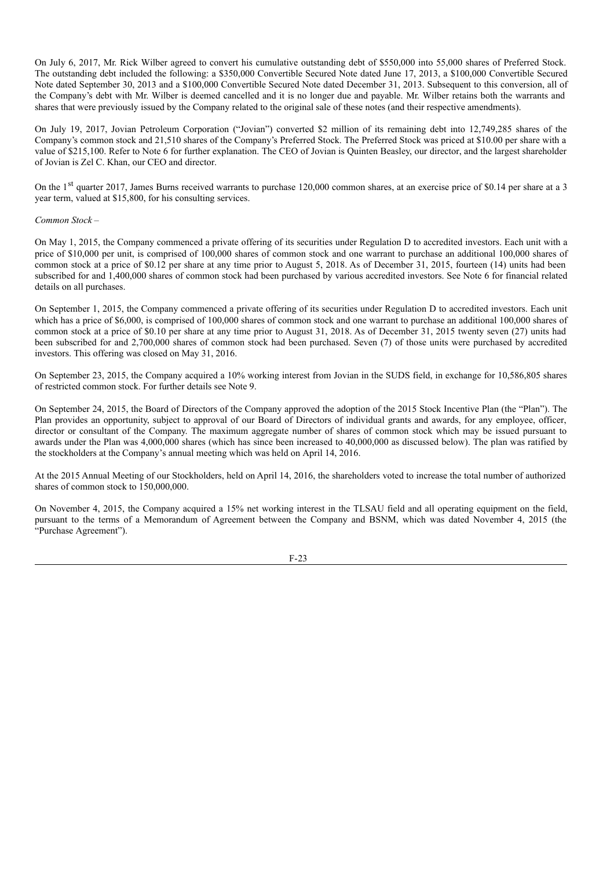On July 6, 2017, Mr. Rick Wilber agreed to convert his cumulative outstanding debt of \$550,000 into 55,000 shares of Preferred Stock. The outstanding debt included the following: a \$350,000 Convertible Secured Note dated June 17, 2013, a \$100,000 Convertible Secured Note dated September 30, 2013 and a \$100,000 Convertible Secured Note dated December 31, 2013. Subsequent to this conversion, all of the Company's debt with Mr. Wilber is deemed cancelled and it is no longer due and payable. Mr. Wilber retains both the warrants and shares that were previously issued by the Company related to the original sale of these notes (and their respective amendments).

On July 19, 2017, Jovian Petroleum Corporation ("Jovian") converted \$2 million of its remaining debt into 12,749,285 shares of the Company's common stock and 21,510 shares of the Company's Preferred Stock. The Preferred Stock was priced at \$10.00 per share with a value of \$215,100. Refer to Note 6 for further explanation. The CEO of Jovian is Quinten Beasley, our director, and the largest shareholder of Jovian is Zel C. Khan, our CEO and director.

On the 1<sup>st</sup> quarter 2017, James Burns received warrants to purchase 120,000 common shares, at an exercise price of \$0.14 per share at a 3 year term, valued at \$15,800, for his consulting services.

#### *Common Stock* –

On May 1, 2015, the Company commenced a private offering of its securities under Regulation D to accredited investors. Each unit with a price of \$10,000 per unit, is comprised of 100,000 shares of common stock and one warrant to purchase an additional 100,000 shares of common stock at a price of \$0.12 per share at any time prior to August 5, 2018. As of December 31, 2015, fourteen (14) units had been subscribed for and 1,400,000 shares of common stock had been purchased by various accredited investors. See Note 6 for financial related details on all purchases.

On September 1, 2015, the Company commenced a private offering of its securities under Regulation D to accredited investors. Each unit which has a price of \$6,000, is comprised of 100,000 shares of common stock and one warrant to purchase an additional 100,000 shares of common stock at a price of \$0.10 per share at any time prior to August 31, 2018. As of December 31, 2015 twenty seven (27) units had been subscribed for and 2,700,000 shares of common stock had been purchased. Seven (7) of those units were purchased by accredited investors. This offering was closed on May 31, 2016.

On September 23, 2015, the Company acquired a 10% working interest from Jovian in the SUDS field, in exchange for 10,586,805 shares of restricted common stock. For further details see Note 9.

On September 24, 2015, the Board of Directors of the Company approved the adoption of the 2015 Stock Incentive Plan (the "Plan"). The Plan provides an opportunity, subject to approval of our Board of Directors of individual grants and awards, for any employee, officer, director or consultant of the Company. The maximum aggregate number of shares of common stock which may be issued pursuant to awards under the Plan was 4,000,000 shares (which has since been increased to 40,000,000 as discussed below). The plan was ratified by the stockholders at the Company's annual meeting which was held on April 14, 2016.

At the 2015 Annual Meeting of our Stockholders, held on April 14, 2016, the shareholders voted to increase the total number of authorized shares of common stock to 150,000,000.

On November 4, 2015, the Company acquired a 15% net working interest in the TLSAU field and all operating equipment on the field, pursuant to the terms of a Memorandum of Agreement between the Company and BSNM, which was dated November 4, 2015 (the "Purchase Agreement").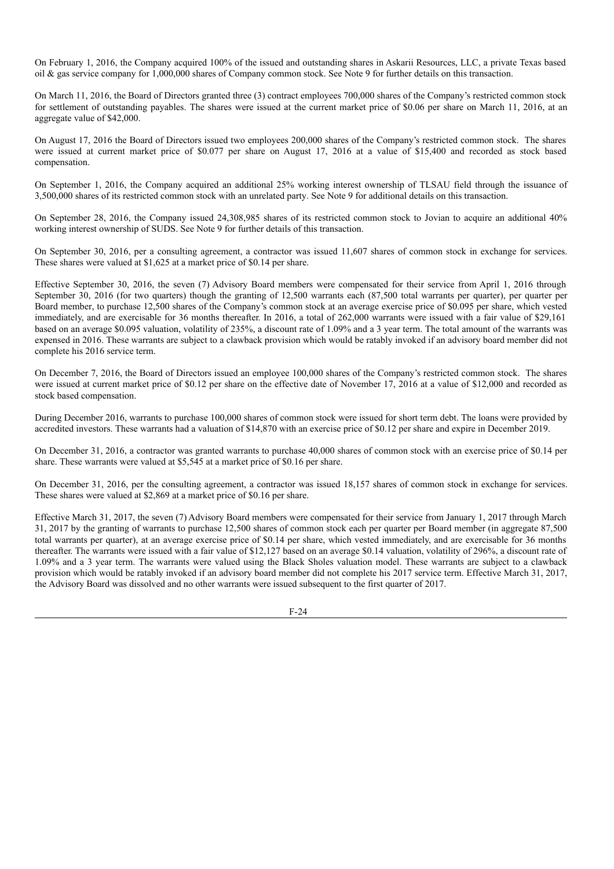On February 1, 2016, the Company acquired 100% of the issued and outstanding shares in Askarii Resources, LLC, a private Texas based oil & gas service company for 1,000,000 shares of Company common stock. See Note 9 for further details on this transaction.

On March 11, 2016, the Board of Directors granted three (3) contract employees 700,000 shares of the Company's restricted common stock for settlement of outstanding payables. The shares were issued at the current market price of \$0.06 per share on March 11, 2016, at an aggregate value of \$42,000.

On August 17, 2016 the Board of Directors issued two employees 200,000 shares of the Company's restricted common stock. The shares were issued at current market price of \$0.077 per share on August 17, 2016 at a value of \$15,400 and recorded as stock based compensation.

On September 1, 2016, the Company acquired an additional 25% working interest ownership of TLSAU field through the issuance of 3,500,000 shares of its restricted common stock with an unrelated party. See Note 9 for additional details on this transaction.

On September 28, 2016, the Company issued 24,308,985 shares of its restricted common stock to Jovian to acquire an additional 40% working interest ownership of SUDS. See Note 9 for further details of this transaction.

On September 30, 2016, per a consulting agreement, a contractor was issued 11,607 shares of common stock in exchange for services. These shares were valued at \$1,625 at a market price of \$0.14 per share.

Effective September 30, 2016, the seven (7) Advisory Board members were compensated for their service from April 1, 2016 through September 30, 2016 (for two quarters) though the granting of 12,500 warrants each (87,500 total warrants per quarter), per quarter per Board member, to purchase 12,500 shares of the Company's common stock at an average exercise price of \$0.095 per share, which vested immediately, and are exercisable for 36 months thereafter. In 2016, a total of 262,000 warrants were issued with a fair value of \$29,161 based on an average \$0.095 valuation, volatility of 235%, a discount rate of 1.09% and a 3 year term. The total amount of the warrants was expensed in 2016. These warrants are subject to a clawback provision which would be ratably invoked if an advisory board member did not complete his 2016 service term.

On December 7, 2016, the Board of Directors issued an employee 100,000 shares of the Company's restricted common stock. The shares were issued at current market price of \$0.12 per share on the effective date of November 17, 2016 at a value of \$12,000 and recorded as stock based compensation.

During December 2016, warrants to purchase 100,000 shares of common stock were issued for short term debt. The loans were provided by accredited investors. These warrants had a valuation of \$14,870 with an exercise price of \$0.12 per share and expire in December 2019.

On December 31, 2016, a contractor was granted warrants to purchase 40,000 shares of common stock with an exercise price of \$0.14 per share. These warrants were valued at \$5,545 at a market price of \$0.16 per share.

On December 31, 2016, per the consulting agreement, a contractor was issued 18,157 shares of common stock in exchange for services. These shares were valued at \$2,869 at a market price of \$0.16 per share.

Effective March 31, 2017, the seven (7) Advisory Board members were compensated for their service from January 1, 2017 through March 31, 2017 by the granting of warrants to purchase 12,500 shares of common stock each per quarter per Board member (in aggregate 87,500 total warrants per quarter), at an average exercise price of \$0.14 per share, which vested immediately, and are exercisable for 36 months thereafter. The warrants were issued with a fair value of \$12,127 based on an average \$0.14 valuation, volatility of 296%, a discount rate of 1.09% and a 3 year term. The warrants were valued using the Black Sholes valuation model. These warrants are subject to a clawback provision which would be ratably invoked if an advisory board member did not complete his 2017 service term. Effective March 31, 2017, the Advisory Board was dissolved and no other warrants were issued subsequent to the first quarter of 2017.

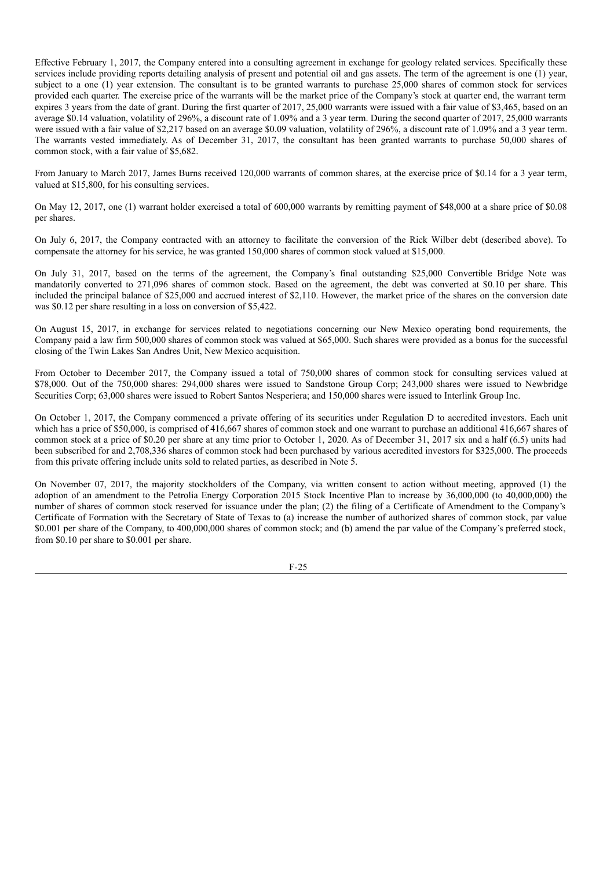Effective February 1, 2017, the Company entered into a consulting agreement in exchange for geology related services. Specifically these services include providing reports detailing analysis of present and potential oil and gas assets. The term of the agreement is one (1) year, subject to a one (1) year extension. The consultant is to be granted warrants to purchase 25,000 shares of common stock for services provided each quarter. The exercise price of the warrants will be the market price of the Company's stock at quarter end, the warrant term expires 3 years from the date of grant. During the first quarter of 2017, 25,000 warrants were issued with a fair value of \$3,465, based on an average \$0.14 valuation, volatility of 296%, a discount rate of 1.09% and a 3 year term. During the second quarter of 2017, 25,000 warrants were issued with a fair value of \$2,217 based on an average \$0.09 valuation, volatility of 296%, a discount rate of 1.09% and a 3 year term. The warrants vested immediately. As of December 31, 2017, the consultant has been granted warrants to purchase 50,000 shares of common stock, with a fair value of \$5,682.

From January to March 2017, James Burns received 120,000 warrants of common shares, at the exercise price of \$0.14 for a 3 year term, valued at \$15,800, for his consulting services.

On May 12, 2017, one (1) warrant holder exercised a total of 600,000 warrants by remitting payment of \$48,000 at a share price of \$0.08 per shares.

On July 6, 2017, the Company contracted with an attorney to facilitate the conversion of the Rick Wilber debt (described above). To compensate the attorney for his service, he was granted 150,000 shares of common stock valued at \$15,000.

On July 31, 2017, based on the terms of the agreement, the Company's final outstanding \$25,000 Convertible Bridge Note was mandatorily converted to 271,096 shares of common stock. Based on the agreement, the debt was converted at \$0.10 per share. This included the principal balance of \$25,000 and accrued interest of \$2,110. However, the market price of the shares on the conversion date was \$0.12 per share resulting in a loss on conversion of \$5,422.

On August 15, 2017, in exchange for services related to negotiations concerning our New Mexico operating bond requirements, the Company paid a law firm 500,000 shares of common stock was valued at \$65,000. Such shares were provided as a bonus for the successful closing of the Twin Lakes San Andres Unit, New Mexico acquisition.

From October to December 2017, the Company issued a total of 750,000 shares of common stock for consulting services valued at \$78,000. Out of the 750,000 shares: 294,000 shares were issued to Sandstone Group Corp; 243,000 shares were issued to Newbridge Securities Corp; 63,000 shares were issued to Robert Santos Nesperiera; and 150,000 shares were issued to Interlink Group Inc.

On October 1, 2017, the Company commenced a private offering of its securities under Regulation D to accredited investors. Each unit which has a price of \$50,000, is comprised of 416,667 shares of common stock and one warrant to purchase an additional 416,667 shares of common stock at a price of \$0.20 per share at any time prior to October 1, 2020. As of December 31, 2017 six and a half (6.5) units had been subscribed for and 2,708,336 shares of common stock had been purchased by various accredited investors for \$325,000. The proceeds from this private offering include units sold to related parties, as described in Note 5.

On November 07, 2017, the majority stockholders of the Company, via written consent to action without meeting, approved (1) the adoption of an amendment to the Petrolia Energy Corporation 2015 Stock Incentive Plan to increase by 36,000,000 (to 40,000,000) the number of shares of common stock reserved for issuance under the plan; (2) the filing of a Certificate of Amendment to the Company's Certificate of Formation with the Secretary of State of Texas to (a) increase the number of authorized shares of common stock, par value \$0.001 per share of the Company, to 400,000,000 shares of common stock; and (b) amend the par value of the Company's preferred stock, from \$0.10 per share to \$0.001 per share.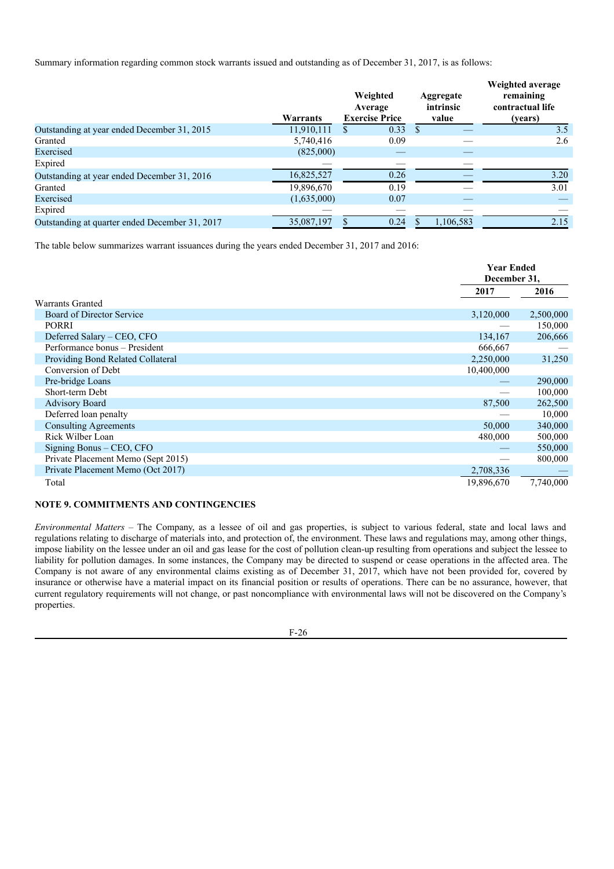Summary information regarding common stock warrants issued and outstanding as of December 31, 2017, is as follows:

|                                                | Warrants    | Weighted<br>Average<br><b>Exercise Price</b> | Aggregate<br>intrinsic<br>value | Weighted average<br>remaining<br>contractual life<br>(years) |
|------------------------------------------------|-------------|----------------------------------------------|---------------------------------|--------------------------------------------------------------|
| Outstanding at year ended December 31, 2015    | 11,910,111  | 0.33<br>S                                    | <sup>\$</sup>                   | 3.5                                                          |
| Granted                                        | 5,740,416   | 0.09                                         |                                 | 2.6                                                          |
| Exercised                                      | (825,000)   |                                              |                                 |                                                              |
| Expired                                        |             |                                              |                                 |                                                              |
| Outstanding at year ended December 31, 2016    | 16,825,527  | 0.26                                         |                                 | 3.20                                                         |
| Granted                                        | 19,896,670  | 0.19                                         |                                 | 3.01                                                         |
| Exercised                                      | (1,635,000) | 0.07                                         |                                 |                                                              |
| Expired                                        |             |                                              |                                 |                                                              |
| Outstanding at quarter ended December 31, 2017 | 35,087,197  | 0.24                                         | 1,106,583                       | 2.15                                                         |

The table below summarizes warrant issuances during the years ended December 31, 2017 and 2016:

|                                    | <b>Year Ended</b><br>December 31, |           |
|------------------------------------|-----------------------------------|-----------|
|                                    | 2017                              | 2016      |
| <b>Warrants Granted</b>            |                                   |           |
| Board of Director Service          | 3,120,000                         | 2,500,000 |
| <b>PORRI</b>                       |                                   | 150,000   |
| Deferred Salary – CEO, CFO         | 134,167                           | 206,666   |
| Performance bonus – President      | 666,667                           |           |
| Providing Bond Related Collateral  | 2,250,000                         | 31,250    |
| Conversion of Debt                 | 10,400,000                        |           |
| Pre-bridge Loans                   |                                   | 290,000   |
| Short-term Debt                    |                                   | 100,000   |
| <b>Advisory Board</b>              | 87,500                            | 262,500   |
| Deferred loan penalty              |                                   | 10,000    |
| <b>Consulting Agreements</b>       | 50,000                            | 340,000   |
| Rick Wilber Loan                   | 480,000                           | 500,000   |
| Signing Bonus – CEO, CFO           |                                   | 550,000   |
| Private Placement Memo (Sept 2015) |                                   | 800,000   |
| Private Placement Memo (Oct 2017)  | 2,708,336                         |           |
| Total                              | 19,896,670                        | 7,740,000 |

# **NOTE 9. COMMITMENTS AND CONTINGENCIES**

*Environmental Matters* – The Company, as a lessee of oil and gas properties, is subject to various federal, state and local laws and regulations relating to discharge of materials into, and protection of, the environment. These laws and regulations may, among other things, impose liability on the lessee under an oil and gas lease for the cost of pollution clean-up resulting from operations and subject the lessee to liability for pollution damages. In some instances, the Company may be directed to suspend or cease operations in the affected area. The Company is not aware of any environmental claims existing as of December 31, 2017, which have not been provided for, covered by insurance or otherwise have a material impact on its financial position or results of operations. There can be no assurance, however, that current regulatory requirements will not change, or past noncompliance with environmental laws will not be discovered on the Company's properties.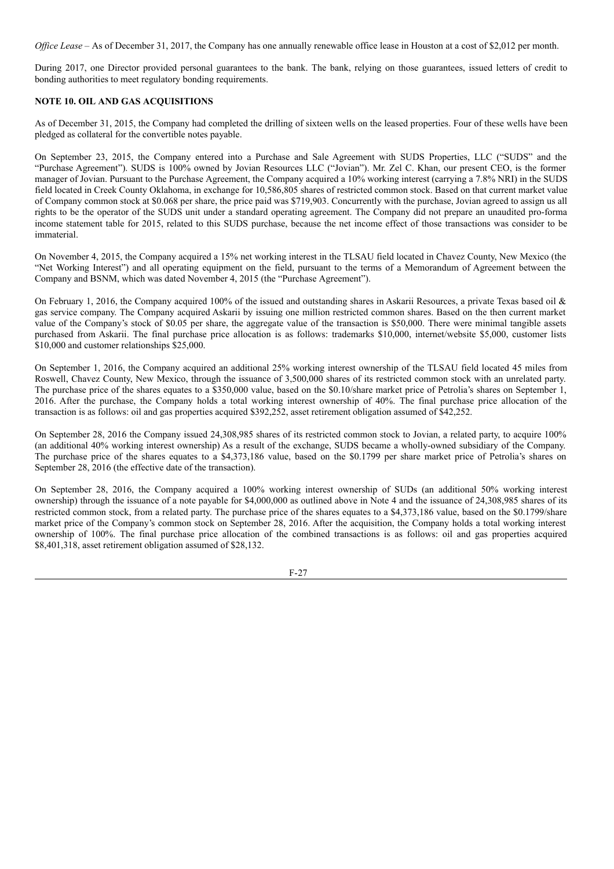*Office Lease* – As of December 31, 2017, the Company has one annually renewable office lease in Houston at a cost of \$2,012 per month.

During 2017, one Director provided personal guarantees to the bank. The bank, relying on those guarantees, issued letters of credit to bonding authorities to meet regulatory bonding requirements.

# **NOTE 10. OIL AND GAS ACQUISITIONS**

As of December 31, 2015, the Company had completed the drilling of sixteen wells on the leased properties. Four of these wells have been pledged as collateral for the convertible notes payable.

On September 23, 2015, the Company entered into a Purchase and Sale Agreement with SUDS Properties, LLC ("SUDS" and the "Purchase Agreement"). SUDS is 100% owned by Jovian Resources LLC ("Jovian"). Mr. Zel C. Khan, our present CEO, is the former manager of Jovian. Pursuant to the Purchase Agreement, the Company acquired a 10% working interest (carrying a 7.8% NRI) in the SUDS field located in Creek County Oklahoma, in exchange for 10,586,805 shares of restricted common stock. Based on that current market value of Company common stock at \$0.068 per share, the price paid was \$719,903. Concurrently with the purchase, Jovian agreed to assign us all rights to be the operator of the SUDS unit under a standard operating agreement. The Company did not prepare an unaudited pro-forma income statement table for 2015, related to this SUDS purchase, because the net income effect of those transactions was consider to be immaterial.

On November 4, 2015, the Company acquired a 15% net working interest in the TLSAU field located in Chavez County, New Mexico (the "Net Working Interest") and all operating equipment on the field, pursuant to the terms of a Memorandum of Agreement between the Company and BSNM, which was dated November 4, 2015 (the "Purchase Agreement").

On February 1, 2016, the Company acquired 100% of the issued and outstanding shares in Askarii Resources, a private Texas based oil  $\&$ gas service company. The Company acquired Askarii by issuing one million restricted common shares. Based on the then current market value of the Company's stock of \$0.05 per share, the aggregate value of the transaction is \$50,000. There were minimal tangible assets purchased from Askarii. The final purchase price allocation is as follows: trademarks \$10,000, internet/website \$5,000, customer lists \$10,000 and customer relationships \$25,000.

On September 1, 2016, the Company acquired an additional 25% working interest ownership of the TLSAU field located 45 miles from Roswell, Chavez County, New Mexico, through the issuance of 3,500,000 shares of its restricted common stock with an unrelated party. The purchase price of the shares equates to a \$350,000 value, based on the \$0.10/share market price of Petrolia's shares on September 1, 2016. After the purchase, the Company holds a total working interest ownership of 40%. The final purchase price allocation of the transaction is as follows: oil and gas properties acquired \$392,252, asset retirement obligation assumed of \$42,252.

On September 28, 2016 the Company issued 24,308,985 shares of its restricted common stock to Jovian, a related party, to acquire 100% (an additional 40% working interest ownership) As a result of the exchange, SUDS became a wholly-owned subsidiary of the Company. The purchase price of the shares equates to a \$4,373,186 value, based on the \$0.1799 per share market price of Petrolia's shares on September 28, 2016 (the effective date of the transaction).

On September 28, 2016, the Company acquired a 100% working interest ownership of SUDs (an additional 50% working interest ownership) through the issuance of a note payable for \$4,000,000 as outlined above in Note 4 and the issuance of 24,308,985 shares of its restricted common stock, from a related party. The purchase price of the shares equates to a \$4,373,186 value, based on the \$0.1799/share market price of the Company's common stock on September 28, 2016. After the acquisition, the Company holds a total working interest ownership of 100%. The final purchase price allocation of the combined transactions is as follows: oil and gas properties acquired \$8,401,318, asset retirement obligation assumed of \$28,132.

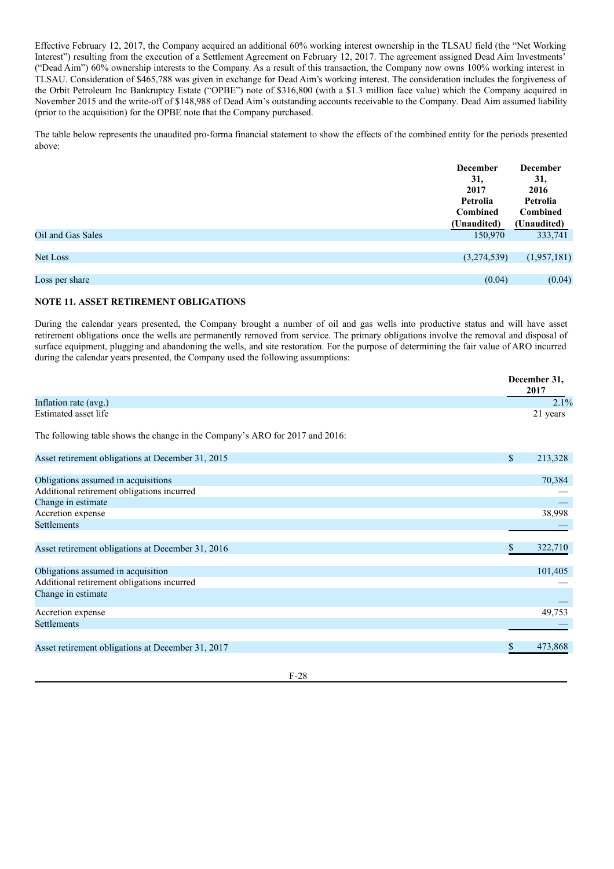Effective February 12, 2017, the Company acquired an additional 60% working interest ownership in the TLSAU field (the "Net Working Interest") resulting from the execution of a Settlement Agreement on February 12, 2017. The agreement assigned Dead Aim Investments' ("Dead Aim") 60% ownership interests to the Company. As a result of this transaction, the Company now owns 100% working interest in TLSAU. Consideration of \$465,788 was given in exchange for Dead Aim's working interest. The consideration includes the forgiveness of the Orbit Petroleum Inc Bankruptcy Estate ("OPBE") note of \$316,800 (with a \$1.3 million face value) which the Company acquired in November 2015 and the write-off of \$148,988 of Dead Aim's outstanding accounts receivable to the Company. Dead Aim assumed liability (prior to the acquisition) for the OPBE note that the Company purchased.

The table below represents the unaudited pro-forma financial statement to show the effects of the combined entity for the periods presented above:

|                   | <b>December</b><br>31,<br>2017<br>Petrolia<br><b>Combined</b><br>(Unaudited) | <b>December</b><br>31,<br>2016<br>Petrolia<br>Combined<br>(Unaudited) |
|-------------------|------------------------------------------------------------------------------|-----------------------------------------------------------------------|
| Oil and Gas Sales | 150,970                                                                      | 333,741                                                               |
|                   |                                                                              |                                                                       |
| <b>Net Loss</b>   | (3,274,539)                                                                  | (1,957,181)                                                           |
|                   |                                                                              |                                                                       |
| Loss per share    | (0.04)                                                                       | (0.04)                                                                |
|                   |                                                                              |                                                                       |

# **NOTE 11. ASSET RETIREMENT OBLIGATIONS**

During the calendar years presented, the Company brought a number of oil and gas wells into productive status and will have asset retirement obligations once the wells are permanently removed from service. The primary obligations involve the removal and disposal of surface equipment, plugging and abandoning the wells, and site restoration. For the purpose of determining the fair value of ARO incurred during the calendar years presented, the Company used the following assumptions:

|                                                                              |              | December 31,<br>2017 |
|------------------------------------------------------------------------------|--------------|----------------------|
| Inflation rate (avg.)                                                        |              | 2.1%                 |
| Estimated asset life                                                         |              | 21 years             |
| The following table shows the change in the Company's ARO for 2017 and 2016: |              |                      |
| Asset retirement obligations at December 31, 2015                            | $\mathbb{S}$ | 213,328              |
| Obligations assumed in acquisitions                                          |              | 70,384               |
| Additional retirement obligations incurred                                   |              |                      |
| Change in estimate                                                           |              |                      |
| Accretion expense                                                            |              | 38,998               |
| <b>Settlements</b>                                                           |              |                      |
| Asset retirement obligations at December 31, 2016                            | S            | 322,710              |
| Obligations assumed in acquisition                                           |              | 101,405              |
| Additional retirement obligations incurred                                   |              |                      |
| Change in estimate                                                           |              |                      |
| Accretion expense                                                            |              | 49,753               |
| <b>Settlements</b>                                                           |              |                      |
| Asset retirement obligations at December 31, 2017                            | S.           | 473,868              |

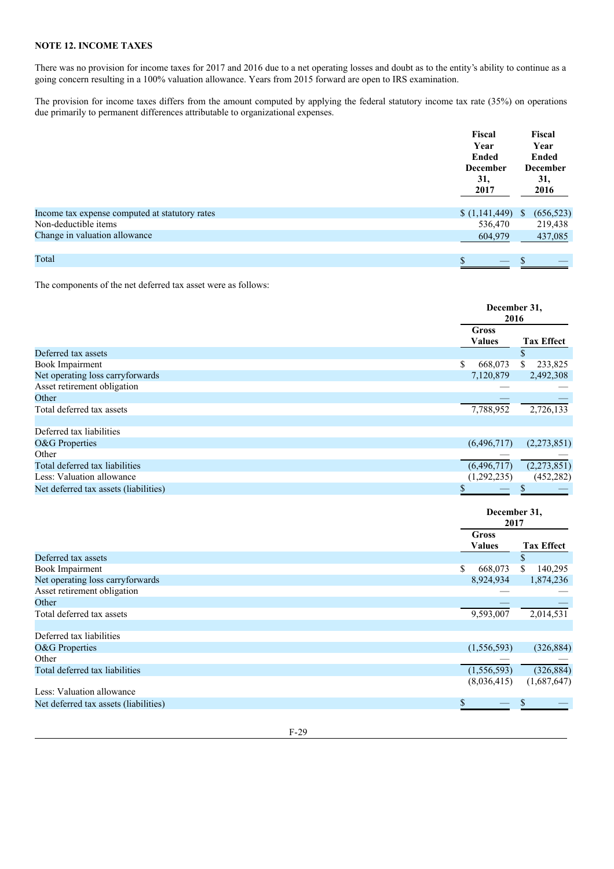# **NOTE 12. INCOME TAXES**

There was no provision for income taxes for 2017 and 2016 due to a net operating losses and doubt as to the entity's ability to continue as a going concern resulting in a 100% valuation allowance. Years from 2015 forward are open to IRS examination.

The provision for income taxes differs from the amount computed by applying the federal statutory income tax rate (35%) on operations due primarily to permanent differences attributable to organizational expenses.

|                                                | Fiscal           | Fiscal          |
|------------------------------------------------|------------------|-----------------|
|                                                | Year             | Year            |
|                                                | <b>Ended</b>     | Ended           |
|                                                | <b>December</b>  | <b>December</b> |
|                                                | 31,              | 31,             |
|                                                | 2017             | 2016            |
|                                                |                  |                 |
| Income tax expense computed at statutory rates | $(1,141,449)$ \$ | (656, 523)      |
| Non-deductible items                           | 536,470          | 219,438         |
| Change in valuation allowance                  | 604,979          | 437,085         |
|                                                |                  |                 |
| Total                                          | \$               |                 |

The components of the net deferred tax asset were as follows:

|                                       | December 31,<br>2016   |                   |  |
|---------------------------------------|------------------------|-------------------|--|
|                                       | Gross<br><b>Values</b> | <b>Tax Effect</b> |  |
| Deferred tax assets                   |                        | S                 |  |
| <b>Book Impairment</b>                | S<br>668,073           | 233,825           |  |
| Net operating loss carryforwards      | 7,120,879              | 2,492,308         |  |
| Asset retirement obligation           |                        |                   |  |
| Other                                 |                        |                   |  |
| Total deferred tax assets             | 7,788,952              | 2,726,133         |  |
|                                       |                        |                   |  |
| Deferred tax liabilities              |                        |                   |  |
| O&G Properties                        | (6,496,717)            | (2,273,851)       |  |
| Other                                 |                        |                   |  |
| Total deferred tax liabilities        | (6,496,717)            | (2,273,851)       |  |
| Less: Valuation allowance             | (1,292,235)            | (452, 282)        |  |
| Net deferred tax assets (liabilities) |                        |                   |  |

|                                       |                        | December 31,<br>2017 |  |  |
|---------------------------------------|------------------------|----------------------|--|--|
|                                       | Gross<br><b>Values</b> | <b>Tax Effect</b>    |  |  |
| Deferred tax assets                   |                        | \$                   |  |  |
| <b>Book Impairment</b>                | \$<br>668,073          | 140,295<br>\$        |  |  |
| Net operating loss carryforwards      | 8,924,934              | 1,874,236            |  |  |
| Asset retirement obligation           |                        |                      |  |  |
| Other                                 |                        |                      |  |  |
| Total deferred tax assets             | 9,593,007              | 2,014,531            |  |  |
|                                       |                        |                      |  |  |
| Deferred tax liabilities              |                        |                      |  |  |
| O&G Properties                        | (1,556,593)            | (326, 884)           |  |  |
| Other                                 |                        |                      |  |  |
| Total deferred tax liabilities        | (1,556,593)            | (326, 884)           |  |  |
|                                       | (8,036,415)            | (1,687,647)          |  |  |
| Less: Valuation allowance             |                        |                      |  |  |
| Net deferred tax assets (liabilities) |                        |                      |  |  |
|                                       |                        |                      |  |  |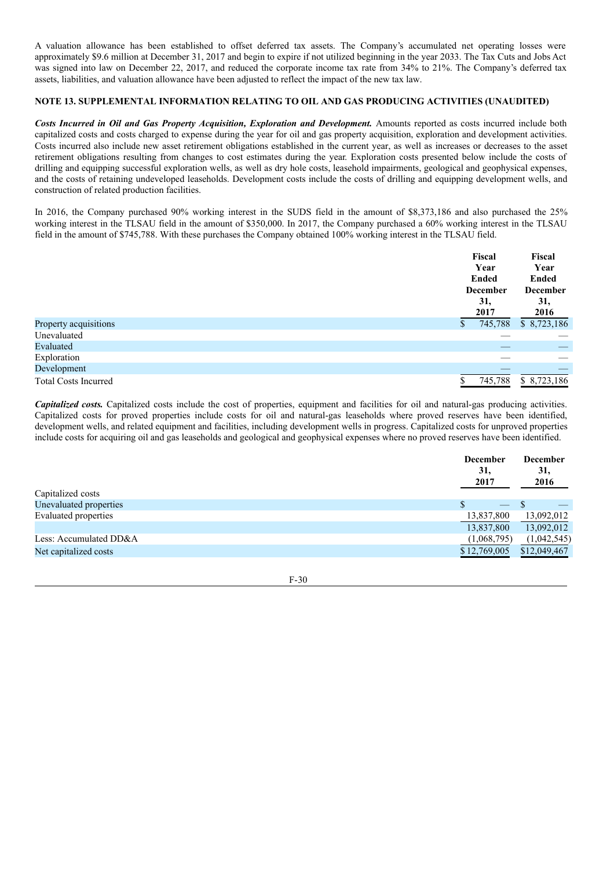A valuation allowance has been established to offset deferred tax assets. The Company's accumulated net operating losses were approximately \$9.6 million at December 31, 2017 and begin to expire if not utilized beginning in the year 2033. The Tax Cuts and Jobs Act was signed into law on December 22, 2017, and reduced the corporate income tax rate from 34% to 21%. The Company's deferred tax assets, liabilities, and valuation allowance have been adjusted to reflect the impact of the new tax law.

# **NOTE 13. SUPPLEMENTAL INFORMATION RELATING TO OIL AND GAS PRODUCING ACTIVITIES (UNAUDITED)**

*Costs Incurred in Oil and Gas Property Acquisition, Exploration and Development.* Amounts reported as costs incurred include both capitalized costs and costs charged to expense during the year for oil and gas property acquisition, exploration and development activities. Costs incurred also include new asset retirement obligations established in the current year, as well as increases or decreases to the asset retirement obligations resulting from changes to cost estimates during the year. Exploration costs presented below include the costs of drilling and equipping successful exploration wells, as well as dry hole costs, leasehold impairments, geological and geophysical expenses, and the costs of retaining undeveloped leaseholds. Development costs include the costs of drilling and equipping development wells, and construction of related production facilities.

In 2016, the Company purchased 90% working interest in the SUDS field in the amount of \$8,373,186 and also purchased the 25% working interest in the TLSAU field in the amount of \$350,000. In 2017, the Company purchased a 60% working interest in the TLSAU field in the amount of \$745,788. With these purchases the Company obtained 100% working interest in the TLSAU field.

|                             | Fiscal<br>Year<br><b>Ended</b><br><b>December</b><br>31,<br>2017 | Fiscal<br>Year<br><b>Ended</b><br><b>December</b><br>31,<br>2016 |
|-----------------------------|------------------------------------------------------------------|------------------------------------------------------------------|
| Property acquisitions       | 745,788<br>S                                                     | \$8,723,186                                                      |
| Unevaluated                 |                                                                  | __                                                               |
| Evaluated                   |                                                                  |                                                                  |
| Exploration                 |                                                                  |                                                                  |
| Development                 |                                                                  |                                                                  |
| <b>Total Costs Incurred</b> | 745,788                                                          | \$8,723,186                                                      |

*Capitalized costs.* Capitalized costs include the cost of properties, equipment and facilities for oil and natural-gas producing activities. Capitalized costs for proved properties include costs for oil and natural-gas leaseholds where proved reserves have been identified, development wells, and related equipment and facilities, including development wells in progress. Capitalized costs for unproved properties include costs for acquiring oil and gas leaseholds and geological and geophysical expenses where no proved reserves have been identified.

|                        | <b>December</b><br>31.<br>2017 | <b>December</b><br>31,<br>2016 |
|------------------------|--------------------------------|--------------------------------|
| Capitalized costs      |                                |                                |
| Unevaluated properties | $\overline{\phantom{0}}$       |                                |
| Evaluated properties   | 13,837,800                     | 13,092,012                     |
|                        | 13,837,800                     | 13,092,012                     |
| Less: Accumulated DD&A | (1,068,795)                    | (1,042,545)                    |
| Net capitalized costs  | \$12,769,005                   | \$12,049,467                   |
|                        |                                |                                |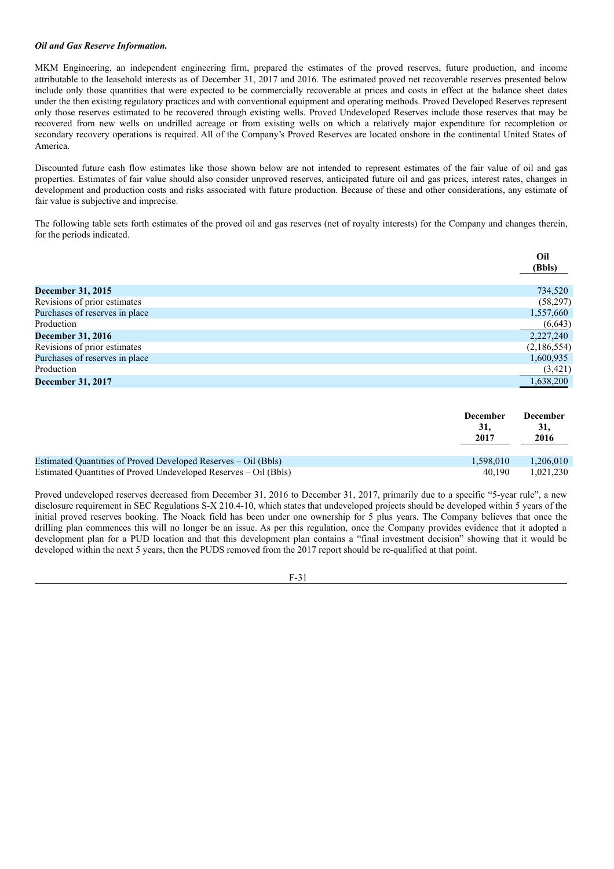# *Oil and Gas Reserve Information.*

MKM Engineering, an independent engineering firm, prepared the estimates of the proved reserves, future production, and income attributable to the leasehold interests as of December 31, 2017 and 2016. The estimated proved net recoverable reserves presented below include only those quantities that were expected to be commercially recoverable at prices and costs in effect at the balance sheet dates under the then existing regulatory practices and with conventional equipment and operating methods. Proved Developed Reserves represent only those reserves estimated to be recovered through existing wells. Proved Undeveloped Reserves include those reserves that may be recovered from new wells on undrilled acreage or from existing wells on which a relatively major expenditure for recompletion or secondary recovery operations is required. All of the Company's Proved Reserves are located onshore in the continental United States of America.

Discounted future cash flow estimates like those shown below are not intended to represent estimates of the fair value of oil and gas properties. Estimates of fair value should also consider unproved reserves, anticipated future oil and gas prices, interest rates, changes in development and production costs and risks associated with future production. Because of these and other considerations, any estimate of fair value is subjective and imprecise.

The following table sets forth estimates of the proved oil and gas reserves (net of royalty interests) for the Company and changes therein, for the periods indicated.

|                                | Oil<br>(Bbls) |
|--------------------------------|---------------|
| December 31, 2015              | 734,520       |
| Revisions of prior estimates   | (58,297)      |
| Purchases of reserves in place | 1,557,660     |
| Production                     | (6, 643)      |
| <b>December 31, 2016</b>       | 2,227,240     |
| Revisions of prior estimates   | (2,186,554)   |
| Purchases of reserves in place | 1,600,935     |
| Production                     | (3,421)       |
| <b>December 31, 2017</b>       | 1,638,200     |

|                                                                  | <b>December</b><br>31.<br>2017 | <b>December</b><br>31,<br>2016 |
|------------------------------------------------------------------|--------------------------------|--------------------------------|
| Estimated Ouantities of Proved Developed Reserves – Oil (Bbls)   | 1.598.010                      | 1.206.010                      |
| Estimated Quantities of Proved Undeveloped Reserves – Oil (Bbls) | 40.190                         | 1.021.230                      |

Proved undeveloped reserves decreased from December 31, 2016 to December 31, 2017, primarily due to a specific "5-year rule", a new disclosure requirement in SEC Regulations S-X 210.4-10, which states that undeveloped projects should be developed within 5 years of the initial proved reserves booking. The Noack field has been under one ownership for 5 plus years. The Company believes that once the drilling plan commences this will no longer be an issue. As per this regulation, once the Company provides evidence that it adopted a development plan for a PUD location and that this development plan contains a "final investment decision" showing that it would be developed within the next 5 years, then the PUDS removed from the 2017 report should be re-qualified at that point.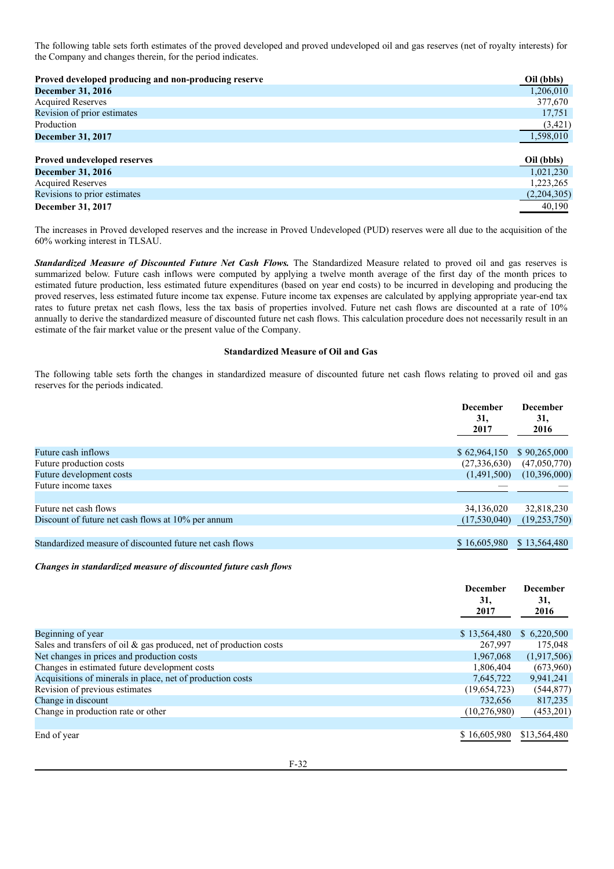The following table sets forth estimates of the proved developed and proved undeveloped oil and gas reserves (net of royalty interests) for the Company and changes therein, for the period indicates.

| Proved developed producing and non-producing reserve | Oil (bbls)  |
|------------------------------------------------------|-------------|
| <b>December 31, 2016</b>                             | 1,206,010   |
| <b>Acquired Reserves</b>                             | 377,670     |
| Revision of prior estimates                          | 17,751      |
| Production                                           | (3,421)     |
| <b>December 31, 2017</b>                             | 1,598,010   |
| <b>Proved undeveloped reserves</b>                   | Oil (bbls)  |
| <b>December 31, 2016</b>                             | 1,021,230   |
| <b>Acquired Reserves</b>                             | 1,223,265   |
| Revisions to prior estimates                         | (2,204,305) |
| December 31, 2017                                    | 40,190      |

The increases in Proved developed reserves and the increase in Proved Undeveloped (PUD) reserves were all due to the acquisition of the 60% working interest in TLSAU.

*Standardized Measure of Discounted Future Net Cash Flows.* The Standardized Measure related to proved oil and gas reserves is summarized below. Future cash inflows were computed by applying a twelve month average of the first day of the month prices to estimated future production, less estimated future expenditures (based on year end costs) to be incurred in developing and producing the proved reserves, less estimated future income tax expense. Future income tax expenses are calculated by applying appropriate year-end tax rates to future pretax net cash flows, less the tax basis of properties involved. Future net cash flows are discounted at a rate of 10% annually to derive the standardized measure of discounted future net cash flows. This calculation procedure does not necessarily result in an estimate of the fair market value or the present value of the Company.

# **Standardized Measure of Oil and Gas**

The following table sets forth the changes in standardized measure of discounted future net cash flows relating to proved oil and gas reserves for the periods indicated.

|                                                          | <b>December</b><br>31,<br>2017 | <b>December</b><br>31,<br>2016 |
|----------------------------------------------------------|--------------------------------|--------------------------------|
| Future cash inflows                                      | \$62,964,150                   | \$90,265,000                   |
| Future production costs                                  | (27,336,630)                   | (47,050,770)                   |
| Future development costs                                 | (1,491,500)                    | (10,396,000)                   |
| Future income taxes                                      |                                |                                |
| Future net cash flows                                    | 34,136,020                     | 32,818,230                     |
| Discount of future net cash flows at 10% per annum       | (17,530,040)                   | (19, 253, 750)                 |
| Standardized measure of discounted future net cash flows | \$16,605,980                   | \$13,564,480                   |

*Changes in standardized measure of discounted future cash flows*

|                                                                       | <b>December</b><br>31,<br>2017 | <b>December</b><br>31,<br>2016 |
|-----------------------------------------------------------------------|--------------------------------|--------------------------------|
| Beginning of year                                                     | \$13,564,480                   | \$6,220,500                    |
| Sales and transfers of oil $\&$ gas produced, net of production costs | 267,997                        | 175,048                        |
| Net changes in prices and production costs                            | 1,967,068                      | (1,917,506)                    |
| Changes in estimated future development costs                         | 1,806,404                      | (673,960)                      |
| Acquisitions of minerals in place, net of production costs            | 7,645,722                      | 9,941,241                      |
| Revision of previous estimates                                        | (19,654,723)                   | (544, 877)                     |
| Change in discount                                                    | 732,656                        | 817,235                        |
| Change in production rate or other                                    | (10, 276, 980)                 | (453,201)                      |
|                                                                       |                                |                                |
| End of year                                                           | \$16,605,980                   | \$13,564,480                   |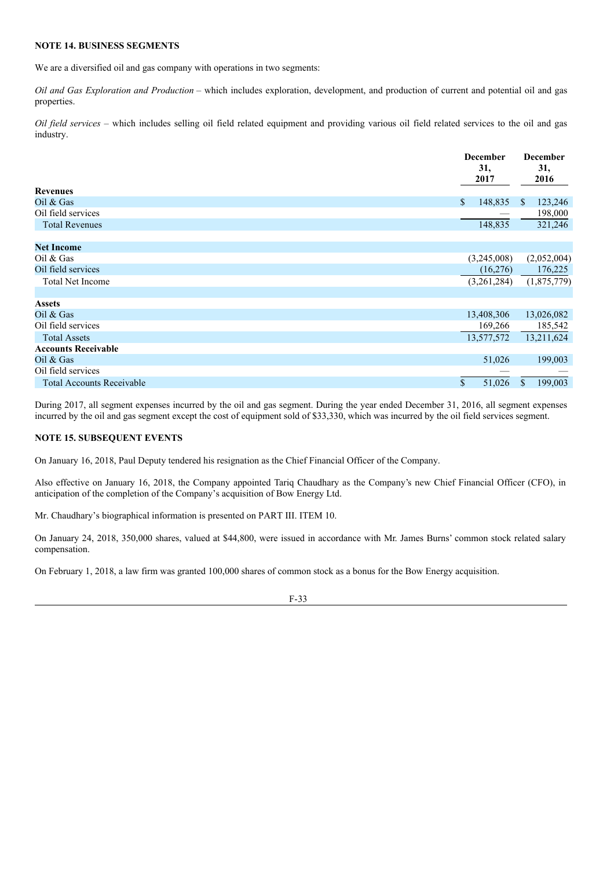#### **NOTE 14. BUSINESS SEGMENTS**

We are a diversified oil and gas company with operations in two segments:

*Oil and Gas Exploration and Production* – which includes exploration, development, and production of current and potential oil and gas properties.

*Oil field services* – which includes selling oil field related equipment and providing various oil field related services to the oil and gas industry.

|                                  | <b>December</b><br>31,<br>2017 | <b>December</b><br>31,<br>2016 |
|----------------------------------|--------------------------------|--------------------------------|
| <b>Revenues</b>                  |                                |                                |
| Oil $&$ Gas                      | $\mathbb{S}$<br>148,835        | 123,246<br><sup>S</sup>        |
| Oil field services               |                                | 198,000                        |
| <b>Total Revenues</b>            | 148,835                        | 321,246                        |
|                                  |                                |                                |
| <b>Net Income</b>                |                                |                                |
| Oil $&$ Gas                      | (3,245,008)                    | (2,052,004)                    |
| Oil field services               | (16,276)                       | 176,225                        |
| <b>Total Net Income</b>          | (3,261,284)                    | (1,875,779)                    |
|                                  |                                |                                |
| <b>Assets</b>                    |                                |                                |
| Oil $&$ Gas                      | 13,408,306                     | 13,026,082                     |
| Oil field services               | 169,266                        | 185,542                        |
| <b>Total Assets</b>              | 13,577,572                     | 13,211,624                     |
| <b>Accounts Receivable</b>       |                                |                                |
| Oil $&$ Gas                      | 51,026                         | 199,003                        |
| Oil field services               |                                |                                |
| <b>Total Accounts Receivable</b> | \$<br>51,026                   | 199,003<br>$\mathbb{S}$        |

During 2017, all segment expenses incurred by the oil and gas segment. During the year ended December 31, 2016, all segment expenses incurred by the oil and gas segment except the cost of equipment sold of \$33,330, which was incurred by the oil field services segment.

# **NOTE 15. SUBSEQUENT EVENTS**

On January 16, 2018, Paul Deputy tendered his resignation as the Chief Financial Officer of the Company.

Also effective on January 16, 2018, the Company appointed Tariq Chaudhary as the Company's new Chief Financial Officer (CFO), in anticipation of the completion of the Company's acquisition of Bow Energy Ltd.

Mr. Chaudhary's biographical information is presented on PART III. ITEM 10.

On January 24, 2018, 350,000 shares, valued at \$44,800, were issued in accordance with Mr. James Burns' common stock related salary compensation.

On February 1, 2018, a law firm was granted 100,000 shares of common stock as a bonus for the Bow Energy acquisition.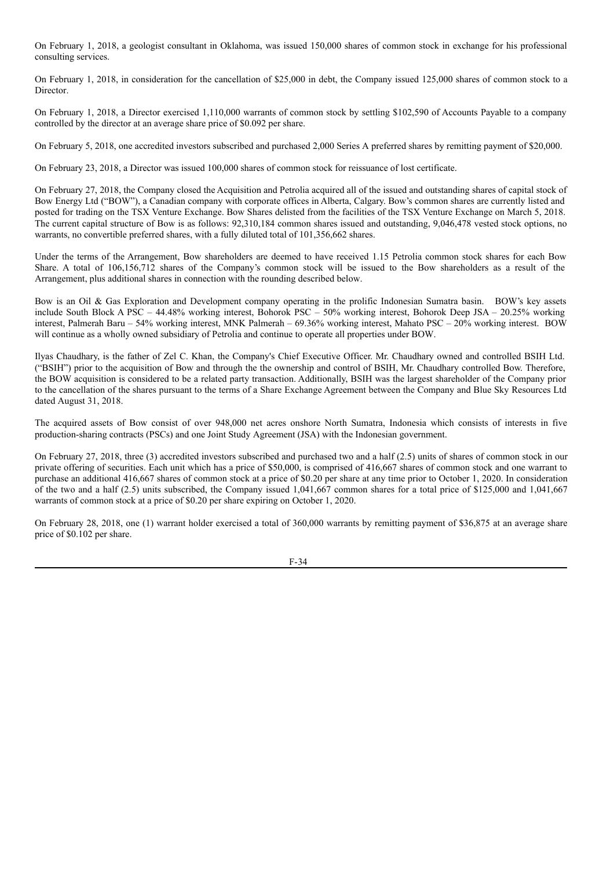On February 1, 2018, a geologist consultant in Oklahoma, was issued 150,000 shares of common stock in exchange for his professional consulting services.

On February 1, 2018, in consideration for the cancellation of \$25,000 in debt, the Company issued 125,000 shares of common stock to a Director.

On February 1, 2018, a Director exercised 1,110,000 warrants of common stock by settling \$102,590 of Accounts Payable to a company controlled by the director at an average share price of \$0.092 per share.

On February 5, 2018, one accredited investors subscribed and purchased 2,000 Series A preferred shares by remitting payment of \$20,000.

On February 23, 2018, a Director was issued 100,000 shares of common stock for reissuance of lost certificate.

On February 27, 2018, the Company closed the Acquisition and Petrolia acquired all of the issued and outstanding shares of capital stock of Bow Energy Ltd ("BOW"), a Canadian company with corporate offices in Alberta, Calgary. Bow's common shares are currently listed and posted for trading on the TSX Venture Exchange. Bow Shares delisted from the facilities of the TSX Venture Exchange on March 5, 2018. The current capital structure of Bow is as follows: 92,310,184 common shares issued and outstanding, 9,046,478 vested stock options, no warrants, no convertible preferred shares, with a fully diluted total of 101,356,662 shares.

Under the terms of the Arrangement, Bow shareholders are deemed to have received 1.15 Petrolia common stock shares for each Bow Share. A total of 106,156,712 shares of the Company's common stock will be issued to the Bow shareholders as a result of the Arrangement, plus additional shares in connection with the rounding described below.

Bow is an Oil & Gas Exploration and Development company operating in the prolific Indonesian Sumatra basin. BOW's key assets include South Block A PSC – 44.48% working interest, Bohorok PSC – 50% working interest, Bohorok Deep JSA – 20.25% working interest, Palmerah Baru – 54% working interest, MNK Palmerah – 69.36% working interest, Mahato PSC – 20% working interest. BOW will continue as a wholly owned subsidiary of Petrolia and continue to operate all properties under BOW.

Ilyas Chaudhary, is the father of Zel C. Khan, the Company's Chief Executive Officer. Mr. Chaudhary owned and controlled BSIH Ltd. ("BSIH") prior to the acquisition of Bow and through the the ownership and control of BSIH, Mr. Chaudhary controlled Bow. Therefore, the BOW acquisition is considered to be a related party transaction. Additionally, BSIH was the largest shareholder of the Company prior to the cancellation of the shares pursuant to the terms of a Share Exchange Agreement between the Company and Blue Sky Resources Ltd dated August 31, 2018.

The acquired assets of Bow consist of over 948,000 net acres onshore North Sumatra, Indonesia which consists of interests in five production-sharing contracts (PSCs) and one Joint Study Agreement (JSA) with the Indonesian government.

On February 27, 2018, three (3) accredited investors subscribed and purchased two and a half (2.5) units of shares of common stock in our private offering of securities. Each unit which has a price of \$50,000, is comprised of 416,667 shares of common stock and one warrant to purchase an additional 416,667 shares of common stock at a price of \$0.20 per share at any time prior to October 1, 2020. In consideration of the two and a half (2.5) units subscribed, the Company issued 1,041,667 common shares for a total price of \$125,000 and 1,041,667 warrants of common stock at a price of \$0.20 per share expiring on October 1, 2020.

On February 28, 2018, one (1) warrant holder exercised a total of 360,000 warrants by remitting payment of \$36,875 at an average share price of \$0.102 per share.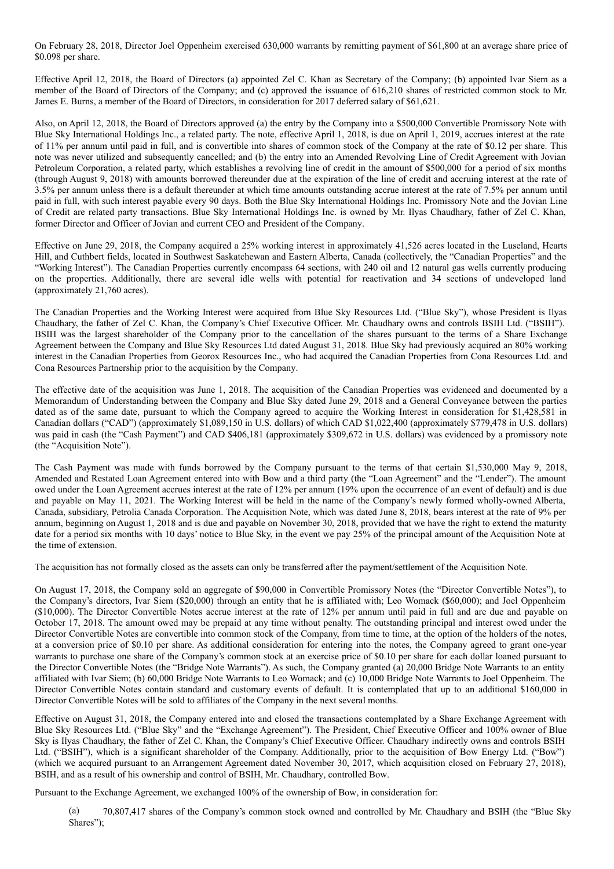On February 28, 2018, Director Joel Oppenheim exercised 630,000 warrants by remitting payment of \$61,800 at an average share price of \$0.098 per share.

Effective April 12, 2018, the Board of Directors (a) appointed Zel C. Khan as Secretary of the Company; (b) appointed Ivar Siem as a member of the Board of Directors of the Company; and (c) approved the issuance of 616,210 shares of restricted common stock to Mr. James E. Burns, a member of the Board of Directors, in consideration for 2017 deferred salary of \$61,621.

Also, on April 12, 2018, the Board of Directors approved (a) the entry by the Company into a \$500,000 Convertible Promissory Note with Blue Sky International Holdings Inc., a related party. The note, effective April 1, 2018, is due on April 1, 2019, accrues interest at the rate of 11% per annum until paid in full, and is convertible into shares of common stock of the Company at the rate of \$0.12 per share. This note was never utilized and subsequently cancelled; and (b) the entry into an Amended Revolving Line of Credit Agreement with Jovian Petroleum Corporation, a related party, which establishes a revolving line of credit in the amount of \$500,000 for a period of six months (through August 9, 2018) with amounts borrowed thereunder due at the expiration of the line of credit and accruing interest at the rate of 3.5% per annum unless there is a default thereunder at which time amounts outstanding accrue interest at the rate of 7.5% per annum until paid in full, with such interest payable every 90 days. Both the Blue Sky International Holdings Inc. Promissory Note and the Jovian Line of Credit are related party transactions. Blue Sky International Holdings Inc. is owned by Mr. Ilyas Chaudhary, father of Zel C. Khan, former Director and Officer of Jovian and current CEO and President of the Company.

Effective on June 29, 2018, the Company acquired a 25% working interest in approximately 41,526 acres located in the Luseland, Hearts Hill, and Cuthbert fields, located in Southwest Saskatchewan and Eastern Alberta, Canada (collectively, the "Canadian Properties" and the "Working Interest"). The Canadian Properties currently encompass 64 sections, with 240 oil and 12 natural gas wells currently producing on the properties. Additionally, there are several idle wells with potential for reactivation and 34 sections of undeveloped land (approximately 21,760 acres).

The Canadian Properties and the Working Interest were acquired from Blue Sky Resources Ltd. ("Blue Sky"), whose President is Ilyas Chaudhary, the father of Zel C. Khan, the Company's Chief Executive Officer. Mr. Chaudhary owns and controls BSIH Ltd. ("BSIH"). BSIH was the largest shareholder of the Company prior to the cancellation of the shares pursuant to the terms of a Share Exchange Agreement between the Company and Blue Sky Resources Ltd dated August 31, 2018. Blue Sky had previously acquired an 80% working interest in the Canadian Properties from Georox Resources Inc., who had acquired the Canadian Properties from Cona Resources Ltd. and Cona Resources Partnership prior to the acquisition by the Company.

The effective date of the acquisition was June 1, 2018. The acquisition of the Canadian Properties was evidenced and documented by a Memorandum of Understanding between the Company and Blue Sky dated June 29, 2018 and a General Conveyance between the parties dated as of the same date, pursuant to which the Company agreed to acquire the Working Interest in consideration for \$1,428,581 in Canadian dollars ("CAD") (approximately \$1,089,150 in U.S. dollars) of which CAD \$1,022,400 (approximately \$779,478 in U.S. dollars) was paid in cash (the "Cash Payment") and CAD \$406,181 (approximately \$309,672 in U.S. dollars) was evidenced by a promissory note (the "Acquisition Note").

The Cash Payment was made with funds borrowed by the Company pursuant to the terms of that certain \$1,530,000 May 9, 2018, Amended and Restated Loan Agreement entered into with Bow and a third party (the "Loan Agreement" and the "Lender"). The amount owed under the Loan Agreement accrues interest at the rate of 12% per annum (19% upon the occurrence of an event of default) and is due and payable on May 11, 2021. The Working Interest will be held in the name of the Company's newly formed wholly-owned Alberta, Canada, subsidiary, Petrolia Canada Corporation. The Acquisition Note, which was dated June 8, 2018, bears interest at the rate of 9% per annum, beginning on August 1, 2018 and is due and payable on November 30, 2018, provided that we have the right to extend the maturity date for a period six months with 10 days' notice to Blue Sky, in the event we pay 25% of the principal amount of the Acquisition Note at the time of extension.

The acquisition has not formally closed as the assets can only be transferred after the payment/settlement of the Acquisition Note.

On August 17, 2018, the Company sold an aggregate of \$90,000 in Convertible Promissory Notes (the "Director Convertible Notes"), to the Company's directors, Ivar Siem (\$20,000) through an entity that he is affiliated with; Leo Womack (\$60,000); and Joel Oppenheim (\$10,000). The Director Convertible Notes accrue interest at the rate of 12% per annum until paid in full and are due and payable on October 17, 2018. The amount owed may be prepaid at any time without penalty. The outstanding principal and interest owed under the Director Convertible Notes are convertible into common stock of the Company, from time to time, at the option of the holders of the notes, at a conversion price of \$0.10 per share. As additional consideration for entering into the notes, the Company agreed to grant one-year warrants to purchase one share of the Company's common stock at an exercise price of \$0.10 per share for each dollar loaned pursuant to the Director Convertible Notes (the "Bridge Note Warrants"). As such, the Company granted (a) 20,000 Bridge Note Warrants to an entity affiliated with Ivar Siem; (b) 60,000 Bridge Note Warrants to Leo Womack; and (c) 10,000 Bridge Note Warrants to Joel Oppenheim. The Director Convertible Notes contain standard and customary events of default. It is contemplated that up to an additional \$160,000 in Director Convertible Notes will be sold to affiliates of the Company in the next several months.

Effective on August 31, 2018, the Company entered into and closed the transactions contemplated by a Share Exchange Agreement with Blue Sky Resources Ltd. ("Blue Sky" and the "Exchange Agreement"). The President, Chief Executive Officer and 100% owner of Blue Sky is Ilyas Chaudhary, the father of Zel C. Khan, the Company's Chief Executive Officer. Chaudhary indirectly owns and controls BSIH Ltd. ("BSIH"), which is a significant shareholder of the Company. Additionally, prior to the acquisition of Bow Energy Ltd. ("Bow") (which we acquired pursuant to an Arrangement Agreement dated November 30, 2017, which acquisition closed on February 27, 2018), BSIH, and as a result of his ownership and control of BSIH, Mr. Chaudhary, controlled Bow.

Pursuant to the Exchange Agreement, we exchanged 100% of the ownership of Bow, in consideration for:

(a) 70,807,417 shares of the Company's common stock owned and controlled by Mr. Chaudhary and BSIH (the "Blue Sky Shares");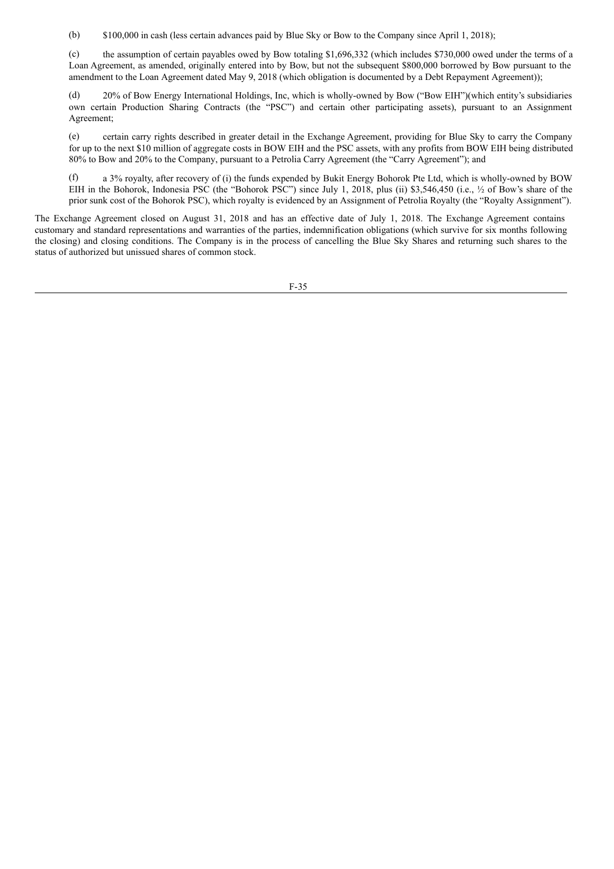(b) \$100,000 in cash (less certain advances paid by Blue Sky or Bow to the Company since April 1, 2018);

(c) the assumption of certain payables owed by Bow totaling \$1,696,332 (which includes \$730,000 owed under the terms of a Loan Agreement, as amended, originally entered into by Bow, but not the subsequent \$800,000 borrowed by Bow pursuant to the amendment to the Loan Agreement dated May 9, 2018 (which obligation is documented by a Debt Repayment Agreement));

(d) 20% of Bow Energy International Holdings, Inc, which is wholly-owned by Bow ("Bow EIH")(which entity's subsidiaries own certain Production Sharing Contracts (the "PSC") and certain other participating assets), pursuant to an Assignment Agreement;

(e) certain carry rights described in greater detail in the Exchange Agreement, providing for Blue Sky to carry the Company for up to the next \$10 million of aggregate costs in BOW EIH and the PSC assets, with any profits from BOW EIH being distributed 80% to Bow and 20% to the Company, pursuant to a Petrolia Carry Agreement (the "Carry Agreement"); and

(f) a 3% royalty, after recovery of (i) the funds expended by Bukit Energy Bohorok Pte Ltd, which is wholly-owned by BOW EIH in the Bohorok, Indonesia PSC (the "Bohorok PSC") since July 1, 2018, plus (ii) \$3,546,450 (i.e., ½ of Bow's share of the prior sunk cost of the Bohorok PSC), which royalty is evidenced by an Assignment of Petrolia Royalty (the "Royalty Assignment").

The Exchange Agreement closed on August 31, 2018 and has an effective date of July 1, 2018. The Exchange Agreement contains customary and standard representations and warranties of the parties, indemnification obligations (which survive for six months following the closing) and closing conditions. The Company is in the process of cancelling the Blue Sky Shares and returning such shares to the status of authorized but unissued shares of common stock.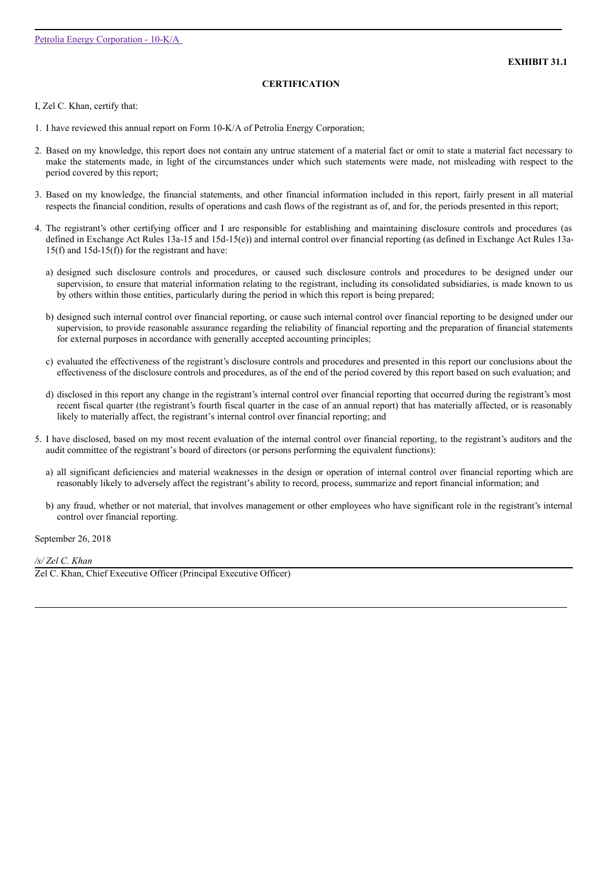# **CERTIFICATION**

I, Zel C. Khan, certify that:

- 1. I have reviewed this annual report on Form 10-K/A of Petrolia Energy Corporation;
- 2. Based on my knowledge, this report does not contain any untrue statement of a material fact or omit to state a material fact necessary to make the statements made, in light of the circumstances under which such statements were made, not misleading with respect to the period covered by this report;
- 3. Based on my knowledge, the financial statements, and other financial information included in this report, fairly present in all material respects the financial condition, results of operations and cash flows of the registrant as of, and for, the periods presented in this report;
- 4. The registrant's other certifying officer and I are responsible for establishing and maintaining disclosure controls and procedures (as defined in Exchange Act Rules 13a-15 and 15d-15(e)) and internal control over financial reporting (as defined in Exchange Act Rules 13a-15(f) and 15d-15(f)) for the registrant and have:
	- a) designed such disclosure controls and procedures, or caused such disclosure controls and procedures to be designed under our supervision, to ensure that material information relating to the registrant, including its consolidated subsidiaries, is made known to us by others within those entities, particularly during the period in which this report is being prepared;
	- b) designed such internal control over financial reporting, or cause such internal control over financial reporting to be designed under our supervision, to provide reasonable assurance regarding the reliability of financial reporting and the preparation of financial statements for external purposes in accordance with generally accepted accounting principles;
	- c) evaluated the effectiveness of the registrant's disclosure controls and procedures and presented in this report our conclusions about the effectiveness of the disclosure controls and procedures, as of the end of the period covered by this report based on such evaluation; and
	- d) disclosed in this report any change in the registrant's internal control over financial reporting that occurred during the registrant's most recent fiscal quarter (the registrant's fourth fiscal quarter in the case of an annual report) that has materially affected, or is reasonably likely to materially affect, the registrant's internal control over financial reporting; and
- 5. I have disclosed, based on my most recent evaluation of the internal control over financial reporting, to the registrant's auditors and the audit committee of the registrant's board of directors (or persons performing the equivalent functions):
	- a) all significant deficiencies and material weaknesses in the design or operation of internal control over financial reporting which are reasonably likely to adversely affect the registrant's ability to record, process, summarize and report financial information; and
	- b) any fraud, whether or not material, that involves management or other employees who have significant role in the registrant's internal control over financial reporting.

September 26, 2018

*/s/ Zel C. Khan*

Zel C. Khan, Chief Executive Officer (Principal Executive Officer)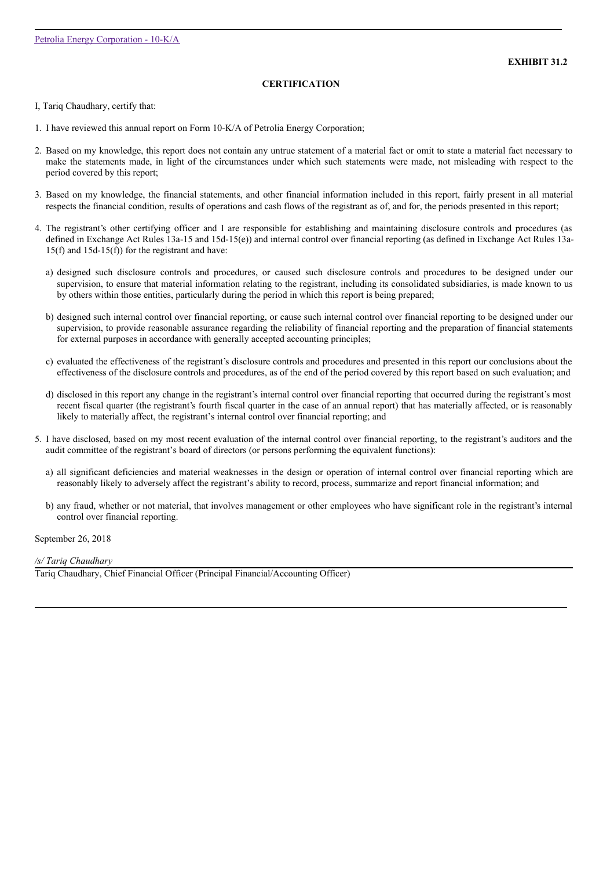# **CERTIFICATION**

I, Tariq Chaudhary, certify that:

- 1. I have reviewed this annual report on Form 10-K/A of Petrolia Energy Corporation;
- 2. Based on my knowledge, this report does not contain any untrue statement of a material fact or omit to state a material fact necessary to make the statements made, in light of the circumstances under which such statements were made, not misleading with respect to the period covered by this report;
- 3. Based on my knowledge, the financial statements, and other financial information included in this report, fairly present in all material respects the financial condition, results of operations and cash flows of the registrant as of, and for, the periods presented in this report;
- 4. The registrant's other certifying officer and I are responsible for establishing and maintaining disclosure controls and procedures (as defined in Exchange Act Rules 13a-15 and 15d-15(e)) and internal control over financial reporting (as defined in Exchange Act Rules 13a-15(f) and 15d-15(f)) for the registrant and have:
	- a) designed such disclosure controls and procedures, or caused such disclosure controls and procedures to be designed under our supervision, to ensure that material information relating to the registrant, including its consolidated subsidiaries, is made known to us by others within those entities, particularly during the period in which this report is being prepared;
	- b) designed such internal control over financial reporting, or cause such internal control over financial reporting to be designed under our supervision, to provide reasonable assurance regarding the reliability of financial reporting and the preparation of financial statements for external purposes in accordance with generally accepted accounting principles;
	- c) evaluated the effectiveness of the registrant's disclosure controls and procedures and presented in this report our conclusions about the effectiveness of the disclosure controls and procedures, as of the end of the period covered by this report based on such evaluation; and
	- d) disclosed in this report any change in the registrant's internal control over financial reporting that occurred during the registrant's most recent fiscal quarter (the registrant's fourth fiscal quarter in the case of an annual report) that has materially affected, or is reasonably likely to materially affect, the registrant's internal control over financial reporting; and
- 5. I have disclosed, based on my most recent evaluation of the internal control over financial reporting, to the registrant's auditors and the audit committee of the registrant's board of directors (or persons performing the equivalent functions):
	- a) all significant deficiencies and material weaknesses in the design or operation of internal control over financial reporting which are reasonably likely to adversely affect the registrant's ability to record, process, summarize and report financial information; and
	- b) any fraud, whether or not material, that involves management or other employees who have significant role in the registrant's internal control over financial reporting.

September 26, 2018

*/s/ Tariq Chaudhary*

Tariq Chaudhary, Chief Financial Officer (Principal Financial/Accounting Officer)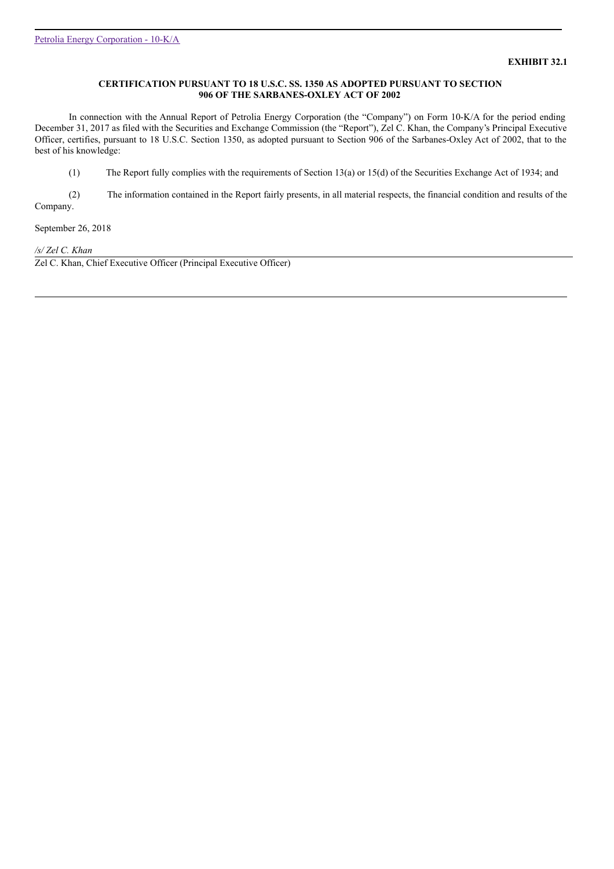## **CERTIFICATION PURSUANT TO 18 U.S.C. SS. 1350 AS ADOPTED PURSUANT TO SECTION 906 OF THE SARBANES-OXLEY ACT OF 2002**

In connection with the Annual Report of Petrolia Energy Corporation (the "Company") on Form 10-K/A for the period ending December 31, 2017 as filed with the Securities and Exchange Commission (the "Report"), Zel C. Khan, the Company's Principal Executive Officer, certifies, pursuant to 18 U.S.C. Section 1350, as adopted pursuant to Section 906 of the Sarbanes-Oxley Act of 2002, that to the best of his knowledge:

(1) The Report fully complies with the requirements of Section 13(a) or 15(d) of the Securities Exchange Act of 1934; and

(2) The information contained in the Report fairly presents, in all material respects, the financial condition and results of the Company.

September 26, 2018

*/s/ Zel C. Khan*

Zel C. Khan, Chief Executive Officer (Principal Executive Officer)